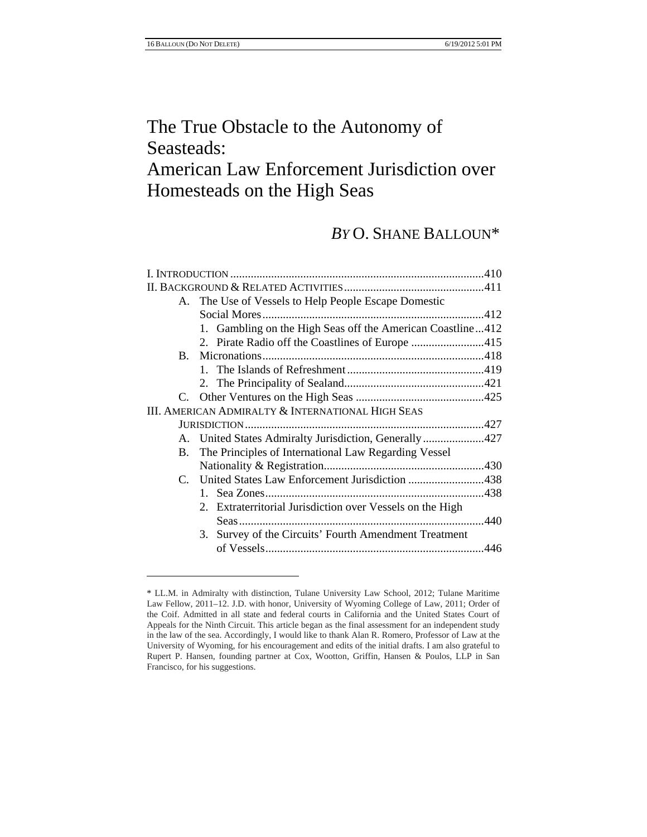# The True Obstacle to the Autonomy of Seasteads: American Law Enforcement Jurisdiction over Homesteads on the High Seas

## *BY* O. SHANE BALLOUN\*

|             | A. The Use of Vessels to Help People Escape Domestic       |  |
|-------------|------------------------------------------------------------|--|
|             |                                                            |  |
|             | 1. Gambling on the High Seas off the American Coastline412 |  |
|             |                                                            |  |
| $B_{\cdot}$ |                                                            |  |
|             |                                                            |  |
|             |                                                            |  |
|             |                                                            |  |
|             | III. AMERICAN ADMIRALTY & INTERNATIONAL HIGH SEAS          |  |
|             |                                                            |  |
|             | A. United States Admiralty Jurisdiction, Generally 427     |  |
| В.          | The Principles of International Law Regarding Vessel       |  |
|             |                                                            |  |
|             | C. United States Law Enforcement Jurisdiction 438          |  |
|             |                                                            |  |
|             | 2. Extraterritorial Jurisdiction over Vessels on the High  |  |
|             |                                                            |  |
|             | 3. Survey of the Circuits' Fourth Amendment Treatment      |  |
|             |                                                            |  |

<sup>\*</sup> LL.M. in Admiralty with distinction, Tulane University Law School, 2012; Tulane Maritime Law Fellow, 2011–12. J.D. with honor, University of Wyoming College of Law, 2011; Order of the Coif. Admitted in all state and federal courts in California and the United States Court of Appeals for the Ninth Circuit. This article began as the final assessment for an independent study in the law of the sea. Accordingly, I would like to thank Alan R. Romero, Professor of Law at the University of Wyoming, for his encouragement and edits of the initial drafts. I am also grateful to Rupert P. Hansen, founding partner at Cox, Wootton, Griffin, Hansen & Poulos, LLP in San Francisco, for his suggestions.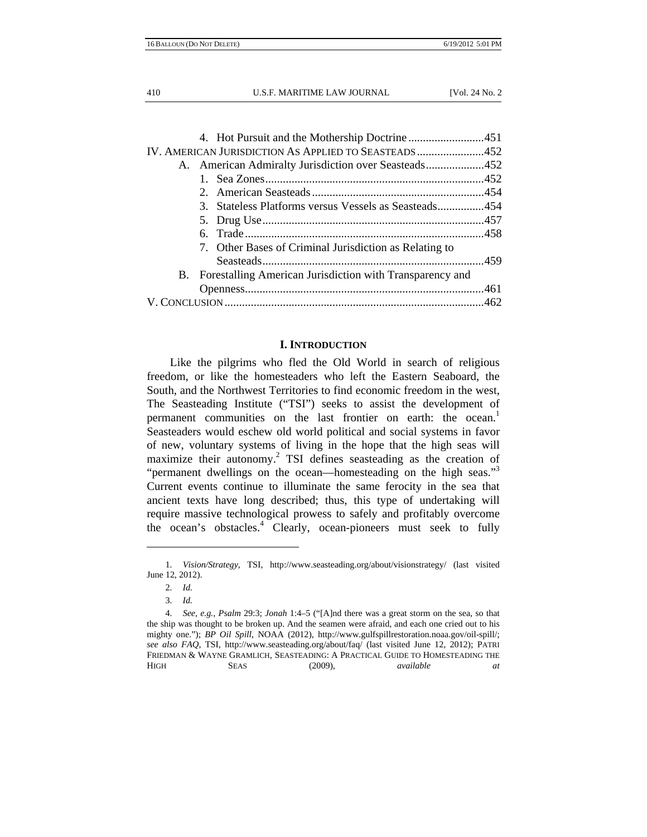|  | IV. AMERICAN JURISDICTION AS APPLIED TO SEASTEADS452        |  |
|--|-------------------------------------------------------------|--|
|  | A. American Admiralty Jurisdiction over Seasteads452        |  |
|  |                                                             |  |
|  |                                                             |  |
|  | 3. Stateless Platforms versus Vessels as Seasteads454       |  |
|  |                                                             |  |
|  |                                                             |  |
|  | 7. Other Bases of Criminal Jurisdiction as Relating to      |  |
|  |                                                             |  |
|  | B. Forestalling American Jurisdiction with Transparency and |  |
|  |                                                             |  |
|  |                                                             |  |
|  |                                                             |  |

#### **I. INTRODUCTION**

Like the pilgrims who fled the Old World in search of religious freedom, or like the homesteaders who left the Eastern Seaboard, the South, and the Northwest Territories to find economic freedom in the west, The Seasteading Institute ("TSI") seeks to assist the development of permanent communities on the last frontier on earth: the ocean.<sup>1</sup> Seasteaders would eschew old world political and social systems in favor of new, voluntary systems of living in the hope that the high seas will maximize their autonomy.<sup>2</sup> TSI defines seasteading as the creation of "permanent dwellings on the ocean—homesteading on the high seas."<sup>3</sup> Current events continue to illuminate the same ferocity in the sea that ancient texts have long described; thus, this type of undertaking will require massive technological prowess to safely and profitably overcome the ocean's obstacles.<sup>4</sup> Clearly, ocean-pioneers must seek to fully

<sup>1</sup>*. Vision/Strategy*, TSI, http://www.seasteading.org/about/visionstrategy/ (last visited June 12, 2012).

<sup>2</sup>*. Id.*

<sup>3</sup>*. Id.*

<sup>4</sup>*. See, e.g.*, *Psalm* 29:3; *Jonah* 1:4–5 ("[A]nd there was a great storm on the sea, so that the ship was thought to be broken up. And the seamen were afraid, and each one cried out to his mighty one."); *BP Oil Spill*, NOAA (2012), http://www.gulfspillrestoration.noaa.gov/oil-spill/; *see also FAQ*, TSI, http://www.seasteading.org/about/faq/ (last visited June 12, 2012); PATRI FRIEDMAN & WAYNE GRAMLICH, SEASTEADING: A PRACTICAL GUIDE TO HOMESTEADING THE HIGH SEAS (2009), *available at*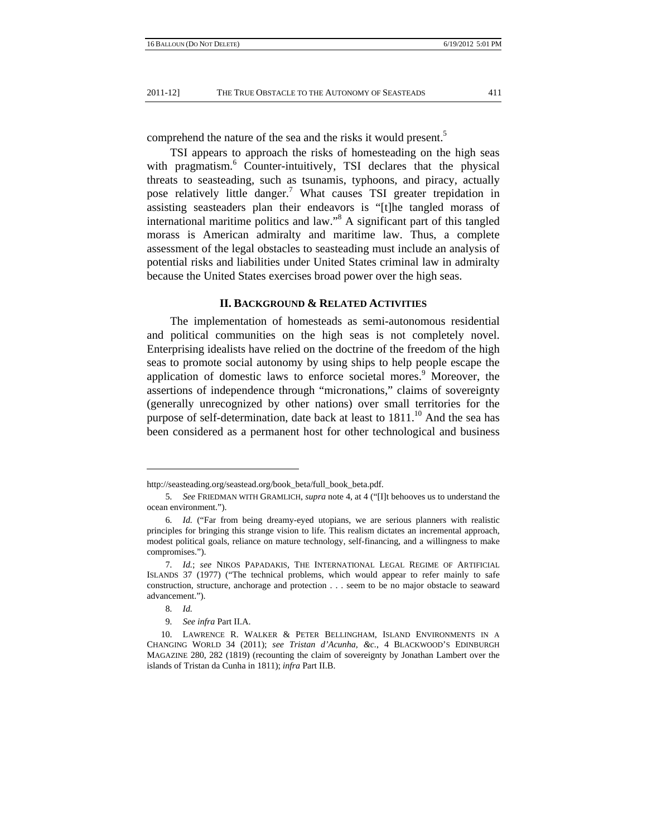comprehend the nature of the sea and the risks it would present.<sup>5</sup>

TSI appears to approach the risks of homesteading on the high seas with pragmatism.<sup>6</sup> Counter-intuitively, TSI declares that the physical threats to seasteading, such as tsunamis, typhoons, and piracy, actually pose relatively little danger.<sup>7</sup> What causes TSI greater trepidation in assisting seasteaders plan their endeavors is "[t]he tangled morass of international maritime politics and law."8 A significant part of this tangled morass is American admiralty and maritime law. Thus, a complete assessment of the legal obstacles to seasteading must include an analysis of potential risks and liabilities under United States criminal law in admiralty because the United States exercises broad power over the high seas.

## **II. BACKGROUND & RELATED ACTIVITIES**

The implementation of homesteads as semi-autonomous residential and political communities on the high seas is not completely novel. Enterprising idealists have relied on the doctrine of the freedom of the high seas to promote social autonomy by using ships to help people escape the application of domestic laws to enforce societal mores.<sup>9</sup> Moreover, the assertions of independence through "micronations," claims of sovereignty (generally unrecognized by other nations) over small territories for the purpose of self-determination, date back at least to  $1811$ .<sup>10</sup> And the sea has been considered as a permanent host for other technological and business

http://seasteading.org/seastead.org/book\_beta/full\_book\_beta.pdf.

<sup>5</sup>*. See* FRIEDMAN WITH GRAMLICH, *supra* note 4, at 4 ("[I]t behooves us to understand the ocean environment.").

<sup>6</sup>*. Id.* ("Far from being dreamy-eyed utopians, we are serious planners with realistic principles for bringing this strange vision to life. This realism dictates an incremental approach, modest political goals, reliance on mature technology, self-financing, and a willingness to make compromises.").

<sup>7</sup>*. Id.*; *see* NIKOS PAPADAKIS, THE INTERNATIONAL LEGAL REGIME OF ARTIFICIAL ISLANDS 37 (1977) ("The technical problems, which would appear to refer mainly to safe construction, structure, anchorage and protection . . . seem to be no major obstacle to seaward advancement.").

<sup>8</sup>*. Id.*

<sup>9</sup>*. See infra* Part II.A.

 <sup>10.</sup> LAWRENCE R. WALKER & PETER BELLINGHAM, ISLAND ENVIRONMENTS IN A CHANGING WORLD 34 (2011); *see Tristan d'Acunha, &c.*, 4 BLACKWOOD'S EDINBURGH MAGAZINE 280, 282 (1819) (recounting the claim of sovereignty by Jonathan Lambert over the islands of Tristan da Cunha in 1811); *infra* Part II.B.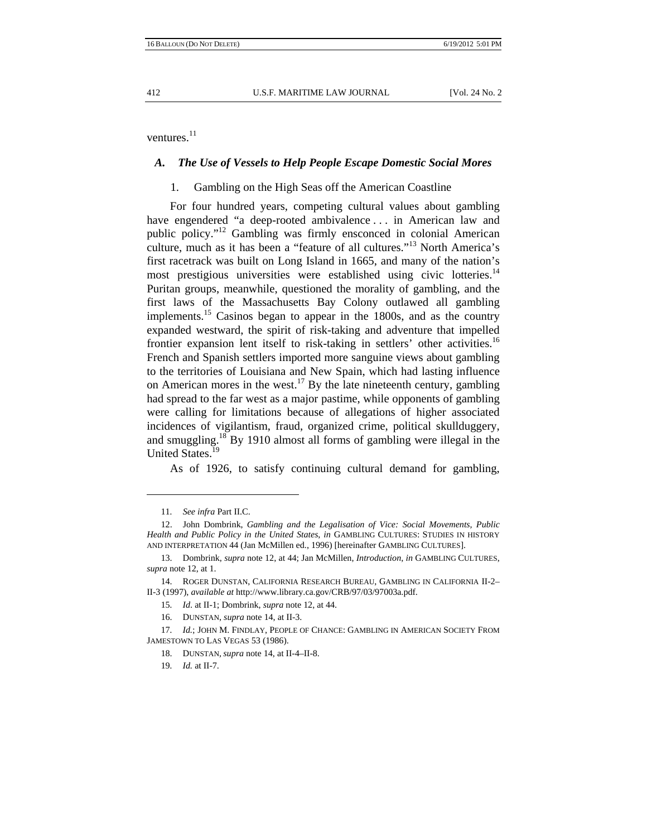ventures. $^{11}$ 

## *A. The Use of Vessels to Help People Escape Domestic Social Mores*

## 1. Gambling on the High Seas off the American Coastline

For four hundred years, competing cultural values about gambling have engendered "a deep-rooted ambivalence ... in American law and public policy."12 Gambling was firmly ensconced in colonial American culture, much as it has been a "feature of all cultures."13 North America's first racetrack was built on Long Island in 1665, and many of the nation's most prestigious universities were established using civic lotteries.<sup>14</sup> Puritan groups, meanwhile, questioned the morality of gambling, and the first laws of the Massachusetts Bay Colony outlawed all gambling implements.<sup>15</sup> Casinos began to appear in the 1800s, and as the country expanded westward, the spirit of risk-taking and adventure that impelled frontier expansion lent itself to risk-taking in settlers' other activities.<sup>16</sup> French and Spanish settlers imported more sanguine views about gambling to the territories of Louisiana and New Spain, which had lasting influence on American mores in the west.<sup>17</sup> By the late nineteenth century, gambling had spread to the far west as a major pastime, while opponents of gambling were calling for limitations because of allegations of higher associated incidences of vigilantism, fraud, organized crime, political skullduggery, and smuggling.<sup>18</sup> By 1910 almost all forms of gambling were illegal in the United States.<sup>19</sup>

As of 1926, to satisfy continuing cultural demand for gambling,

<sup>11</sup>*. See infra* Part II.C.

 <sup>12.</sup> John Dombrink, *Gambling and the Legalisation of Vice: Social Movements, Public Health and Public Policy in the United States*, *in* GAMBLING CULTURES: STUDIES IN HISTORY AND INTERPRETATION 44 (Jan McMillen ed., 1996) [hereinafter GAMBLING CULTURES].

 <sup>13.</sup> Dombrink, *supra* note 12, at 44; Jan McMillen, *Introduction*, *in* GAMBLING CULTURES, *supra* note 12, at 1.

 <sup>14.</sup> ROGER DUNSTAN, CALIFORNIA RESEARCH BUREAU, GAMBLING IN CALIFORNIA II-2– II-3 (1997), *available at* http://www.library.ca.gov/CRB/97/03/97003a.pdf.

<sup>15</sup>*. Id*. at II-1; Dombrink, *supra* note 12, at 44.

 <sup>16.</sup> DUNSTAN, *supra* note 14, at II-3.

<sup>17</sup>*. Id.*; JOHN M. FINDLAY, PEOPLE OF CHANCE: GAMBLING IN AMERICAN SOCIETY FROM JAMESTOWN TO LAS VEGAS 53 (1986).

 <sup>18.</sup> DUNSTAN*, supra* note 14, at II-4–II-8.

<sup>19</sup>*. Id.* at II-7.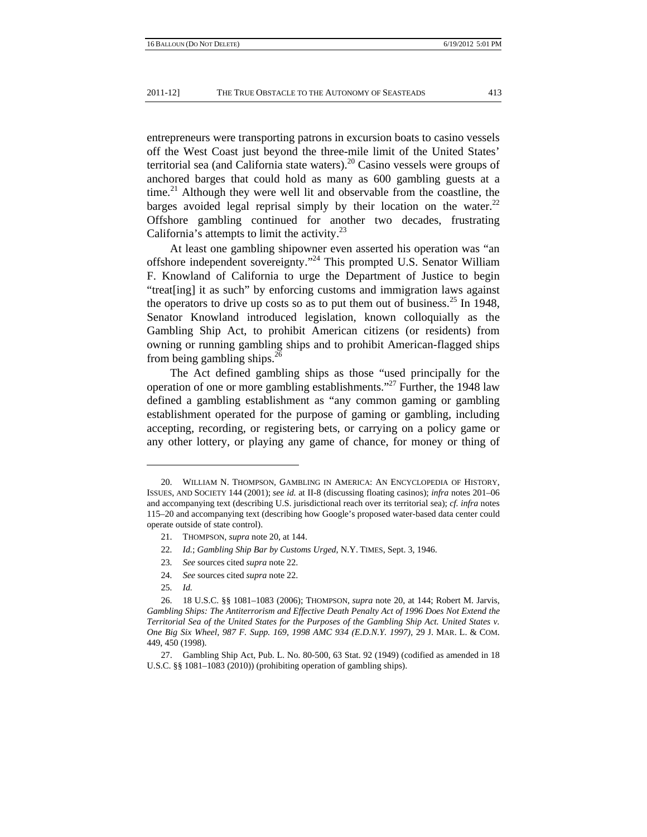entrepreneurs were transporting patrons in excursion boats to casino vessels off the West Coast just beyond the three-mile limit of the United States' territorial sea (and California state waters).<sup>20</sup> Casino vessels were groups of anchored barges that could hold as many as 600 gambling guests at a time.<sup>21</sup> Although they were well lit and observable from the coastline, the barges avoided legal reprisal simply by their location on the water. $22$ Offshore gambling continued for another two decades, frustrating California's attempts to limit the activity. $^{23}$ 

At least one gambling shipowner even asserted his operation was "an offshore independent sovereignty."24 This prompted U.S. Senator William F. Knowland of California to urge the Department of Justice to begin "treat[ing] it as such" by enforcing customs and immigration laws against the operators to drive up costs so as to put them out of business.<sup>25</sup> In 1948, Senator Knowland introduced legislation, known colloquially as the Gambling Ship Act, to prohibit American citizens (or residents) from owning or running gambling ships and to prohibit American-flagged ships from being gambling ships.<sup>26</sup>

The Act defined gambling ships as those "used principally for the operation of one or more gambling establishments."27 Further, the 1948 law defined a gambling establishment as "any common gaming or gambling establishment operated for the purpose of gaming or gambling, including accepting, recording, or registering bets, or carrying on a policy game or any other lottery, or playing any game of chance, for money or thing of

- 23*. See* sources cited *supra* note 22.
- 24*. See* sources cited *supra* note 22.
- 25*. Id.*

 <sup>20.</sup> WILLIAM N. THOMPSON, GAMBLING IN AMERICA: AN ENCYCLOPEDIA OF HISTORY, ISSUES, AND SOCIETY 144 (2001); *see id.* at II-8 (discussing floating casinos); *infra* notes 201–06 and accompanying text (describing U.S. jurisdictional reach over its territorial sea); *cf. infra* notes 115–20 and accompanying text (describing how Google's proposed water-based data center could operate outside of state control).

 <sup>21.</sup> THOMPSON, *supra* note 20, at 144.

<sup>22</sup>*. Id.*; *Gambling Ship Bar by Customs Urged*, N.Y. TIMES, Sept. 3, 1946.

 <sup>26. 18</sup> U.S.C. §§ 1081–1083 (2006); THOMPSON*, supra* note 20, at 144; Robert M. Jarvis, *Gambling Ships: The Antiterrorism and Effective Death Penalty Act of 1996 Does Not Extend the Territorial Sea of the United States for the Purposes of the Gambling Ship Act. United States v. One Big Six Wheel, 987 F. Supp. 169, 1998 AMC 934 (E.D.N.Y. 1997)*, 29 J. MAR. L. & COM. 449, 450 (1998).

 <sup>27.</sup> Gambling Ship Act, Pub. L. No. 80-500, 63 Stat. 92 (1949) (codified as amended in 18 U.S.C. §§ 1081–1083 (2010)) (prohibiting operation of gambling ships).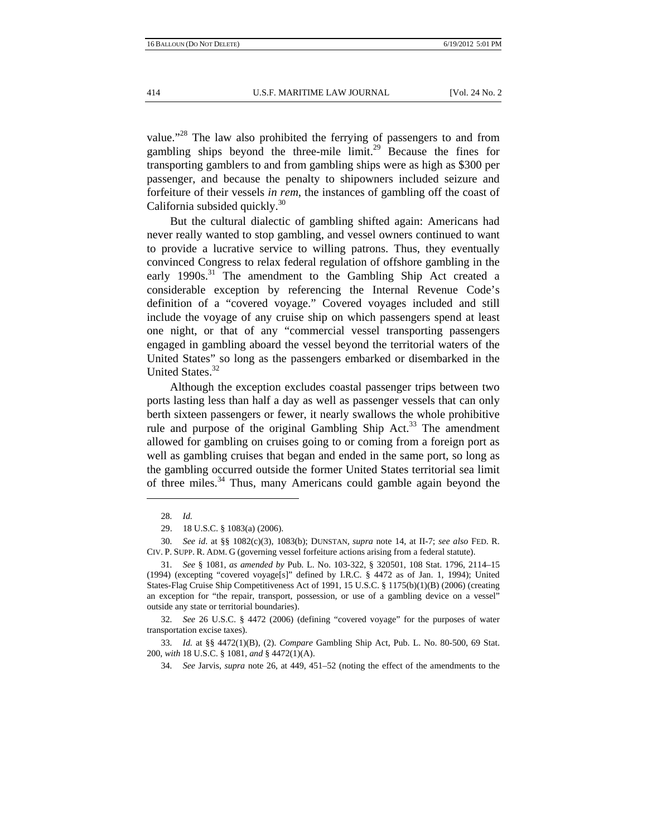value."28 The law also prohibited the ferrying of passengers to and from gambling ships beyond the three-mile  $\lim_{x \to 2}$  Because the fines for transporting gamblers to and from gambling ships were as high as \$300 per passenger, and because the penalty to shipowners included seizure and forfeiture of their vessels *in rem*, the instances of gambling off the coast of California subsided quickly.<sup>30</sup>

But the cultural dialectic of gambling shifted again: Americans had never really wanted to stop gambling, and vessel owners continued to want to provide a lucrative service to willing patrons. Thus, they eventually convinced Congress to relax federal regulation of offshore gambling in the early 1990s.<sup>31</sup> The amendment to the Gambling Ship Act created a considerable exception by referencing the Internal Revenue Code's definition of a "covered voyage." Covered voyages included and still include the voyage of any cruise ship on which passengers spend at least one night, or that of any "commercial vessel transporting passengers engaged in gambling aboard the vessel beyond the territorial waters of the United States" so long as the passengers embarked or disembarked in the United States.<sup>32</sup>

Although the exception excludes coastal passenger trips between two ports lasting less than half a day as well as passenger vessels that can only berth sixteen passengers or fewer, it nearly swallows the whole prohibitive rule and purpose of the original Gambling Ship Act.<sup>33</sup> The amendment allowed for gambling on cruises going to or coming from a foreign port as well as gambling cruises that began and ended in the same port, so long as the gambling occurred outside the former United States territorial sea limit of three miles.<sup>34</sup> Thus, many Americans could gamble again beyond the

32*. See* 26 U.S.C. § 4472 (2006) (defining "covered voyage" for the purposes of water transportation excise taxes).

<sup>28</sup>*. Id.*

 <sup>29. 18</sup> U.S.C. § 1083(a) (2006).

<sup>30</sup>*. See id*. at §§ 1082(c)(3), 1083(b); DUNSTAN*, supra* note 14, at II-7; *see also* FED. R. CIV. P. SUPP. R. ADM. G (governing vessel forfeiture actions arising from a federal statute).

<sup>31</sup>*. See* § 1081, *as amended by* Pub. L. No. 103-322, § 320501, 108 Stat. 1796, 2114–15 (1994) (excepting "covered voyage[s]" defined by I.R.C. § 4472 as of Jan. 1, 1994); United States-Flag Cruise Ship Competitiveness Act of 1991, 15 U.S.C. § 1175(b)(1)(B) (2006) (creating an exception for "the repair, transport, possession, or use of a gambling device on a vessel" outside any state or territorial boundaries).

<sup>33</sup>*. Id.* at §§ 4472(1)(B), (2). *Compare* Gambling Ship Act, Pub. L. No. 80-500, 69 Stat. 200, *with* 18 U.S.C. § 1081, *and* § 4472(1)(A).

<sup>34</sup>*. See* Jarvis, *supra* note 26, at 449, 451–52 (noting the effect of the amendments to the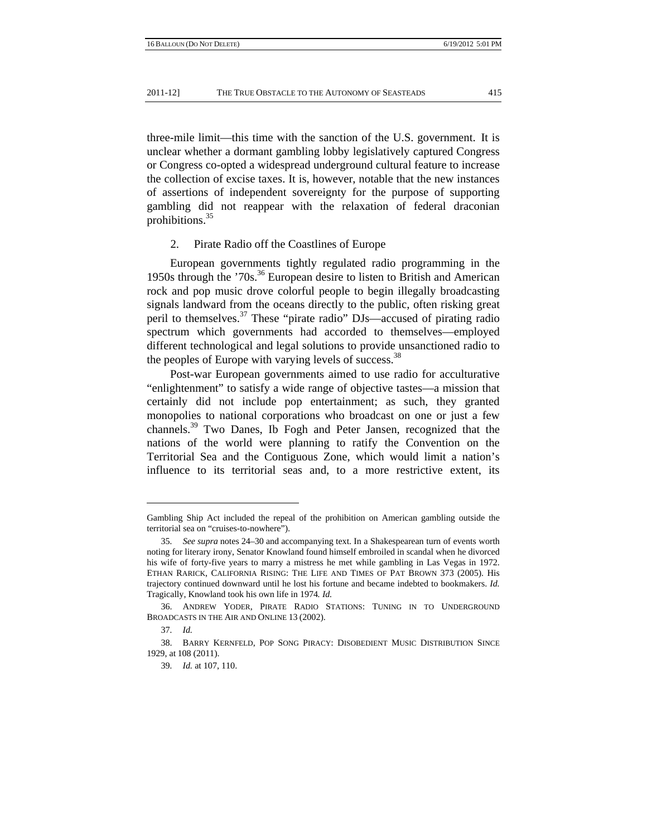three-mile limit—this time with the sanction of the U.S. government. It is unclear whether a dormant gambling lobby legislatively captured Congress or Congress co-opted a widespread underground cultural feature to increase the collection of excise taxes. It is, however, notable that the new instances of assertions of independent sovereignty for the purpose of supporting gambling did not reappear with the relaxation of federal draconian prohibitions.35

## 2. Pirate Radio off the Coastlines of Europe

European governments tightly regulated radio programming in the 1950s through the '70s.36 European desire to listen to British and American rock and pop music drove colorful people to begin illegally broadcasting signals landward from the oceans directly to the public, often risking great peril to themselves.37 These "pirate radio" DJs—accused of pirating radio spectrum which governments had accorded to themselves—employed different technological and legal solutions to provide unsanctioned radio to the peoples of Europe with varying levels of success.<sup>38</sup>

Post-war European governments aimed to use radio for acculturative "enlightenment" to satisfy a wide range of objective tastes—a mission that certainly did not include pop entertainment; as such, they granted monopolies to national corporations who broadcast on one or just a few channels.39 Two Danes, Ib Fogh and Peter Jansen, recognized that the nations of the world were planning to ratify the Convention on the Territorial Sea and the Contiguous Zone, which would limit a nation's influence to its territorial seas and, to a more restrictive extent, its

Gambling Ship Act included the repeal of the prohibition on American gambling outside the territorial sea on "cruises-to-nowhere").

<sup>35</sup>*. See supra* notes 24–30 and accompanying text. In a Shakespearean turn of events worth noting for literary irony, Senator Knowland found himself embroiled in scandal when he divorced his wife of forty-five years to marry a mistress he met while gambling in Las Vegas in 1972. ETHAN RARICK, CALIFORNIA RISING: THE LIFE AND TIMES OF PAT BROWN 373 (2005). His trajectory continued downward until he lost his fortune and became indebted to bookmakers. *Id.* Tragically, Knowland took his own life in 1974*. Id.*

 <sup>36.</sup> ANDREW YODER, PIRATE RADIO STATIONS: TUNING IN TO UNDERGROUND BROADCASTS IN THE AIR AND ONLINE 13 (2002).

<sup>37</sup>*. Id.*

 <sup>38.</sup> BARRY KERNFELD, POP SONG PIRACY: DISOBEDIENT MUSIC DISTRIBUTION SINCE 1929, at 108 (2011).

<sup>39</sup>*. Id.* at 107, 110.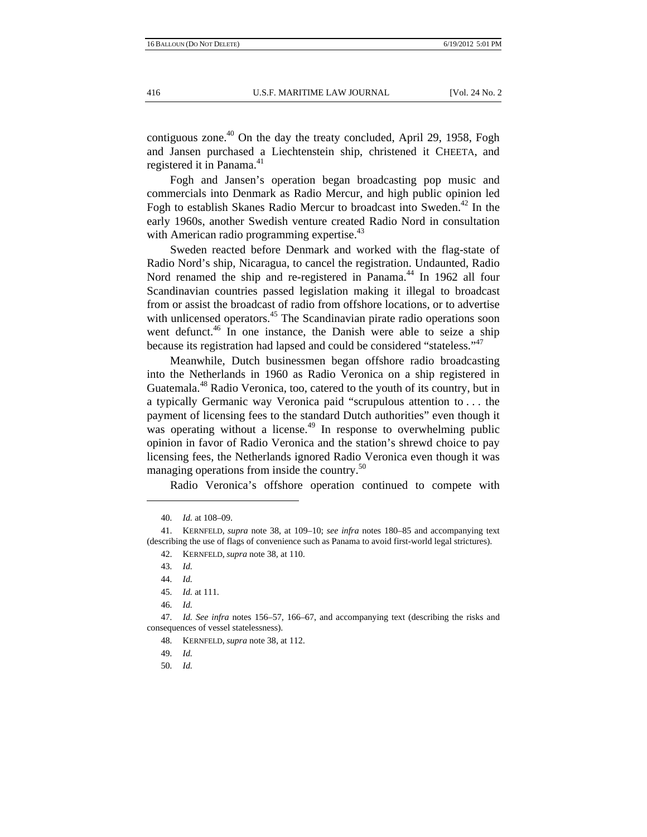contiguous zone.<sup>40</sup> On the day the treaty concluded, April 29, 1958, Fogh and Jansen purchased a Liechtenstein ship, christened it CHEETA, and registered it in Panama.<sup>41</sup>

Fogh and Jansen's operation began broadcasting pop music and commercials into Denmark as Radio Mercur, and high public opinion led Fogh to establish Skanes Radio Mercur to broadcast into Sweden.<sup>42</sup> In the early 1960s, another Swedish venture created Radio Nord in consultation with American radio programming expertise.<sup>43</sup>

Sweden reacted before Denmark and worked with the flag-state of Radio Nord's ship, Nicaragua, to cancel the registration. Undaunted, Radio Nord renamed the ship and re-registered in Panama.<sup>44</sup> In 1962 all four Scandinavian countries passed legislation making it illegal to broadcast from or assist the broadcast of radio from offshore locations, or to advertise with unlicensed operators.<sup>45</sup> The Scandinavian pirate radio operations soon went defunct.<sup>46</sup> In one instance, the Danish were able to seize a ship because its registration had lapsed and could be considered "stateless."47

Meanwhile, Dutch businessmen began offshore radio broadcasting into the Netherlands in 1960 as Radio Veronica on a ship registered in Guatemala.48 Radio Veronica, too, catered to the youth of its country, but in a typically Germanic way Veronica paid "scrupulous attention to . . . the payment of licensing fees to the standard Dutch authorities" even though it was operating without a license.<sup>49</sup> In response to overwhelming public opinion in favor of Radio Veronica and the station's shrewd choice to pay licensing fees, the Netherlands ignored Radio Veronica even though it was managing operations from inside the country.<sup>50</sup>

Radio Veronica's offshore operation continued to compete with

- 49*. Id.*
- 50*. Id.*

<sup>40</sup>*. Id.* at 108–09.

 <sup>41.</sup> KERNFELD, *supra* note 38, at 109–10; *see infra* notes 180–85 and accompanying text (describing the use of flags of convenience such as Panama to avoid first-world legal strictures).

 <sup>42.</sup> KERNFELD, *supra* note 38, at 110.

<sup>43</sup>*. Id.*

<sup>44</sup>*. Id.*

<sup>45</sup>*. Id.* at 111.

<sup>46</sup>*. Id.*

<sup>47</sup>*. Id. See infra* notes 156–57, 166–67, and accompanying text (describing the risks and consequences of vessel statelessness).

<sup>48</sup>*.* KERNFELD, *supra* note 38, at 112.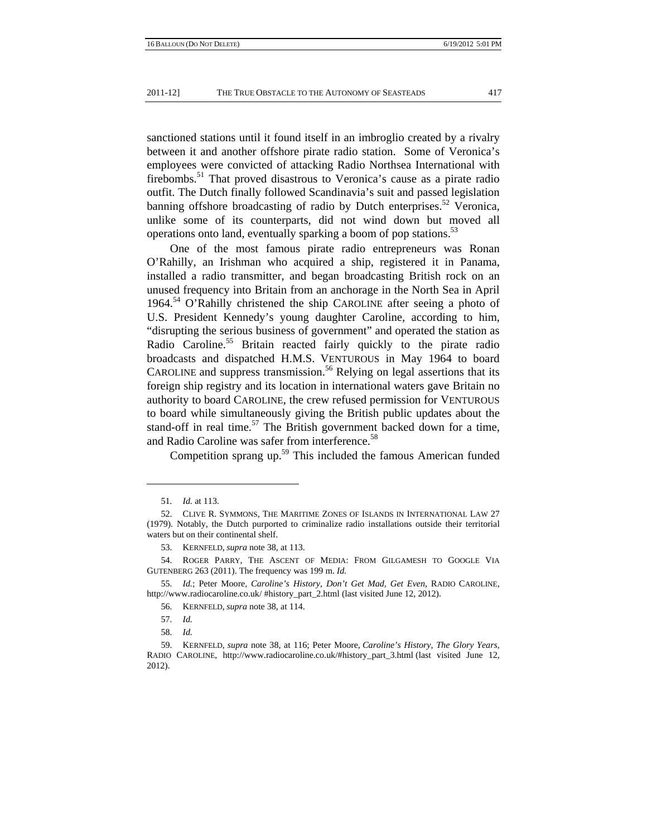sanctioned stations until it found itself in an imbroglio created by a rivalry between it and another offshore pirate radio station. Some of Veronica's employees were convicted of attacking Radio Northsea International with firebombs.51 That proved disastrous to Veronica's cause as a pirate radio outfit. The Dutch finally followed Scandinavia's suit and passed legislation banning offshore broadcasting of radio by Dutch enterprises.<sup>52</sup> Veronica, unlike some of its counterparts, did not wind down but moved all operations onto land, eventually sparking a boom of pop stations.<sup>53</sup>

One of the most famous pirate radio entrepreneurs was Ronan O'Rahilly, an Irishman who acquired a ship, registered it in Panama, installed a radio transmitter, and began broadcasting British rock on an unused frequency into Britain from an anchorage in the North Sea in April 1964.<sup>54</sup> O'Rahilly christened the ship CAROLINE after seeing a photo of U.S. President Kennedy's young daughter Caroline, according to him, "disrupting the serious business of government" and operated the station as Radio Caroline.<sup>55</sup> Britain reacted fairly quickly to the pirate radio broadcasts and dispatched H.M.S. VENTUROUS in May 1964 to board CAROLINE and suppress transmission.<sup>56</sup> Relying on legal assertions that its foreign ship registry and its location in international waters gave Britain no authority to board CAROLINE, the crew refused permission for VENTUROUS to board while simultaneously giving the British public updates about the stand-off in real time.<sup>57</sup> The British government backed down for a time, and Radio Caroline was safer from interference.<sup>58</sup>

Competition sprang up.<sup>59</sup> This included the famous American funded

<sup>51</sup>*. Id.* at 113.

 <sup>52.</sup> CLIVE R. SYMMONS, THE MARITIME ZONES OF ISLANDS IN INTERNATIONAL LAW 27 (1979). Notably, the Dutch purported to criminalize radio installations outside their territorial waters but on their continental shelf.

 <sup>53.</sup> KERNFELD, *supra* note 38, at 113.

 <sup>54.</sup> ROGER PARRY, THE ASCENT OF MEDIA: FROM GILGAMESH TO GOOGLE VIA GUTENBERG 263 (2011). The frequency was 199 m. *Id.*

<sup>55</sup>*. Id.*; Peter Moore, *Caroline's History*, *Don't Get Mad, Get Even*, RADIO CAROLINE, http://www.radiocaroline.co.uk/ #history\_part\_2.html (last visited June 12, 2012).

 <sup>56.</sup> KERNFELD, *supra* note 38, at 114.

<sup>57</sup>*. Id.*

<sup>58</sup>*. Id.*

 <sup>59.</sup> KERNFELD, *supra* note 38, at 116; Peter Moore, *Caroline's History*, *The Glory Years*, RADIO CAROLINE, http://www.radiocaroline.co.uk/#history\_part\_3.html (last visited June 12, 2012).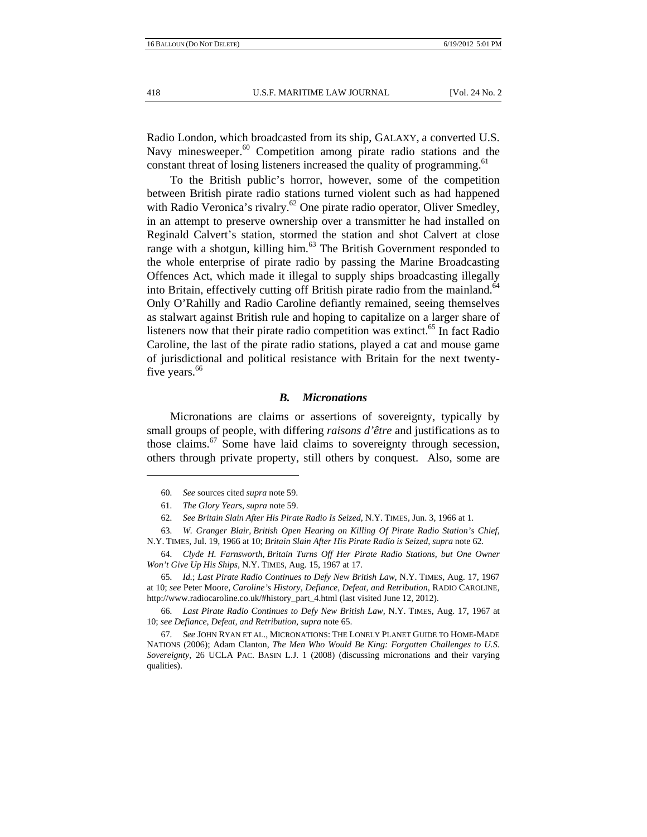Radio London, which broadcasted from its ship, GALAXY, a converted U.S. Navy minesweeper.<sup>60</sup> Competition among pirate radio stations and the constant threat of losing listeners increased the quality of programming.<sup>61</sup>

To the British public's horror, however, some of the competition between British pirate radio stations turned violent such as had happened with Radio Veronica's rivalry.<sup>62</sup> One pirate radio operator, Oliver Smedley, in an attempt to preserve ownership over a transmitter he had installed on Reginald Calvert's station, stormed the station and shot Calvert at close range with a shotgun, killing him. $63$  The British Government responded to the whole enterprise of pirate radio by passing the Marine Broadcasting Offences Act, which made it illegal to supply ships broadcasting illegally into Britain, effectively cutting off British pirate radio from the mainland.<sup>64</sup> Only O'Rahilly and Radio Caroline defiantly remained, seeing themselves as stalwart against British rule and hoping to capitalize on a larger share of listeners now that their pirate radio competition was extinct. $65$  In fact Radio Caroline, the last of the pirate radio stations, played a cat and mouse game of jurisdictional and political resistance with Britain for the next twentyfive years.<sup>66</sup>

## *B. Micronations*

Micronations are claims or assertions of sovereignty, typically by small groups of people, with differing *raisons d'être* and justifications as to those claims.<sup>67</sup> Some have laid claims to sovereignty through secession, others through private property, still others by conquest. Also, some are

<sup>60</sup>*. See* sources cited *supra* note 59.

<sup>61</sup>*. The Glory Years*, *supra* note 59.

<sup>62</sup>*. See Britain Slain After His Pirate Radio Is Seized,* N.Y. TIMES, Jun. 3, 1966 at 1.

<sup>63</sup>*. W. Granger Blair, British Open Hearing on Killing Of Pirate Radio Station's Chief,*  N.Y. TIMES*,* Jul. 19, 1966 at 10; *Britain Slain After His Pirate Radio is Seized, supra* note 62*.* 

<sup>64</sup>*. Clyde H. Farnsworth, Britain Turns Off Her Pirate Radio Stations, but One Owner Won't Give Up His Ships,* N.Y. TIMES, Aug. 15, 1967 at 17*.*

<sup>65</sup>*. Id.*; *Last Pirate Radio Continues to Defy New British Law*, N.Y. TIMES, Aug. 17, 1967 at 10; *see* Peter Moore, *Caroline's History*, *Defiance, Defeat, and Retribution*, RADIO CAROLINE, http://www.radiocaroline.co.uk/#history\_part\_4.html (last visited June 12, 2012).

<sup>66</sup>*. Last Pirate Radio Continues to Defy New British Law,* N.Y. TIMES, Aug. 17, 1967 at 10; *see Defiance, Defeat, and Retribution*, *supra* note 65.

<sup>67</sup>*. See* JOHN RYAN ET AL., MICRONATIONS: THE LONELY PLANET GUIDE TO HOME-MADE NATIONS (2006); Adam Clanton, *The Men Who Would Be King: Forgotten Challenges to U.S. Sovereignty*, 26 UCLA PAC. BASIN L.J. 1 (2008) (discussing micronations and their varying qualities).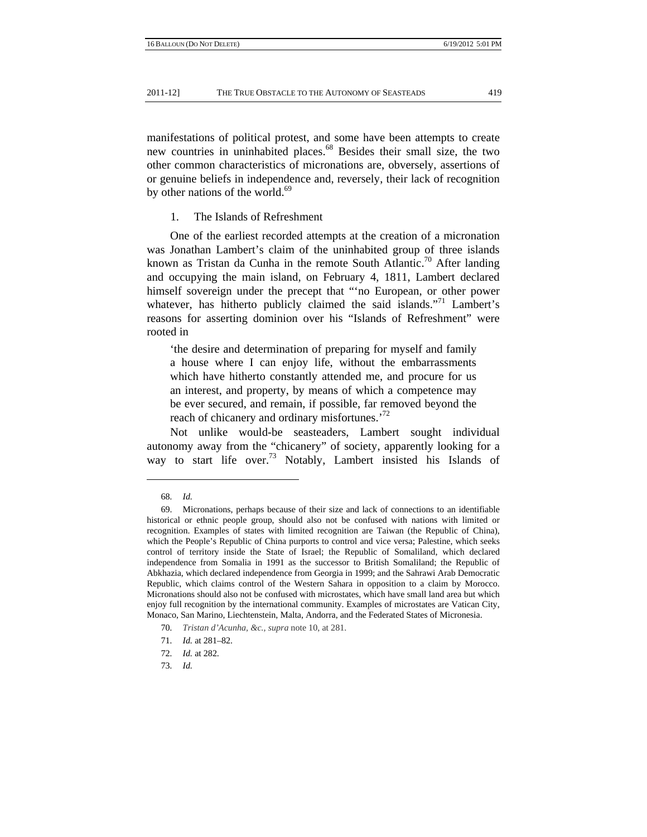manifestations of political protest, and some have been attempts to create new countries in uninhabited places.<sup>68</sup> Besides their small size, the two other common characteristics of micronations are, obversely, assertions of or genuine beliefs in independence and, reversely, their lack of recognition by other nations of the world. $69$ 

1. The Islands of Refreshment

One of the earliest recorded attempts at the creation of a micronation was Jonathan Lambert's claim of the uninhabited group of three islands known as Tristan da Cunha in the remote South Atlantic.<sup>70</sup> After landing and occupying the main island, on February 4, 1811, Lambert declared himself sovereign under the precept that "'no European, or other power whatever, has hitherto publicly claimed the said islands."<sup>71</sup> Lambert's reasons for asserting dominion over his "Islands of Refreshment" were rooted in

'the desire and determination of preparing for myself and family a house where I can enjoy life, without the embarrassments which have hitherto constantly attended me, and procure for us an interest, and property, by means of which a competence may be ever secured, and remain, if possible, far removed beyond the reach of chicanery and ordinary misfortunes.<sup>72</sup>

Not unlike would-be seasteaders, Lambert sought individual autonomy away from the "chicanery" of society, apparently looking for a way to start life over.<sup>73</sup> Notably, Lambert insisted his Islands of

73*. Id.*

<sup>68</sup>*. Id.*

 <sup>69.</sup> Micronations, perhaps because of their size and lack of connections to an identifiable historical or ethnic people group, should also not be confused with nations with limited or recognition. Examples of states with limited recognition are Taiwan (the Republic of China), which the People's Republic of China purports to control and vice versa; Palestine, which seeks control of territory inside the State of Israel; the Republic of Somaliland, which declared independence from Somalia in 1991 as the successor to British Somaliland; the Republic of Abkhazia, which declared independence from Georgia in 1999; and the Sahrawi Arab Democratic Republic, which claims control of the Western Sahara in opposition to a claim by Morocco. Micronations should also not be confused with microstates, which have small land area but which enjoy full recognition by the international community. Examples of microstates are Vatican City, Monaco, San Marino, Liechtenstein, Malta, Andorra, and the Federated States of Micronesia.

<sup>70</sup>*. Tristan d'Acunha, &c., supra* note 10, at 281.

<sup>71</sup>*. Id.* at 281–82.

<sup>72</sup>*. Id.* at 282.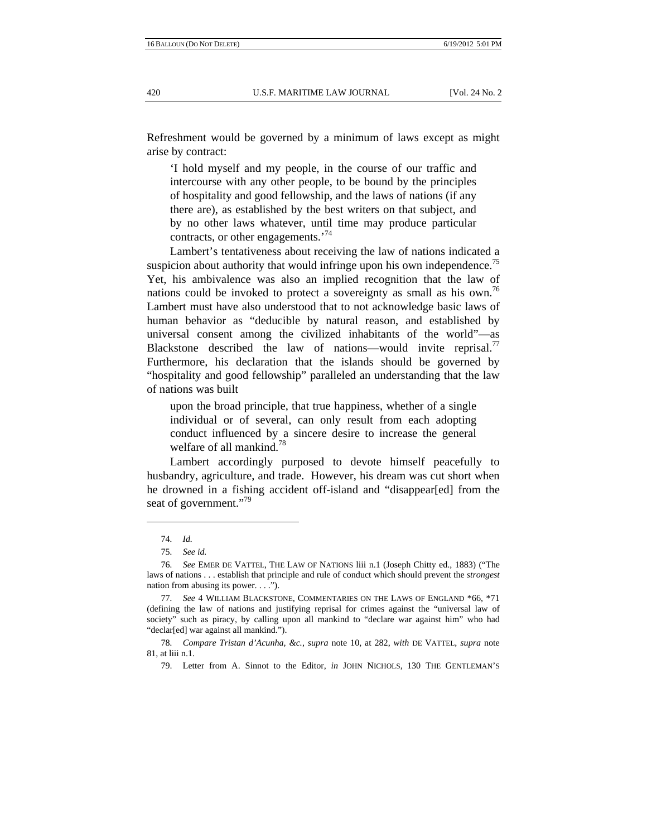Refreshment would be governed by a minimum of laws except as might arise by contract:

'I hold myself and my people, in the course of our traffic and intercourse with any other people, to be bound by the principles of hospitality and good fellowship, and the laws of nations (if any there are), as established by the best writers on that subject, and by no other laws whatever, until time may produce particular contracts, or other engagements.<sup>74</sup>

Lambert's tentativeness about receiving the law of nations indicated a suspicion about authority that would infringe upon his own independence.<sup> $\frac{1}{2}$ </sup> Yet, his ambivalence was also an implied recognition that the law of nations could be invoked to protect a sovereignty as small as his own.<sup>76</sup> Lambert must have also understood that to not acknowledge basic laws of human behavior as "deducible by natural reason, and established by universal consent among the civilized inhabitants of the world"—as Blackstone described the law of nations—would invite reprisal.<sup>77</sup> Furthermore, his declaration that the islands should be governed by "hospitality and good fellowship" paralleled an understanding that the law of nations was built

upon the broad principle, that true happiness, whether of a single individual or of several, can only result from each adopting conduct influenced by a sincere desire to increase the general welfare of all mankind.<sup>78</sup>

Lambert accordingly purposed to devote himself peacefully to husbandry, agriculture, and trade. However, his dream was cut short when he drowned in a fishing accident off-island and "disappear[ed] from the seat of government."<sup>79</sup>

<sup>74</sup>*. Id.*

<sup>75</sup>*. See id.*

<sup>76</sup>*. See* EMER DE VATTEL, THE LAW OF NATIONS liii n.1 (Joseph Chitty ed., 1883) ("The laws of nations . . . establish that principle and rule of conduct which should prevent the *strongest* nation from abusing its power. . . .").

<sup>77</sup>*. See* 4 WILLIAM BLACKSTONE, COMMENTARIES ON THE LAWS OF ENGLAND \*66, \*71 (defining the law of nations and justifying reprisal for crimes against the "universal law of society" such as piracy, by calling upon all mankind to "declare war against him" who had "declar[ed] war against all mankind.").

<sup>78</sup>*. Compare Tristan d'Acunha, &c.*, *supra* note 10, at 282, *with* DE VATTEL, *supra* note 81, at liii n.1.

 <sup>79.</sup> Letter from A. Sinnot to the Editor, *in* JOHN NICHOLS, 130 THE GENTLEMAN'S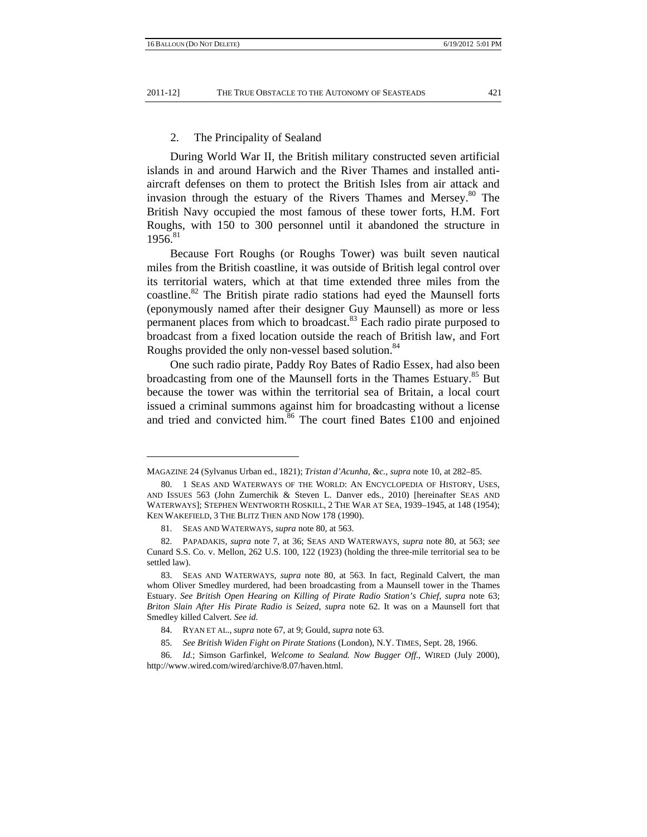#### 2. The Principality of Sealand

During World War II, the British military constructed seven artificial islands in and around Harwich and the River Thames and installed antiaircraft defenses on them to protect the British Isles from air attack and invasion through the estuary of the Rivers Thames and Mersey.<sup>80</sup> The British Navy occupied the most famous of these tower forts, H.M. Fort Roughs, with 150 to 300 personnel until it abandoned the structure in  $1956.<sup>81</sup>$ 

Because Fort Roughs (or Roughs Tower) was built seven nautical miles from the British coastline, it was outside of British legal control over its territorial waters, which at that time extended three miles from the coastline.<sup>82</sup> The British pirate radio stations had eyed the Maunsell forts (eponymously named after their designer Guy Maunsell) as more or less permanent places from which to broadcast.<sup>83</sup> Each radio pirate purposed to broadcast from a fixed location outside the reach of British law, and Fort Roughs provided the only non-vessel based solution.<sup>84</sup>

One such radio pirate, Paddy Roy Bates of Radio Essex, had also been broadcasting from one of the Maunsell forts in the Thames Estuary.<sup>85</sup> But because the tower was within the territorial sea of Britain, a local court issued a criminal summons against him for broadcasting without a license and tried and convicted him.<sup>86</sup> The court fined Bates  $£100$  and enjoined

MAGAZINE 24 (Sylvanus Urban ed., 1821); *Tristan d'Acunha, &c.*, *supra* note 10, at 282–85.

 <sup>80. 1</sup> SEAS AND WATERWAYS OF THE WORLD: AN ENCYCLOPEDIA OF HISTORY, USES, AND ISSUES 563 (John Zumerchik & Steven L. Danver eds., 2010) [hereinafter SEAS AND WATERWAYS]; STEPHEN WENTWORTH ROSKILL, 2 THE WAR AT SEA, 1939–1945, at 148 (1954); KEN WAKEFIELD, 3 THE BLITZ THEN AND NOW 178 (1990).

 <sup>81.</sup> SEAS AND WATERWAYS, *supra* note 80, at 563.

 <sup>82.</sup> PAPADAKIS, *supra* note 7, at 36; SEAS AND WATERWAYS, *supra* note 80, at 563; *see*  Cunard S.S. Co. v. Mellon, 262 U.S. 100, 122 (1923) (holding the three-mile territorial sea to be settled law).

 <sup>83.</sup> SEAS AND WATERWAYS, *supra* note 80, at 563. In fact, Reginald Calvert, the man whom Oliver Smedley murdered, had been broadcasting from a Maunsell tower in the Thames Estuary. *See British Open Hearing on Killing of Pirate Radio Station's Chief*, *supra* note 63; *Briton Slain After His Pirate Radio is Seized*, *supra* note 62. It was on a Maunsell fort that Smedley killed Calvert. *See id.*

 <sup>84.</sup> RYAN ET AL., *supra* note 67, at 9; Gould, *supra* note 63.

<sup>85</sup>*. See British Widen Fight on Pirate Stations* (London), N.Y. TIMES, Sept. 28, 1966.

<sup>86</sup>*. Id.*; Simson Garfinkel, *Welcome to Sealand. Now Bugger Off.*, WIRED (July 2000), http://www.wired.com/wired/archive/8.07/haven.html.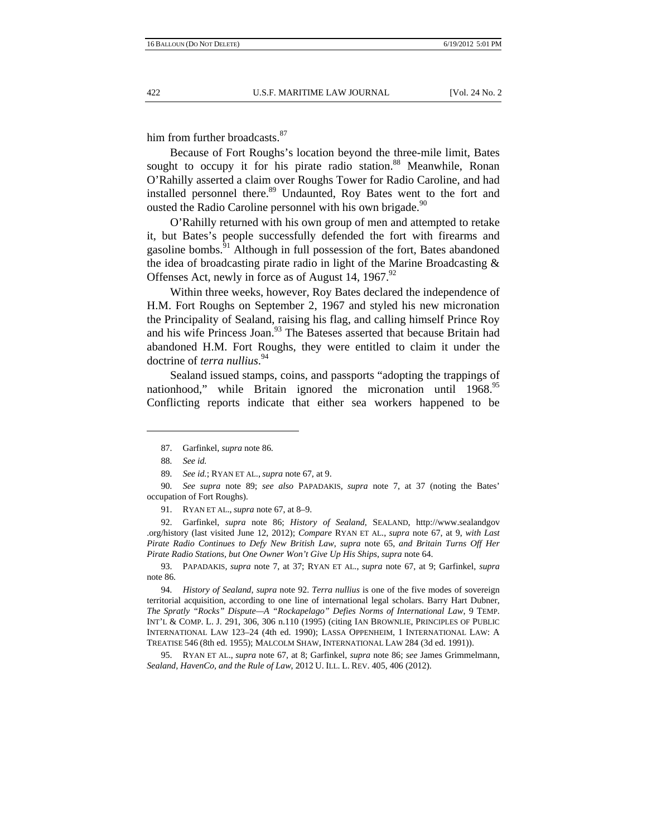him from further broadcasts.<sup>87</sup>

Because of Fort Roughs's location beyond the three-mile limit, Bates sought to occupy it for his pirate radio station.<sup>88</sup> Meanwhile, Ronan O'Rahilly asserted a claim over Roughs Tower for Radio Caroline, and had installed personnel there.<sup>89</sup> Undaunted, Roy Bates went to the fort and ousted the Radio Caroline personnel with his own brigade.<sup>90</sup>

O'Rahilly returned with his own group of men and attempted to retake it, but Bates's people successfully defended the fort with firearms and gasoline bombs.<sup>91</sup> Although in full possession of the fort, Bates abandoned the idea of broadcasting pirate radio in light of the Marine Broadcasting & Offenses Act, newly in force as of August 14, 1967.<sup>92</sup>

Within three weeks, however, Roy Bates declared the independence of H.M. Fort Roughs on September 2, 1967 and styled his new micronation the Principality of Sealand, raising his flag, and calling himself Prince Roy and his wife Princess Joan.<sup>93</sup> The Bateses asserted that because Britain had abandoned H.M. Fort Roughs, they were entitled to claim it under the doctrine of *terra nullius*. 94

Sealand issued stamps, coins, and passports "adopting the trappings of nationhood," while Britain ignored the micronation until 1968.<sup>95</sup> Conflicting reports indicate that either sea workers happened to be

 92. Garfinkel, *supra* note 86; *History of Sealand*, SEALAND, http://www.sealandgov .org/history (last visited June 12, 2012); *Compare* RYAN ET AL., *supra* note 67, at 9, *with Last Pirate Radio Continues to Defy New British Law*, *supra* note 65, *and Britain Turns Off Her Pirate Radio Stations, but One Owner Won't Give Up His Ships*, *supra* note 64.

 <sup>87.</sup> Garfinkel, *supra* note 86.

<sup>88</sup>*. See id.* 

<sup>89</sup>*. See id.*; RYAN ET AL., *supra* note 67, at 9.

<sup>90</sup>*. See supra* note 89; *see also* PAPADAKIS*, supra* note 7, at 37 (noting the Bates' occupation of Fort Roughs).

 <sup>91.</sup> RYAN ET AL., *supra* note 67, at 8–9.

 <sup>93.</sup> PAPADAKIS*, supra* note 7, at 37; RYAN ET AL., *supra* note 67, at 9; Garfinkel, *supra*  note 86.

<sup>94</sup>*. History of Sealand*, *supra* note 92. *Terra nullius* is one of the five modes of sovereign territorial acquisition, according to one line of international legal scholars. Barry Hart Dubner, *The Spratly "Rocks" Dispute—A "Rockapelago" Defies Norms of International Law*, 9 TEMP. INT'L & COMP. L. J. 291, 306, 306 n.110 (1995) (citing IAN BROWNLIE, PRINCIPLES OF PUBLIC INTERNATIONAL LAW 123–24 (4th ed. 1990); LASSA OPPENHEIM, 1 INTERNATIONAL LAW: A TREATISE 546 (8th ed. 1955); MALCOLM SHAW, INTERNATIONAL LAW 284 (3d ed. 1991)).

 <sup>95.</sup> RYAN ET AL., *supra* note 67, at 8; Garfinkel, *supra* note 86; *see* James Grimmelmann, *Sealand, HavenCo, and the Rule of Law*, 2012 U. ILL. L. REV. 405, 406 (2012).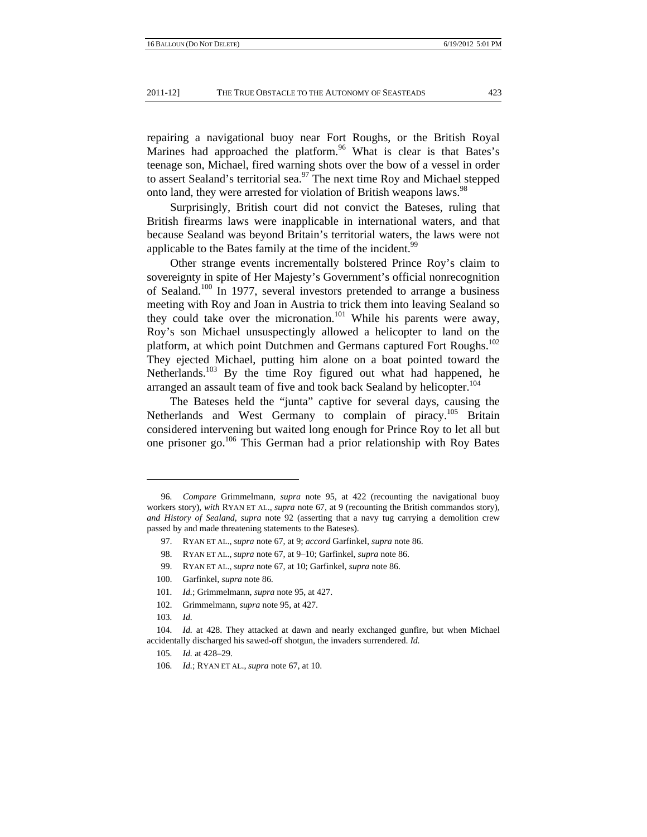repairing a navigational buoy near Fort Roughs, or the British Royal Marines had approached the platform.  $96$  What is clear is that Bates's teenage son, Michael, fired warning shots over the bow of a vessel in order to assert Sealand's territorial sea.<sup>97</sup> The next time Roy and Michael stepped onto land, they were arrested for violation of British weapons laws.<sup>98</sup>

Surprisingly, British court did not convict the Bateses, ruling that British firearms laws were inapplicable in international waters, and that because Sealand was beyond Britain's territorial waters, the laws were not applicable to the Bates family at the time of the incident.<sup>99</sup>

Other strange events incrementally bolstered Prince Roy's claim to sovereignty in spite of Her Majesty's Government's official nonrecognition of Sealand.<sup>100</sup> In 1977, several investors pretended to arrange a business meeting with Roy and Joan in Austria to trick them into leaving Sealand so they could take over the micronation.<sup>101</sup> While his parents were away, Roy's son Michael unsuspectingly allowed a helicopter to land on the platform, at which point Dutchmen and Germans captured Fort Roughs.<sup>102</sup> They ejected Michael, putting him alone on a boat pointed toward the Netherlands.<sup>103</sup> By the time Roy figured out what had happened, he arranged an assault team of five and took back Sealand by helicopter.<sup>104</sup>

The Bateses held the "junta" captive for several days, causing the Netherlands and West Germany to complain of piracy.<sup>105</sup> Britain considered intervening but waited long enough for Prince Roy to let all but one prisoner go.<sup>106</sup> This German had a prior relationship with Roy Bates

<sup>96</sup>*. Compare* Grimmelmann, *supra* note 95, at 422 (recounting the navigational buoy workers story), *with* RYAN ET AL., *supra* note 67, at 9 (recounting the British commandos story), *and History of Sealand*, *supra* note 92 (asserting that a navy tug carrying a demolition crew passed by and made threatening statements to the Bateses).

 <sup>97.</sup> RYAN ET AL., *supra* note 67, at 9; *accord* Garfinkel, *supra* note 86.

 <sup>98.</sup> RYAN ET AL., *supra* note 67, at 9–10; Garfinkel, *supra* note 86.

 <sup>99.</sup> RYAN ET AL., *supra* note 67, at 10; Garfinkel, *supra* note 86.

 <sup>100.</sup> Garfinkel, *supra* note 86.

<sup>101</sup>*. Id.*; Grimmelmann, *supra* note 95, at 427.

 <sup>102.</sup> Grimmelmann, *supra* note 95, at 427.

<sup>103</sup>*. Id.*

<sup>104</sup>*. Id.* at 428. They attacked at dawn and nearly exchanged gunfire, but when Michael accidentally discharged his sawed-off shotgun, the invaders surrendered. *Id.*

<sup>105</sup>*. Id.* at 428–29.

<sup>106</sup>*. Id.*; RYAN ET AL., *supra* note 67, at 10.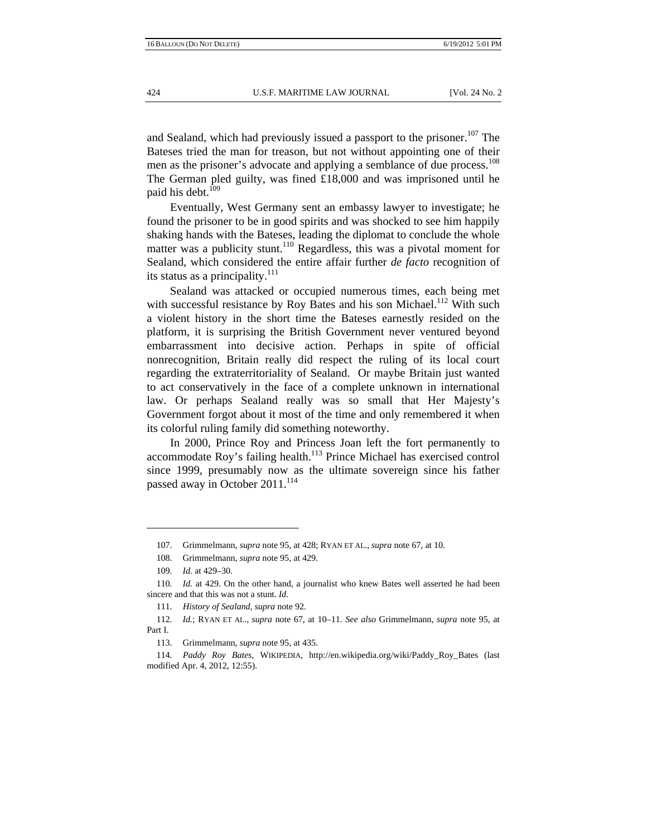and Sealand, which had previously issued a passport to the prisoner.<sup>107</sup> The Bateses tried the man for treason, but not without appointing one of their men as the prisoner's advocate and applying a semblance of due process.<sup>108</sup> The German pled guilty, was fined £18,000 and was imprisoned until he paid his debt.<sup>109</sup>

Eventually, West Germany sent an embassy lawyer to investigate; he found the prisoner to be in good spirits and was shocked to see him happily shaking hands with the Bateses, leading the diplomat to conclude the whole matter was a publicity stunt.<sup>110</sup> Regardless, this was a pivotal moment for Sealand, which considered the entire affair further *de facto* recognition of its status as a principality. $^{111}$ 

Sealand was attacked or occupied numerous times, each being met with successful resistance by Roy Bates and his son Michael.<sup>112</sup> With such a violent history in the short time the Bateses earnestly resided on the platform, it is surprising the British Government never ventured beyond embarrassment into decisive action. Perhaps in spite of official nonrecognition, Britain really did respect the ruling of its local court regarding the extraterritoriality of Sealand. Or maybe Britain just wanted to act conservatively in the face of a complete unknown in international law. Or perhaps Sealand really was so small that Her Majesty's Government forgot about it most of the time and only remembered it when its colorful ruling family did something noteworthy.

In 2000, Prince Roy and Princess Joan left the fort permanently to accommodate Roy's failing health.<sup>113</sup> Prince Michael has exercised control since 1999, presumably now as the ultimate sovereign since his father passed away in October 2011.<sup>114</sup>

 <sup>107.</sup> Grimmelmann, *supra* note 95, at 428; RYAN ET AL., *supra* note 67, at 10.

 <sup>108.</sup> Grimmelmann, *supra* note 95, at 429.

<sup>109</sup>*. Id.* at 429–30.

<sup>110</sup>*. Id.* at 429. On the other hand, a journalist who knew Bates well asserted he had been sincere and that this was not a stunt. *Id.*

<sup>111</sup>*. History of Sealand*, *supra* note 92.

<sup>112</sup>*. Id.*; RYAN ET AL., *supra* note 67, at 10–11. *See also* Grimmelmann, *supra* note 95, at Part I.

 <sup>113.</sup> Grimmelmann, *supra* note 95, at 435.

<sup>114</sup>*. Paddy Roy Bates*, WIKIPEDIA, http://en.wikipedia.org/wiki/Paddy\_Roy\_Bates (last modified Apr. 4, 2012, 12:55).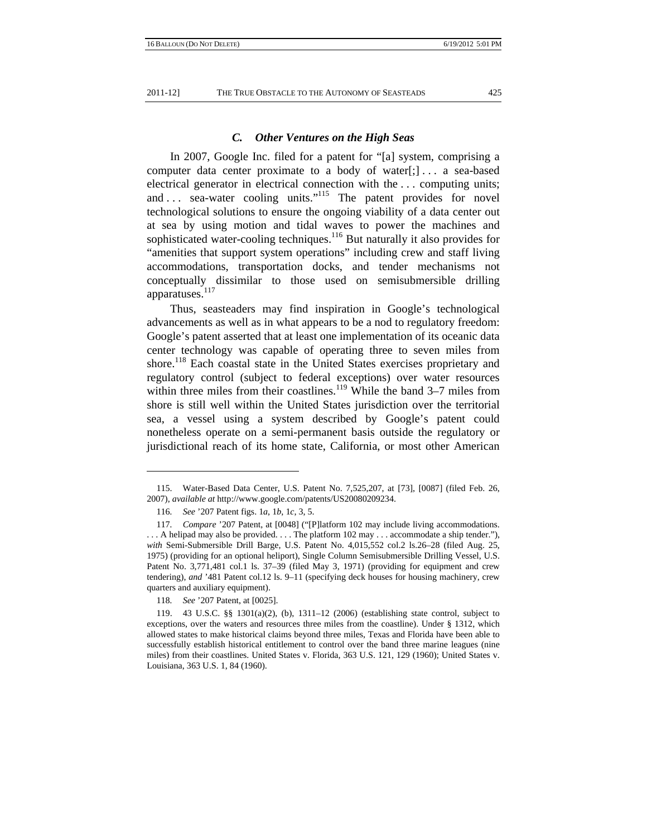#### *C. Other Ventures on the High Seas*

In 2007, Google Inc. filed for a patent for "[a] system, comprising a computer data center proximate to a body of water[;]... a sea-based electrical generator in electrical connection with the . . . computing units; and ... sea-water cooling units."<sup>115</sup> The patent provides for novel technological solutions to ensure the ongoing viability of a data center out at sea by using motion and tidal waves to power the machines and sophisticated water-cooling techniques.<sup>116</sup> But naturally it also provides for "amenities that support system operations" including crew and staff living accommodations, transportation docks, and tender mechanisms not conceptually dissimilar to those used on semisubmersible drilling apparatuses.<sup>117</sup>

Thus, seasteaders may find inspiration in Google's technological advancements as well as in what appears to be a nod to regulatory freedom: Google's patent asserted that at least one implementation of its oceanic data center technology was capable of operating three to seven miles from shore.<sup>118</sup> Each coastal state in the United States exercises proprietary and regulatory control (subject to federal exceptions) over water resources within three miles from their coastlines.<sup>119</sup> While the band  $3-7$  miles from shore is still well within the United States jurisdiction over the territorial sea, a vessel using a system described by Google's patent could nonetheless operate on a semi-permanent basis outside the regulatory or jurisdictional reach of its home state, California, or most other American

 <sup>115.</sup> Water-Based Data Center, U.S. Patent No. 7,525,207, at [73], [0087] (filed Feb. 26, 2007), *available at* http://www.google.com/patents/US20080209234.

<sup>116</sup>*. See* '207 Patent figs. 1*a*, 1*b*, 1*c*, 3, 5.

<sup>117</sup>*. Compare* '207 Patent, at [0048] ("[P]latform 102 may include living accommodations. . . . A helipad may also be provided. . . . The platform 102 may . . . accommodate a ship tender."), *with* Semi-Submersible Drill Barge, U.S. Patent No. 4,015,552 col.2 ls.26–28 (filed Aug. 25, 1975) (providing for an optional heliport), Single Column Semisubmersible Drilling Vessel, U.S. Patent No. 3,771,481 col.1 ls. 37–39 (filed May 3, 1971) (providing for equipment and crew tendering), *and* '481 Patent col.12 ls. 9–11 (specifying deck houses for housing machinery, crew quarters and auxiliary equipment).

<sup>118</sup>*. See* '207 Patent, at [0025].

 <sup>119. 43</sup> U.S.C. §§ 1301(a)(2), (b), 1311–12 (2006) (establishing state control, subject to exceptions, over the waters and resources three miles from the coastline). Under § 1312, which allowed states to make historical claims beyond three miles, Texas and Florida have been able to successfully establish historical entitlement to control over the band three marine leagues (nine miles) from their coastlines. United States v. Florida, 363 U.S. 121, 129 (1960); United States v. Louisiana, 363 U.S. 1, 84 (1960).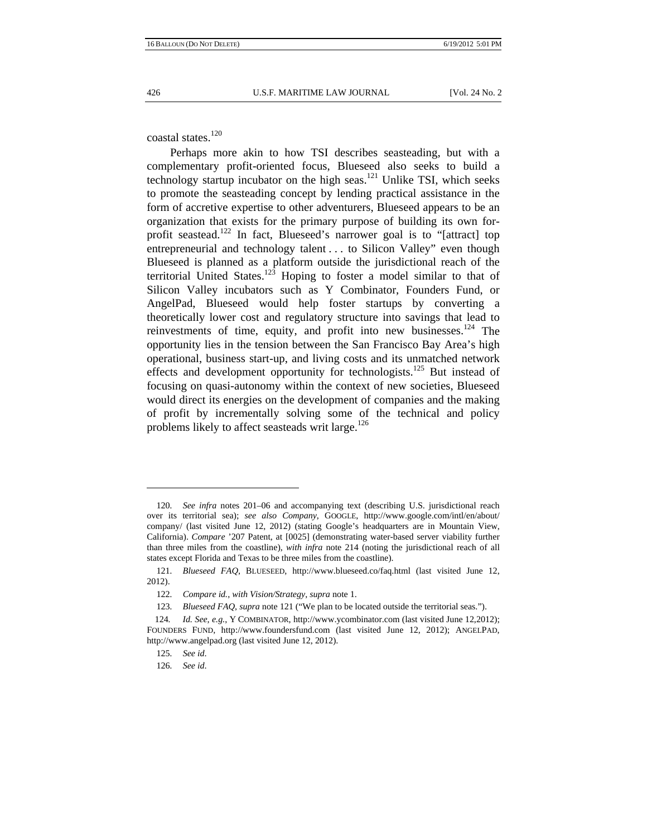coastal states.<sup>120</sup>

Perhaps more akin to how TSI describes seasteading, but with a complementary profit-oriented focus, Blueseed also seeks to build a technology startup incubator on the high seas.<sup>121</sup> Unlike TSI, which seeks to promote the seasteading concept by lending practical assistance in the form of accretive expertise to other adventurers, Blueseed appears to be an organization that exists for the primary purpose of building its own forprofit seastead.<sup>122</sup> In fact, Blueseed's narrower goal is to "[attract] top entrepreneurial and technology talent . . . to Silicon Valley" even though Blueseed is planned as a platform outside the jurisdictional reach of the territorial United States.<sup>123</sup> Hoping to foster a model similar to that of Silicon Valley incubators such as Y Combinator, Founders Fund, or AngelPad, Blueseed would help foster startups by converting a theoretically lower cost and regulatory structure into savings that lead to reinvestments of time, equity, and profit into new businesses.<sup>124</sup> The opportunity lies in the tension between the San Francisco Bay Area's high operational, business start-up, and living costs and its unmatched network effects and development opportunity for technologists.<sup>125</sup> But instead of focusing on quasi-autonomy within the context of new societies, Blueseed would direct its energies on the development of companies and the making of profit by incrementally solving some of the technical and policy problems likely to affect seasteads writ large. $126$ 

<sup>120</sup>*. See infra* notes 201–06 and accompanying text (describing U.S. jurisdictional reach over its territorial sea); *see also Company*, GOOGLE, http://www.google.com/intl/en/about/ company/ (last visited June 12, 2012) (stating Google's headquarters are in Mountain View, California). *Compare* '207 Patent, at [0025] (demonstrating water-based server viability further than three miles from the coastline), *with infra* note 214 (noting the jurisdictional reach of all states except Florida and Texas to be three miles from the coastline).

<sup>121</sup>*. Blueseed FAQ*, BLUESEED, http://www.blueseed.co/faq.html (last visited June 12, 2012).

<sup>122</sup>*. Compare id.*, *with Vision/Strategy*, *supra* note 1.

<sup>123</sup>*. Blueseed FAQ*, *supra* note 121 ("We plan to be located outside the territorial seas.").

<sup>124</sup>*. Id. See, e.g.*, Y COMBINATOR, http://www.ycombinator.com (last visited June 12,2012); FOUNDERS FUND, http://www.foundersfund.com (last visited June 12, 2012); ANGELPAD, http://www.angelpad.org (last visited June 12, 2012).

<sup>125</sup>*. See id*.

<sup>126</sup>*. See id*.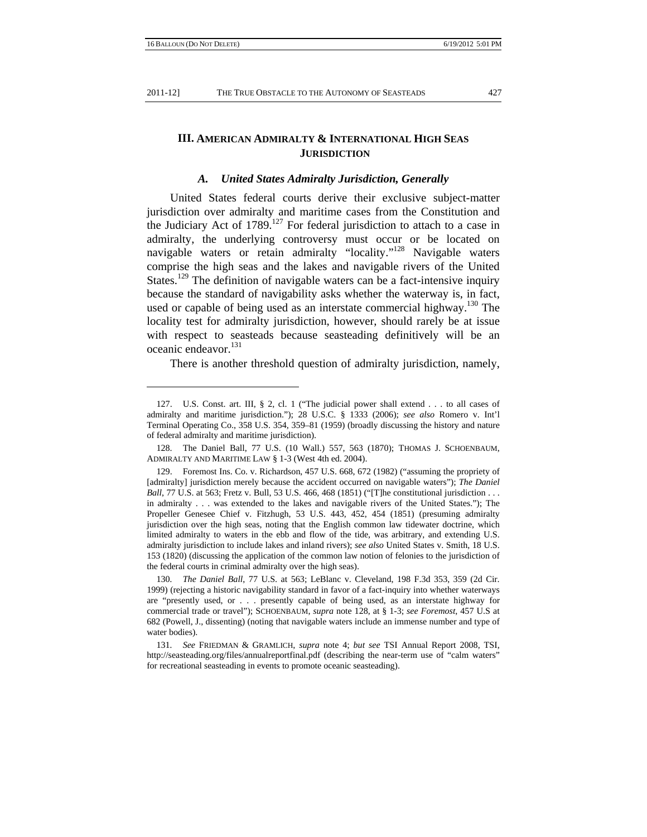## **III. AMERICAN ADMIRALTY & INTERNATIONAL HIGH SEAS JURISDICTION**

#### *A. United States Admiralty Jurisdiction, Generally*

United States federal courts derive their exclusive subject-matter jurisdiction over admiralty and maritime cases from the Constitution and the Judiciary Act of  $1789$ <sup>127</sup> For federal jurisdiction to attach to a case in admiralty, the underlying controversy must occur or be located on navigable waters or retain admiralty "locality."<sup>128</sup> Navigable waters comprise the high seas and the lakes and navigable rivers of the United States.<sup>129</sup> The definition of navigable waters can be a fact-intensive inquiry because the standard of navigability asks whether the waterway is, in fact, used or capable of being used as an interstate commercial highway.<sup>130</sup> The locality test for admiralty jurisdiction, however, should rarely be at issue with respect to seasteads because seasteading definitively will be an oceanic endeavor.<sup>131</sup>

There is another threshold question of admiralty jurisdiction, namely,

 <sup>127.</sup> U.S. Const. art. III, § 2, cl. 1 ("The judicial power shall extend . . . to all cases of admiralty and maritime jurisdiction."); 28 U.S.C. § 1333 (2006); *see also* Romero v. Int'l Terminal Operating Co., 358 U.S. 354, 359–81 (1959) (broadly discussing the history and nature of federal admiralty and maritime jurisdiction).

 <sup>128.</sup> The Daniel Ball, 77 U.S. (10 Wall.) 557, 563 (1870); THOMAS J. SCHOENBAUM, ADMIRALTY AND MARITIME LAW § 1-3 (West 4th ed. 2004).

 <sup>129.</sup> Foremost Ins. Co. v. Richardson, 457 U.S. 668, 672 (1982) ("assuming the propriety of [admiralty] jurisdiction merely because the accident occurred on navigable waters"); *The Daniel Ball*, 77 U.S. at 563; Fretz v. Bull, 53 U.S. 466, 468 (1851) ("[T]he constitutional jurisdiction . . . in admiralty . . . was extended to the lakes and navigable rivers of the United States."); The Propeller Genesee Chief v. Fitzhugh, 53 U.S. 443, 452, 454 (1851) (presuming admiralty jurisdiction over the high seas, noting that the English common law tidewater doctrine, which limited admiralty to waters in the ebb and flow of the tide, was arbitrary, and extending U.S. admiralty jurisdiction to include lakes and inland rivers); *see also* United States v. Smith, 18 U.S. 153 (1820) (discussing the application of the common law notion of felonies to the jurisdiction of the federal courts in criminal admiralty over the high seas).

<sup>130</sup>*. The Daniel Ball*, 77 U.S. at 563; LeBlanc v. Cleveland, 198 F.3d 353, 359 (2d Cir. 1999) (rejecting a historic navigability standard in favor of a fact-inquiry into whether waterways are "presently used, or . . . presently capable of being used, as an interstate highway for commercial trade or travel"); SCHOENBAUM, *supra* note 128, at § 1-3; *see Foremost*, 457 U.S at 682 (Powell, J., dissenting) (noting that navigable waters include an immense number and type of water bodies).

<sup>131</sup>*. See* FRIEDMAN & GRAMLICH, *supra* note 4; *but see* TSI Annual Report 2008, TSI, http://seasteading.org/files/annualreportfinal.pdf (describing the near-term use of "calm waters" for recreational seasteading in events to promote oceanic seasteading).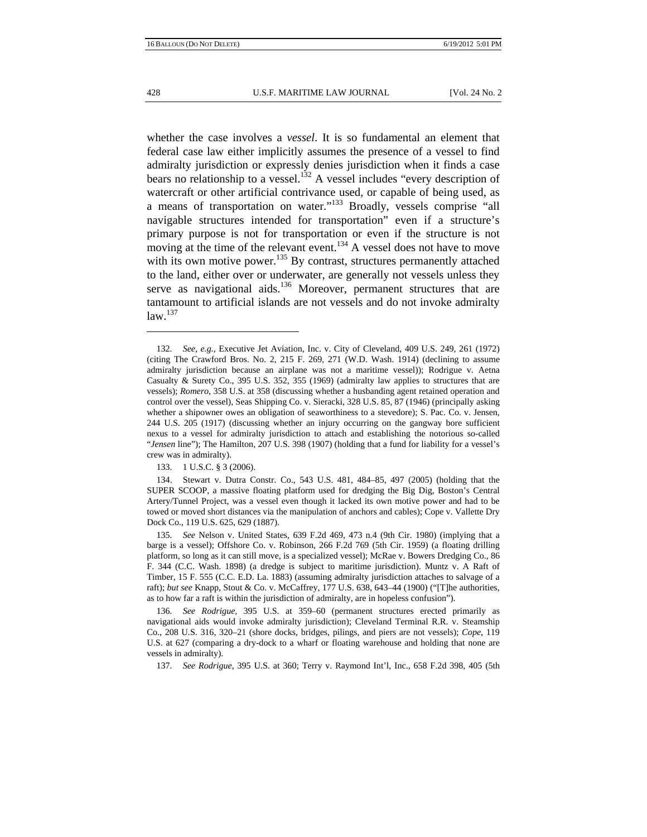whether the case involves a *vessel*. It is so fundamental an element that federal case law either implicitly assumes the presence of a vessel to find admiralty jurisdiction or expressly denies jurisdiction when it finds a case bears no relationship to a vessel.<sup>132</sup> A vessel includes "every description of watercraft or other artificial contrivance used, or capable of being used, as a means of transportation on water."133 Broadly, vessels comprise "all navigable structures intended for transportation" even if a structure's primary purpose is not for transportation or even if the structure is not moving at the time of the relevant event.<sup>134</sup> A vessel does not have to move with its own motive power.<sup>135</sup> By contrast, structures permanently attached to the land, either over or underwater, are generally not vessels unless they serve as navigational aids.<sup>136</sup> Moreover, permanent structures that are tantamount to artificial islands are not vessels and do not invoke admiralty  $law<sup>.137</sup>$ 

133. 1 U.S.C. § 3 (2006).

 134. Stewart v. Dutra Constr. Co., 543 U.S. 481, 484–85, 497 (2005) (holding that the SUPER SCOOP, a massive floating platform used for dredging the Big Dig, Boston's Central Artery/Tunnel Project, was a vessel even though it lacked its own motive power and had to be towed or moved short distances via the manipulation of anchors and cables); Cope v. Vallette Dry Dock Co., 119 U.S. 625, 629 (1887).

135*. See* Nelson v. United States, 639 F.2d 469, 473 n.4 (9th Cir. 1980) (implying that a barge is a vessel); Offshore Co. v. Robinson, 266 F.2d 769 (5th Cir. 1959) (a floating drilling platform, so long as it can still move, is a specialized vessel); McRae v. Bowers Dredging Co., 86 F. 344 (C.C. Wash. 1898) (a dredge is subject to maritime jurisdiction). Muntz v. A Raft of Timber, 15 F. 555 (C.C. E.D. La. 1883) (assuming admiralty jurisdiction attaches to salvage of a raft); *but see* Knapp, Stout & Co. v. McCaffrey, 177 U.S. 638, 643–44 (1900) ("[T]he authorities, as to how far a raft is within the jurisdiction of admiralty, are in hopeless confusion").

136*. See Rodrigue*, 395 U.S. at 359–60 (permanent structures erected primarily as navigational aids would invoke admiralty jurisdiction); Cleveland Terminal R.R. v. Steamship Co., 208 U.S. 316, 320–21 (shore docks, bridges, pilings, and piers are not vessels); *Cope*, 119 U.S. at 627 (comparing a dry-dock to a wharf or floating warehouse and holding that none are vessels in admiralty).

137*. See Rodrigue*, 395 U.S. at 360; Terry v. Raymond Int'l, Inc., 658 F.2d 398, 405 (5th

<sup>132</sup>*. See, e.g.*, Executive Jet Aviation, Inc. v. City of Cleveland, 409 U.S. 249, 261 (1972) (citing The Crawford Bros. No. 2, 215 F. 269, 271 (W.D. Wash. 1914) (declining to assume admiralty jurisdiction because an airplane was not a maritime vessel)); Rodrigue v. Aetna Casualty & Surety Co., 395 U.S. 352, 355 (1969) (admiralty law applies to structures that are vessels); *Romero*, 358 U.S. at 358 (discussing whether a husbanding agent retained operation and control over the vessel), Seas Shipping Co. v. Sieracki, 328 U.S. 85, 87 (1946) (principally asking whether a shipowner owes an obligation of seaworthiness to a stevedore); S. Pac. Co. v. Jensen, 244 U.S. 205 (1917) (discussing whether an injury occurring on the gangway bore sufficient nexus to a vessel for admiralty jurisdiction to attach and establishing the notorious so-called "*Jensen* line"); The Hamilton, 207 U.S. 398 (1907) (holding that a fund for liability for a vessel's crew was in admiralty).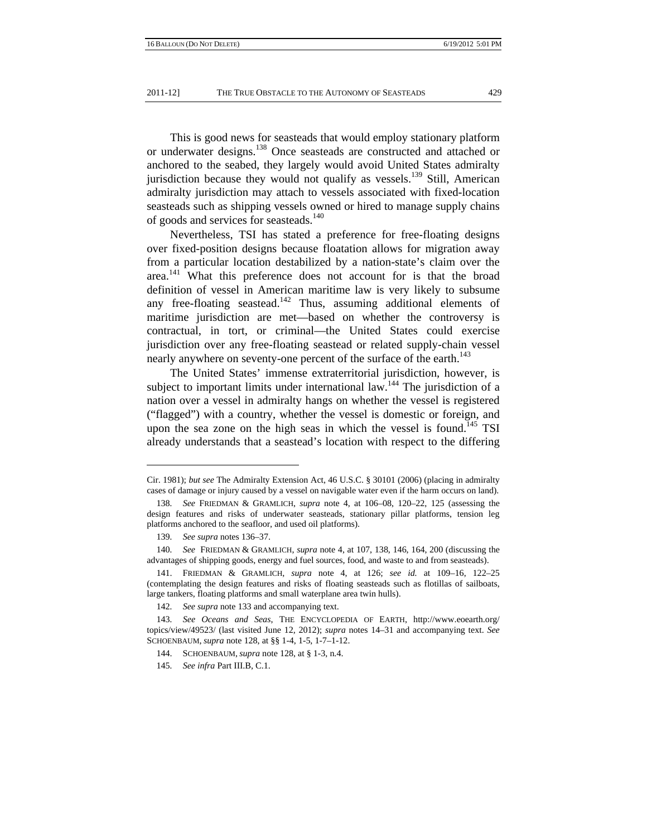This is good news for seasteads that would employ stationary platform or underwater designs.138 Once seasteads are constructed and attached or anchored to the seabed, they largely would avoid United States admiralty jurisdiction because they would not qualify as vessels.<sup>139</sup> Still, American admiralty jurisdiction may attach to vessels associated with fixed-location seasteads such as shipping vessels owned or hired to manage supply chains of goods and services for seasteads.<sup>140</sup>

Nevertheless, TSI has stated a preference for free-floating designs over fixed-position designs because floatation allows for migration away from a particular location destabilized by a nation-state's claim over the area.<sup>141</sup> What this preference does not account for is that the broad definition of vessel in American maritime law is very likely to subsume any free-floating seastead.<sup>142</sup> Thus, assuming additional elements of maritime jurisdiction are met—based on whether the controversy is contractual, in tort, or criminal—the United States could exercise jurisdiction over any free-floating seastead or related supply-chain vessel nearly anywhere on seventy-one percent of the surface of the earth.<sup>143</sup>

The United States' immense extraterritorial jurisdiction, however, is subject to important limits under international law.<sup>144</sup> The jurisdiction of a nation over a vessel in admiralty hangs on whether the vessel is registered ("flagged") with a country, whether the vessel is domestic or foreign, and upon the sea zone on the high seas in which the vessel is found.<sup>145</sup> TSI already understands that a seastead's location with respect to the differing

Cir. 1981); *but see* The Admiralty Extension Act, 46 U.S.C. § 30101 (2006) (placing in admiralty cases of damage or injury caused by a vessel on navigable water even if the harm occurs on land).

<sup>138</sup>*. See* FRIEDMAN & GRAMLICH, *supra* note 4, at 106–08, 120–22, 125 (assessing the design features and risks of underwater seasteads, stationary pillar platforms, tension leg platforms anchored to the seafloor, and used oil platforms).

<sup>139</sup>*. See supra* notes 136–37.

<sup>140</sup>*. See* FRIEDMAN & GRAMLICH, *supra* note 4, at 107, 138, 146, 164, 200 (discussing the advantages of shipping goods, energy and fuel sources, food, and waste to and from seasteads).

 <sup>141.</sup> FRIEDMAN & GRAMLICH, *supra* note 4, at 126; *see id.* at 109–16, 122–25 (contemplating the design features and risks of floating seasteads such as flotillas of sailboats, large tankers, floating platforms and small waterplane area twin hulls).

<sup>142</sup>*. See supra* note 133 and accompanying text.

<sup>143</sup>*. See Oceans and Seas*, THE ENCYCLOPEDIA OF EARTH, http://www.eoearth.org/ topics/view/49523/ (last visited June 12, 2012); *supra* notes 14–31 and accompanying text. *See*  SCHOENBAUM, *supra* note 128, at §§ 1-4, 1-5, 1-7–1-12.

 <sup>144.</sup> SCHOENBAUM, *supra* note 128, at § 1-3, n.4.

<sup>145</sup>*. See infra* Part III.B, C.1.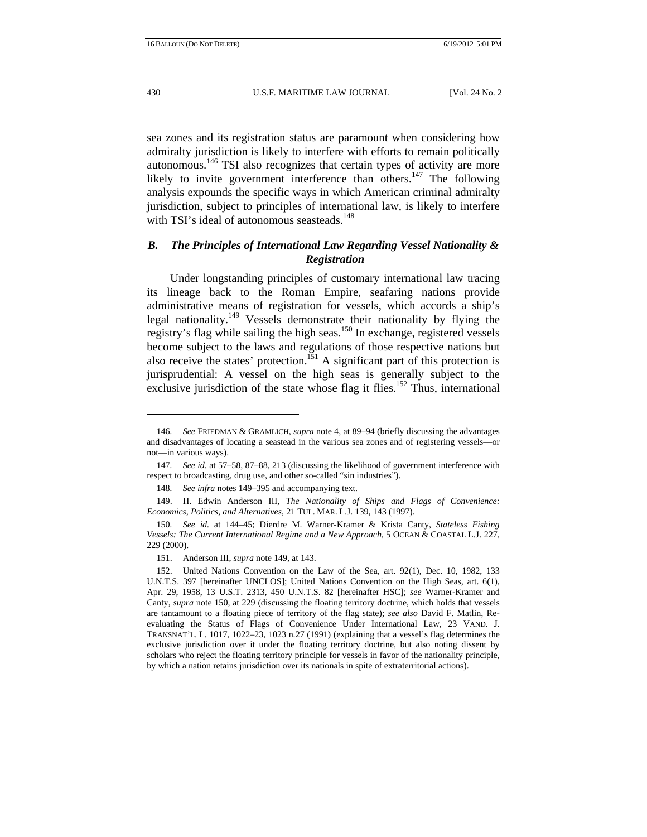sea zones and its registration status are paramount when considering how admiralty jurisdiction is likely to interfere with efforts to remain politically autonomous.146 TSI also recognizes that certain types of activity are more likely to invite government interference than others.<sup>147</sup> The following analysis expounds the specific ways in which American criminal admiralty jurisdiction, subject to principles of international law, is likely to interfere with TSI's ideal of autonomous seasteads.<sup>148</sup>

## *B. The Principles of International Law Regarding Vessel Nationality & Registration*

Under longstanding principles of customary international law tracing its lineage back to the Roman Empire, seafaring nations provide administrative means of registration for vessels, which accords a ship's legal nationality.<sup>149</sup> Vessels demonstrate their nationality by flying the registry's flag while sailing the high seas.150 In exchange, registered vessels become subject to the laws and regulations of those respective nations but also receive the states' protection.<sup>151</sup> A significant part of this protection is jurisprudential: A vessel on the high seas is generally subject to the exclusive jurisdiction of the state whose flag it flies.<sup>152</sup> Thus, international

<sup>146</sup>*. See* FRIEDMAN & GRAMLICH, *supra* note 4, at 89–94 (briefly discussing the advantages and disadvantages of locating a seastead in the various sea zones and of registering vessels—or not—in various ways).

<sup>147</sup>*. See id*. at 57–58, 87–88, 213 (discussing the likelihood of government interference with respect to broadcasting, drug use, and other so-called "sin industries").

<sup>148</sup>*. See infra* notes 149–395 and accompanying text.

 <sup>149.</sup> H. Edwin Anderson III, *The Nationality of Ships and Flags of Convenience: Economics, Politics, and Alternatives*, 21 TUL. MAR. L.J. 139, 143 (1997).

<sup>150</sup>*. See id.* at 144–45; Dierdre M. Warner-Kramer & Krista Canty, *Stateless Fishing Vessels: The Current International Regime and a New Approach*, 5 OCEAN & COASTAL L.J. 227, 229 (2000).

 <sup>151.</sup> Anderson III, *supra* note 149, at 143.

 <sup>152.</sup> United Nations Convention on the Law of the Sea, art. 92(1), Dec. 10, 1982, 133 U.N.T.S. 397 [hereinafter UNCLOS]; United Nations Convention on the High Seas, art. 6(1), Apr. 29, 1958, 13 U.S.T. 2313, 450 U.N.T.S. 82 [hereinafter HSC]; *see* Warner-Kramer and Canty, *supra* note 150, at 229 (discussing the floating territory doctrine, which holds that vessels are tantamount to a floating piece of territory of the flag state); *see also* David F. Matlin, Reevaluating the Status of Flags of Convenience Under International Law, 23 VAND. J. TRANSNAT'L. L. 1017, 1022–23, 1023 n.27 (1991) (explaining that a vessel's flag determines the exclusive jurisdiction over it under the floating territory doctrine, but also noting dissent by scholars who reject the floating territory principle for vessels in favor of the nationality principle, by which a nation retains jurisdiction over its nationals in spite of extraterritorial actions).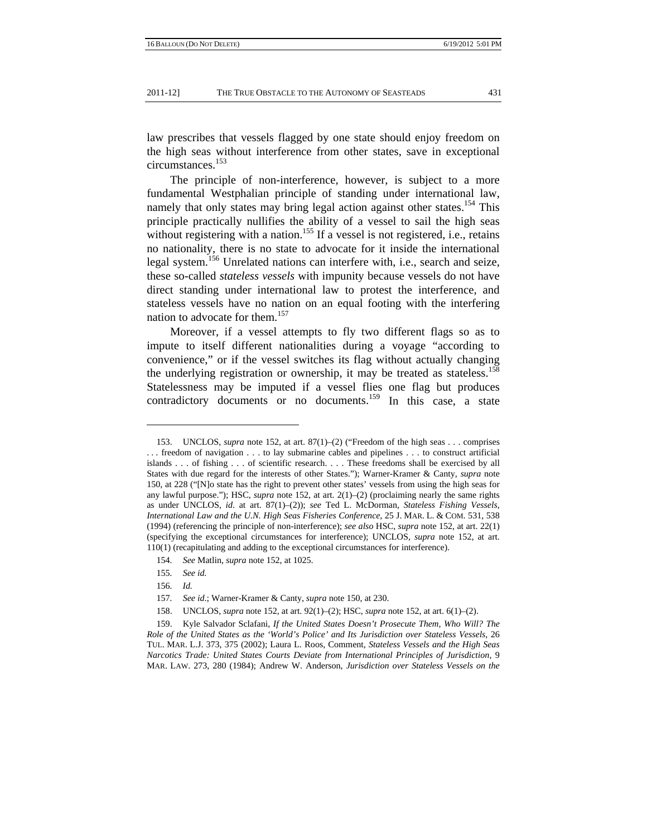law prescribes that vessels flagged by one state should enjoy freedom on the high seas without interference from other states, save in exceptional circumstances.<sup>153</sup>

The principle of non-interference, however, is subject to a more fundamental Westphalian principle of standing under international law, namely that only states may bring legal action against other states.<sup>154</sup> This principle practically nullifies the ability of a vessel to sail the high seas without registering with a nation.<sup>155</sup> If a vessel is not registered, i.e., retains no nationality, there is no state to advocate for it inside the international legal system.<sup>156</sup> Unrelated nations can interfere with, i.e., search and seize, these so-called *stateless vessels* with impunity because vessels do not have direct standing under international law to protest the interference, and stateless vessels have no nation on an equal footing with the interfering nation to advocate for them.<sup>157</sup>

Moreover, if a vessel attempts to fly two different flags so as to impute to itself different nationalities during a voyage "according to convenience," or if the vessel switches its flag without actually changing the underlying registration or ownership, it may be treated as stateless.<sup>158</sup> Statelessness may be imputed if a vessel flies one flag but produces contradictory documents or no documents.<sup>159</sup> In this case, a state

 <sup>153.</sup> UNCLOS, *supra* note 152, at art. 87(1)–(2) ("Freedom of the high seas . . . comprises . . . freedom of navigation . . . to lay submarine cables and pipelines . . . to construct artificial islands . . . of fishing . . . of scientific research. . . . These freedoms shall be exercised by all States with due regard for the interests of other States."); Warner-Kramer & Canty, *supra* note 150, at 228 ("[N]o state has the right to prevent other states' vessels from using the high seas for any lawful purpose."); HSC, *supra* note 152, at art. 2(1)–(2) (proclaiming nearly the same rights as under UNCLOS, *id*. at art. 87(1)–(2)); *see* Ted L. McDorman, *Stateless Fishing Vessels, International Law and the U.N. High Seas Fisheries Conference*, 25 J. MAR. L. & COM. 531, 538 (1994) (referencing the principle of non-interference); *see also* HSC, *supra* note 152, at art. 22(1) (specifying the exceptional circumstances for interference); UNCLOS, *supra* note 152, at art. 110(1) (recapitulating and adding to the exceptional circumstances for interference).

<sup>154</sup>*. See* Matlin, *supra* note 152, at 1025.

<sup>155</sup>*. See id.*

<sup>156</sup>*. Id.*

<sup>157</sup>*. See id*.; Warner-Kramer & Canty, *supra* note 150, at 230.

 <sup>158.</sup> UNCLOS, *supra* note 152, at art. 92(1)–(2); HSC, *supra* note 152, at art. 6(1)–(2).

 <sup>159.</sup> Kyle Salvador Sclafani, *If the United States Doesn't Prosecute Them, Who Will? The Role of the United States as the 'World's Police' and Its Jurisdiction over Stateless Vessels*, 26 TUL. MAR. L.J. 373, 375 (2002); Laura L. Roos, Comment, *Stateless Vessels and the High Seas Narcotics Trade: United States Courts Deviate from International Principles of Jurisdiction*, 9 MAR. LAW. 273, 280 (1984); Andrew W. Anderson, *Jurisdiction over Stateless Vessels on the*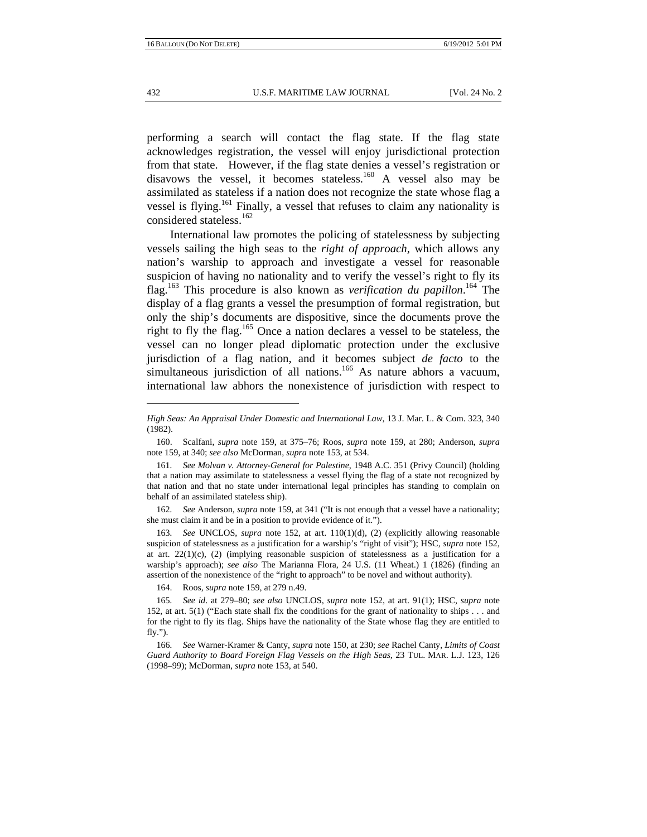performing a search will contact the flag state. If the flag state acknowledges registration, the vessel will enjoy jurisdictional protection from that state. However, if the flag state denies a vessel's registration or disavows the vessel, it becomes stateless.<sup>160</sup> A vessel also may be assimilated as stateless if a nation does not recognize the state whose flag a vessel is flying.<sup>161</sup> Finally, a vessel that refuses to claim any nationality is considered stateless.<sup>162</sup>

International law promotes the policing of statelessness by subjecting vessels sailing the high seas to the *right of approach*, which allows any nation's warship to approach and investigate a vessel for reasonable suspicion of having no nationality and to verify the vessel's right to fly its flag.163 This procedure is also known as *verification du papillon*. 164 The display of a flag grants a vessel the presumption of formal registration, but only the ship's documents are dispositive, since the documents prove the right to fly the flag.165 Once a nation declares a vessel to be stateless, the vessel can no longer plead diplomatic protection under the exclusive jurisdiction of a flag nation, and it becomes subject *de facto* to the simultaneous jurisdiction of all nations.<sup>166</sup> As nature abhors a vacuum, international law abhors the nonexistence of jurisdiction with respect to

163*. See* UNCLOS, *supra* note 152, at art. 110(1)(d), (2) (explicitly allowing reasonable suspicion of statelessness as a justification for a warship's "right of visit"); HSC, *supra* note 152, at art.  $22(1)(c)$ ,  $(2)$  (implying reasonable suspicion of statelessness as a justification for a warship's approach); *see also* The Marianna Flora, 24 U.S. (11 Wheat.) 1 (1826) (finding an assertion of the nonexistence of the "right to approach" to be novel and without authority).

164. Roos, *supra* note 159, at 279 n.49.

*High Seas: An Appraisal Under Domestic and International Law*, 13 J. Mar. L. & Com. 323, 340 (1982).

 <sup>160.</sup> Scalfani, *supra* note 159, at 375–76; Roos, *supra* note 159, at 280; Anderson, *supra* note 159, at 340; *see also* McDorman, *supra* note 153, at 534.

<sup>161</sup>*. See Molvan v. Attorney-General for Palestine*, 1948 A.C. 351 (Privy Council) (holding that a nation may assimilate to statelessness a vessel flying the flag of a state not recognized by that nation and that no state under international legal principles has standing to complain on behalf of an assimilated stateless ship).

<sup>162</sup>*. See* Anderson*, supra* note 159, at 341 ("It is not enough that a vessel have a nationality; she must claim it and be in a position to provide evidence of it.").

<sup>165</sup>*. See id*. at 279–80; *see also* UNCLOS, *supra* note 152, at art. 91(1); HSC, *supra* note 152, at art. 5(1) ("Each state shall fix the conditions for the grant of nationality to ships . . . and for the right to fly its flag. Ships have the nationality of the State whose flag they are entitled to fly.").

<sup>166</sup>*. See* Warner-Kramer & Canty, *supra* note 150, at 230; *see* Rachel Canty, *Limits of Coast Guard Authority to Board Foreign Flag Vessels on the High Seas*, 23 TUL. MAR. L.J. 123, 126 (1998–99); McDorman, *supra* note 153, at 540.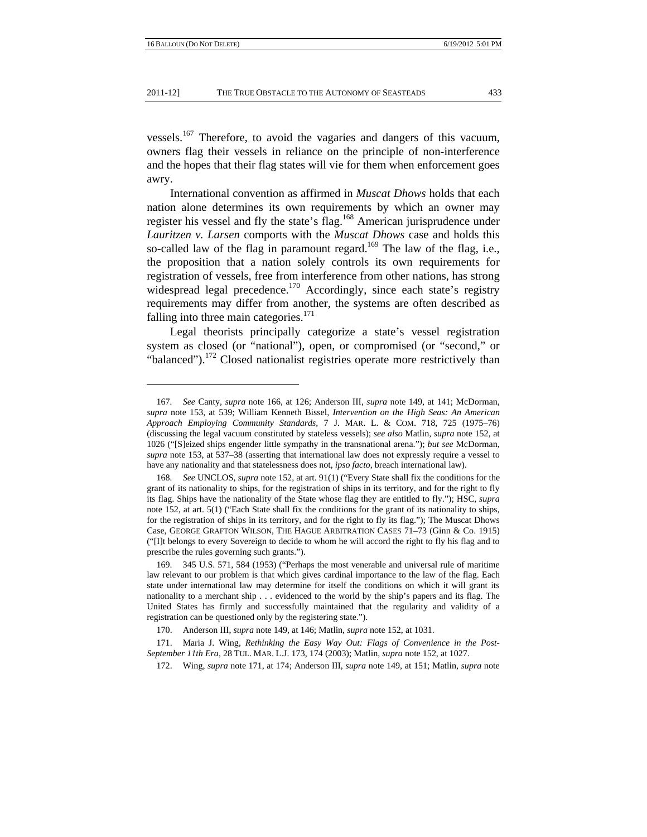#### 2011-12] THE TRUE OBSTACLE TO THE AUTONOMY OF SEASTEADS 433

vessels.<sup>167</sup> Therefore, to avoid the vagaries and dangers of this vacuum, owners flag their vessels in reliance on the principle of non-interference and the hopes that their flag states will vie for them when enforcement goes awry.

International convention as affirmed in *Muscat Dhows* holds that each nation alone determines its own requirements by which an owner may register his vessel and fly the state's flag.<sup>168</sup> American jurisprudence under *Lauritzen v. Larsen* comports with the *Muscat Dhows* case and holds this so-called law of the flag in paramount regard.<sup>169</sup> The law of the flag, i.e., the proposition that a nation solely controls its own requirements for registration of vessels, free from interference from other nations, has strong widespread legal precedence.<sup>170</sup> Accordingly, since each state's registry requirements may differ from another, the systems are often described as falling into three main categories. $171$ 

Legal theorists principally categorize a state's vessel registration system as closed (or "national"), open, or compromised (or "second," or "balanced").<sup>172</sup> Closed nationalist registries operate more restrictively than

<sup>167</sup>*. See* Canty*, supra* note 166, at 126; Anderson III, *supra* note 149, at 141; McDorman, *supra* note 153, at 539; William Kenneth Bissel, *Intervention on the High Seas: An American Approach Employing Community Standards*, 7 J. MAR. L. & COM. 718, 725 (1975–76) (discussing the legal vacuum constituted by stateless vessels); *see also* Matlin, *supra* note 152, at 1026 ("[S]eized ships engender little sympathy in the transnational arena."); *but see* McDorman, *supra* note 153, at 537–38 (asserting that international law does not expressly require a vessel to have any nationality and that statelessness does not, *ipso facto*, breach international law).

<sup>168</sup>*. See* UNCLOS, *supra* note 152, at art. 91(1) ("Every State shall fix the conditions for the grant of its nationality to ships, for the registration of ships in its territory, and for the right to fly its flag. Ships have the nationality of the State whose flag they are entitled to fly."); HSC, *supra* note 152, at art. 5(1) ("Each State shall fix the conditions for the grant of its nationality to ships, for the registration of ships in its territory, and for the right to fly its flag."); The Muscat Dhows Case, GEORGE GRAFTON WILSON, THE HAGUE ARBITRATION CASES 71–73 (Ginn & Co. 1915) ("[I]t belongs to every Sovereign to decide to whom he will accord the right to fly his flag and to prescribe the rules governing such grants.").

 <sup>169. 345</sup> U.S. 571, 584 (1953) ("Perhaps the most venerable and universal rule of maritime law relevant to our problem is that which gives cardinal importance to the law of the flag. Each state under international law may determine for itself the conditions on which it will grant its nationality to a merchant ship . . . evidenced to the world by the ship's papers and its flag. The United States has firmly and successfully maintained that the regularity and validity of a registration can be questioned only by the registering state.").

 <sup>170.</sup> Anderson III, *supra* note 149, at 146; Matlin, *supra* note 152, at 1031.

 <sup>171.</sup> Maria J. Wing, *Rethinking the Easy Way Out: Flags of Convenience in the Post-September 11th Era*, 28 TUL. MAR. L.J. 173, 174 (2003); Matlin, *supra* note 152, at 1027.

 <sup>172.</sup> Wing, *supra* note 171, at 174; Anderson III, *supra* note 149, at 151; Matlin, *supra* note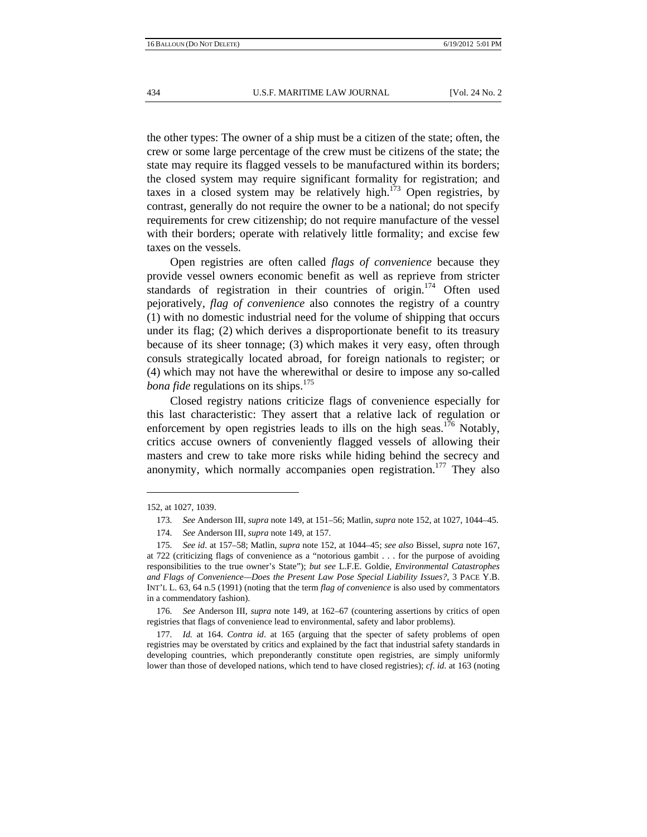the other types: The owner of a ship must be a citizen of the state; often, the crew or some large percentage of the crew must be citizens of the state; the state may require its flagged vessels to be manufactured within its borders; the closed system may require significant formality for registration; and taxes in a closed system may be relatively high.<sup>173</sup> Open registries, by contrast, generally do not require the owner to be a national; do not specify requirements for crew citizenship; do not require manufacture of the vessel with their borders; operate with relatively little formality; and excise few taxes on the vessels.

Open registries are often called *flags of convenience* because they provide vessel owners economic benefit as well as reprieve from stricter standards of registration in their countries of origin.<sup>174</sup> Often used pejoratively, *flag of convenience* also connotes the registry of a country (1) with no domestic industrial need for the volume of shipping that occurs under its flag; (2) which derives a disproportionate benefit to its treasury because of its sheer tonnage; (3) which makes it very easy, often through consuls strategically located abroad, for foreign nationals to register; or (4) which may not have the wherewithal or desire to impose any so-called *bona fide* regulations on its ships.<sup>175</sup>

Closed registry nations criticize flags of convenience especially for this last characteristic: They assert that a relative lack of regulation or enforcement by open registries leads to ills on the high seas.<sup>176</sup> Notably, critics accuse owners of conveniently flagged vessels of allowing their masters and crew to take more risks while hiding behind the secrecy and anonymity, which normally accompanies open registration.<sup>177</sup> They also

<sup>152,</sup> at 1027, 1039.

<sup>173</sup>*. See* Anderson III, *supra* note 149, at 151–56; Matlin, *supra* note 152, at 1027, 1044–45.

<sup>174</sup>*. See* Anderson III, *supra* note 149, at 157.

<sup>175</sup>*. See id*. at 157–58; Matlin, *supra* note 152, at 1044–45; *see also* Bissel, *supra* note 167, at 722 (criticizing flags of convenience as a "notorious gambit . . . for the purpose of avoiding responsibilities to the true owner's State"); *but see* L.F.E. Goldie, *Environmental Catastrophes and Flags of Convenience—Does the Present Law Pose Special Liability Issues?*, 3 PACE Y.B. INT'L L. 63, 64 n.5 (1991) (noting that the term *flag of convenience* is also used by commentators in a commendatory fashion).

<sup>176</sup>*. See* Anderson III, *supra* note 149, at 162–67 (countering assertions by critics of open registries that flags of convenience lead to environmental, safety and labor problems).

<sup>177</sup>*. Id.* at 164. *Contra id*. at 165 (arguing that the specter of safety problems of open registries may be overstated by critics and explained by the fact that industrial safety standards in developing countries, which preponderantly constitute open registries, are simply uniformly lower than those of developed nations, which tend to have closed registries); *cf*. *id*. at 163 (noting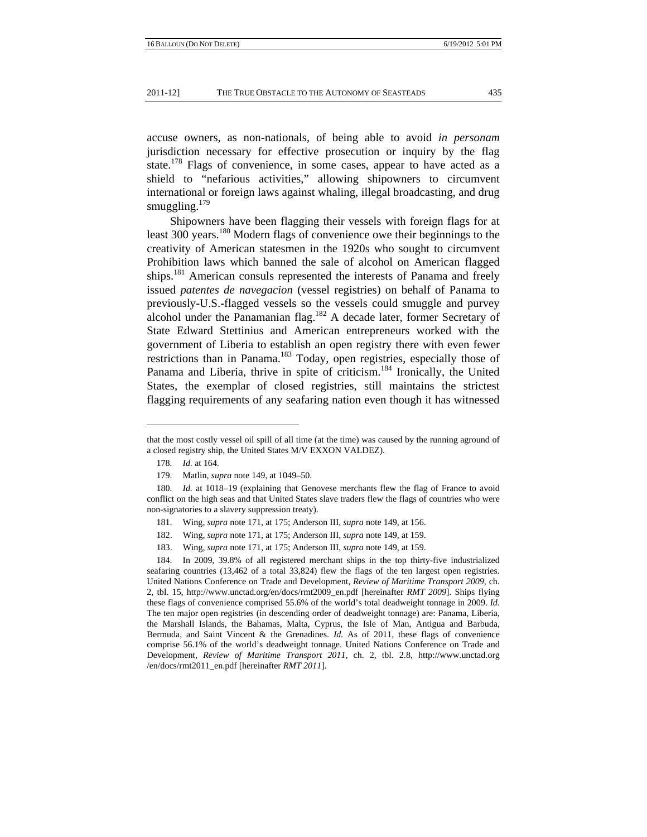accuse owners, as non-nationals, of being able to avoid *in personam* jurisdiction necessary for effective prosecution or inquiry by the flag state.<sup>178</sup> Flags of convenience, in some cases, appear to have acted as a shield to "nefarious activities," allowing shipowners to circumvent international or foreign laws against whaling, illegal broadcasting, and drug smuggling. $179$ 

Shipowners have been flagging their vessels with foreign flags for at least 300 years.<sup>180</sup> Modern flags of convenience owe their beginnings to the creativity of American statesmen in the 1920s who sought to circumvent Prohibition laws which banned the sale of alcohol on American flagged ships.<sup>181</sup> American consuls represented the interests of Panama and freely issued *patentes de navegacion* (vessel registries) on behalf of Panama to previously-U.S.-flagged vessels so the vessels could smuggle and purvey alcohol under the Panamanian flag.<sup>182</sup> A decade later, former Secretary of State Edward Stettinius and American entrepreneurs worked with the government of Liberia to establish an open registry there with even fewer restrictions than in Panama.<sup>183</sup> Today, open registries, especially those of Panama and Liberia, thrive in spite of criticism.<sup>184</sup> Ironically, the United States, the exemplar of closed registries, still maintains the strictest flagging requirements of any seafaring nation even though it has witnessed

that the most costly vessel oil spill of all time (at the time) was caused by the running aground of a closed registry ship, the United States M/V EXXON VALDEZ).

<sup>178</sup>*. Id.* at 164.

 <sup>179.</sup> Matlin, *supra* note 149, at 1049–50.

<sup>180</sup>*. Id.* at 1018–19 (explaining that Genovese merchants flew the flag of France to avoid conflict on the high seas and that United States slave traders flew the flags of countries who were non-signatories to a slavery suppression treaty).

 <sup>181.</sup> Wing*, supra* note 171, at 175; Anderson III, *supra* note 149, at 156.

 <sup>182.</sup> Wing, *supra* note 171, at 175; Anderson III, *supra* note 149, at 159.

 <sup>183.</sup> Wing, *supra* note 171, at 175; Anderson III, *supra* note 149, at 159.

 <sup>184.</sup> In 2009, 39.8% of all registered merchant ships in the top thirty-five industrialized seafaring countries (13,462 of a total 33,824) flew the flags of the ten largest open registries. United Nations Conference on Trade and Development, *Review of Maritime Transport 2009*, ch. 2, tbl. 15, http://www.unctad.org/en/docs/rmt2009\_en.pdf [hereinafter *RMT 2009*]. Ships flying these flags of convenience comprised 55.6% of the world's total deadweight tonnage in 2009. *Id.* The ten major open registries (in descending order of deadweight tonnage) are: Panama, Liberia, the Marshall Islands, the Bahamas, Malta, Cyprus, the Isle of Man, Antigua and Barbuda, Bermuda, and Saint Vincent & the Grenadines. *Id.* As of 2011, these flags of convenience comprise 56.1% of the world's deadweight tonnage. United Nations Conference on Trade and Development, *Review of Maritime Transport 2011*, ch. 2, tbl. 2.8, http://www.unctad.org /en/docs/rmt2011\_en.pdf [hereinafter *RMT 2011*].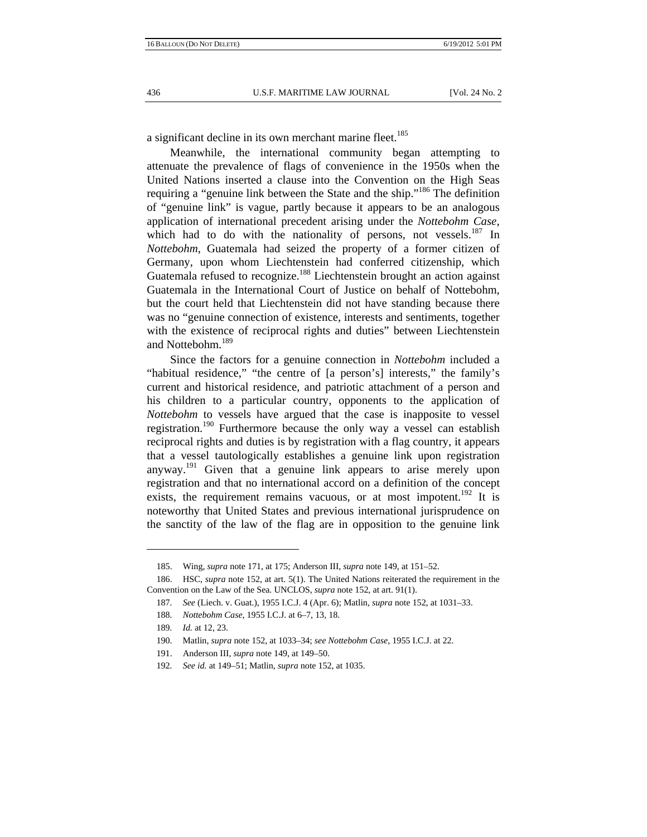a significant decline in its own merchant marine fleet.<sup>185</sup>

Meanwhile, the international community began attempting to attenuate the prevalence of flags of convenience in the 1950s when the United Nations inserted a clause into the Convention on the High Seas requiring a "genuine link between the State and the ship."186 The definition of "genuine link" is vague, partly because it appears to be an analogous application of international precedent arising under the *Nottebohm Case*, which had to do with the nationality of persons, not vessels. $187$  In *Nottebohm*, Guatemala had seized the property of a former citizen of Germany, upon whom Liechtenstein had conferred citizenship, which Guatemala refused to recognize.<sup>188</sup> Liechtenstein brought an action against Guatemala in the International Court of Justice on behalf of Nottebohm, but the court held that Liechtenstein did not have standing because there was no "genuine connection of existence, interests and sentiments, together with the existence of reciprocal rights and duties" between Liechtenstein and Nottebohm.<sup>189</sup>

Since the factors for a genuine connection in *Nottebohm* included a "habitual residence," "the centre of [a person's] interests," the family's current and historical residence, and patriotic attachment of a person and his children to a particular country, opponents to the application of *Nottebohm* to vessels have argued that the case is inapposite to vessel registration.<sup>190</sup> Furthermore because the only way a vessel can establish reciprocal rights and duties is by registration with a flag country, it appears that a vessel tautologically establishes a genuine link upon registration anyway.<sup>191</sup> Given that a genuine link appears to arise merely upon registration and that no international accord on a definition of the concept exists, the requirement remains vacuous, or at most impotent.<sup>192</sup> It is noteworthy that United States and previous international jurisprudence on the sanctity of the law of the flag are in opposition to the genuine link

 <sup>185.</sup> Wing, *supra* note 171, at 175; Anderson III, *supra* note 149, at 151–52.

 <sup>186.</sup> HSC, *supra* note 152, at art. 5(1). The United Nations reiterated the requirement in the Convention on the Law of the Sea. UNCLOS, *supra* note 152, at art. 91(1).

<sup>187</sup>*. See* (Liech. v. Guat.), 1955 I.C.J. 4 (Apr. 6); Matlin, *supra* note 152, at 1031–33.

<sup>188</sup>*. Nottebohm Case*, 1955 I.C.J. at 6–7, 13, 18.

<sup>189</sup>*. Id.* at 12, 23.

 <sup>190.</sup> Matlin*, supra* note 152, at 1033–34; *see Nottebohm Case*, 1955 I.C.J. at 22.

 <sup>191.</sup> Anderson III, *supra* note 149, at 149–50.

<sup>192</sup>*. See id.* at 149–51; Matlin, *supra* note 152, at 1035.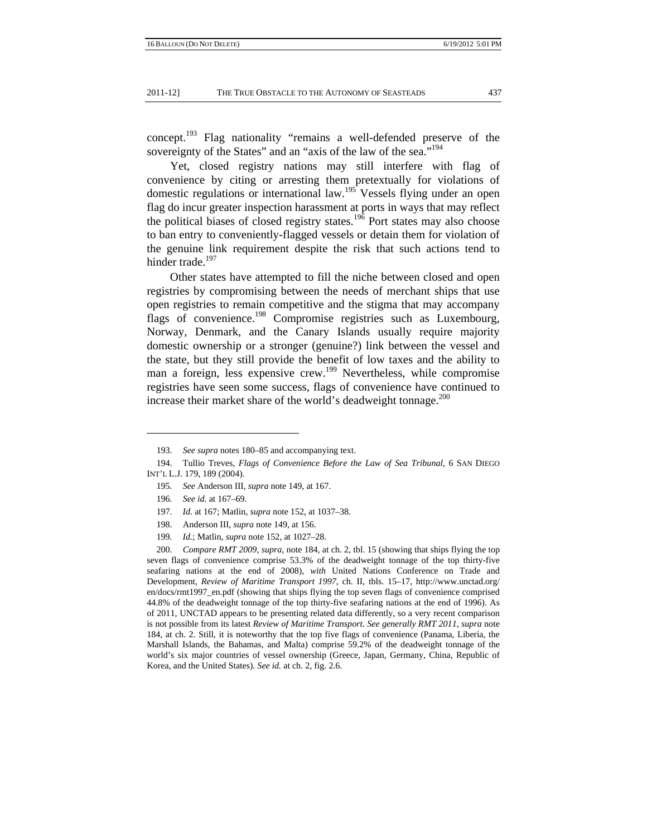concept.193 Flag nationality "remains a well-defended preserve of the sovereignty of the States" and an "axis of the law of the sea."<sup>194</sup>

Yet, closed registry nations may still interfere with flag of convenience by citing or arresting them pretextually for violations of domestic regulations or international law.<sup>195</sup> Vessels flying under an open flag do incur greater inspection harassment at ports in ways that may reflect the political biases of closed registry states.196 Port states may also choose to ban entry to conveniently-flagged vessels or detain them for violation of the genuine link requirement despite the risk that such actions tend to hinder trade.<sup>197</sup>

Other states have attempted to fill the niche between closed and open registries by compromising between the needs of merchant ships that use open registries to remain competitive and the stigma that may accompany flags of convenience.<sup>198</sup> Compromise registries such as Luxembourg, Norway, Denmark, and the Canary Islands usually require majority domestic ownership or a stronger (genuine?) link between the vessel and the state, but they still provide the benefit of low taxes and the ability to man a foreign, less expensive crew.<sup>199</sup> Nevertheless, while compromise registries have seen some success, flags of convenience have continued to increase their market share of the world's deadweight tonnage. $^{200}$ 

195*. See* Anderson III, *supra* note 149, at 167.

- 197*. Id.* at 167; Matlin, *supra* note 152, at 1037–38.
- 198. Anderson III*, supra* note 149, at 156.
- 199*. Id.*; Matlin, *supra* note 152, at 1027–28.

200*. Compare RMT 2009*, *supra*, note 184, at ch. 2, tbl. 15 (showing that ships flying the top seven flags of convenience comprise 53.3% of the deadweight tonnage of the top thirty-five seafaring nations at the end of 2008), *with* United Nations Conference on Trade and Development, *Review of Maritime Transport 1997*, ch. II, tbls. 15–17, http://www.unctad.org/ en/docs/rmt1997\_en.pdf (showing that ships flying the top seven flags of convenience comprised 44.8% of the deadweight tonnage of the top thirty-five seafaring nations at the end of 1996). As of 2011, UNCTAD appears to be presenting related data differently, so a very recent comparison is not possible from its latest *Review of Maritime Transport*. *See generally RMT 2011*, *supra* note 184, at ch. 2. Still, it is noteworthy that the top five flags of convenience (Panama, Liberia, the Marshall Islands, the Bahamas, and Malta) comprise 59.2% of the deadweight tonnage of the world's six major countries of vessel ownership (Greece, Japan, Germany, China, Republic of Korea, and the United States). *See id.* at ch. 2, fig. 2.6.

<sup>193</sup>*. See supra* notes 180–85 and accompanying text.

 <sup>194.</sup> Tullio Treves, *Flags of Convenience Before the Law of Sea Tribunal*, 6 SAN DIEGO INT'L L.J. 179, 189 (2004).

<sup>196</sup>*. See id.* at 167–69.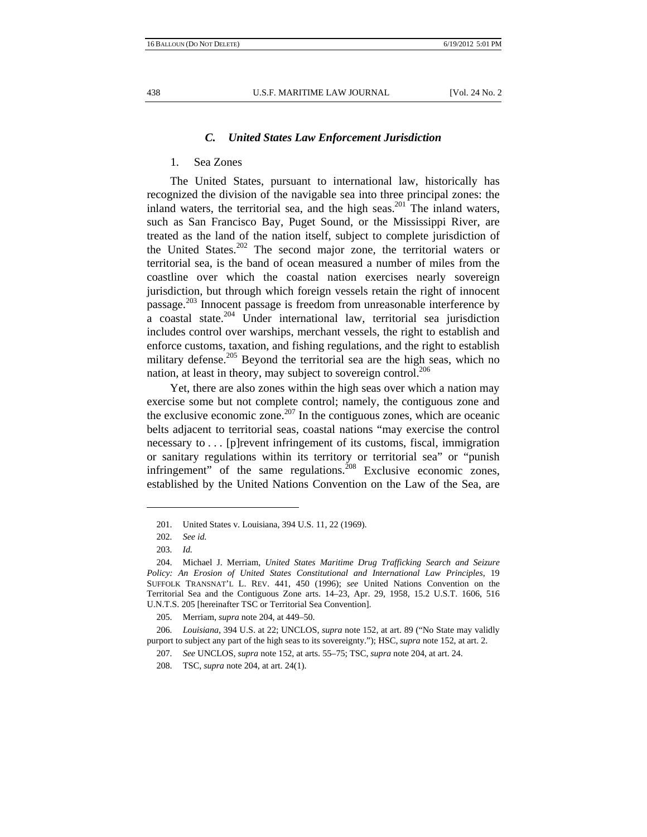## *C. United States Law Enforcement Jurisdiction*

## 1. Sea Zones

The United States, pursuant to international law, historically has recognized the division of the navigable sea into three principal zones: the inland waters, the territorial sea, and the high seas.<sup>201</sup> The inland waters, such as San Francisco Bay, Puget Sound, or the Mississippi River, are treated as the land of the nation itself, subject to complete jurisdiction of the United States.<sup>202</sup> The second major zone, the territorial waters or territorial sea, is the band of ocean measured a number of miles from the coastline over which the coastal nation exercises nearly sovereign jurisdiction, but through which foreign vessels retain the right of innocent passage.<sup>203</sup> Innocent passage is freedom from unreasonable interference by  $\alpha$  coastal state.<sup>204</sup> Under international law, territorial sea jurisdiction includes control over warships, merchant vessels, the right to establish and enforce customs, taxation, and fishing regulations, and the right to establish military defense.<sup>205</sup> Beyond the territorial sea are the high seas, which no nation, at least in theory, may subject to sovereign control.<sup>206</sup>

Yet, there are also zones within the high seas over which a nation may exercise some but not complete control; namely, the contiguous zone and the exclusive economic zone.<sup>207</sup> In the contiguous zones, which are oceanic belts adjacent to territorial seas, coastal nations "may exercise the control necessary to . . . [p]revent infringement of its customs, fiscal, immigration or sanitary regulations within its territory or territorial sea" or "punish infringement" of the same regulations.<sup>208</sup> Exclusive economic zones, established by the United Nations Convention on the Law of the Sea, are

 <sup>201.</sup> United States v. Louisiana, 394 U.S. 11, 22 (1969).

<sup>202</sup>*. See id.*

<sup>203</sup>*. Id.*

 <sup>204.</sup> Michael J. Merriam, *United States Maritime Drug Trafficking Search and Seizure Policy: An Erosion of United States Constitutional and International Law Principles*, 19 SUFFOLK TRANSNAT'L L. REV. 441, 450 (1996); *see* United Nations Convention on the Territorial Sea and the Contiguous Zone arts. 14–23, Apr. 29, 1958, 15.2 U.S.T. 1606, 516 U.N.T.S. 205 [hereinafter TSC or Territorial Sea Convention].

 <sup>205.</sup> Merriam, *supra* note 204, at 449–50.

<sup>206</sup>*. Louisiana*, 394 U.S. at 22; UNCLOS, *supra* note 152, at art. 89 ("No State may validly purport to subject any part of the high seas to its sovereignty."); HSC, *supra* note 152, at art. 2.

<sup>207</sup>*. See* UNCLOS, *supra* note 152, at arts. 55–75; TSC, *supra* note 204, at art. 24.

 <sup>208.</sup> TSC, *supra* note 204, at art. 24(1).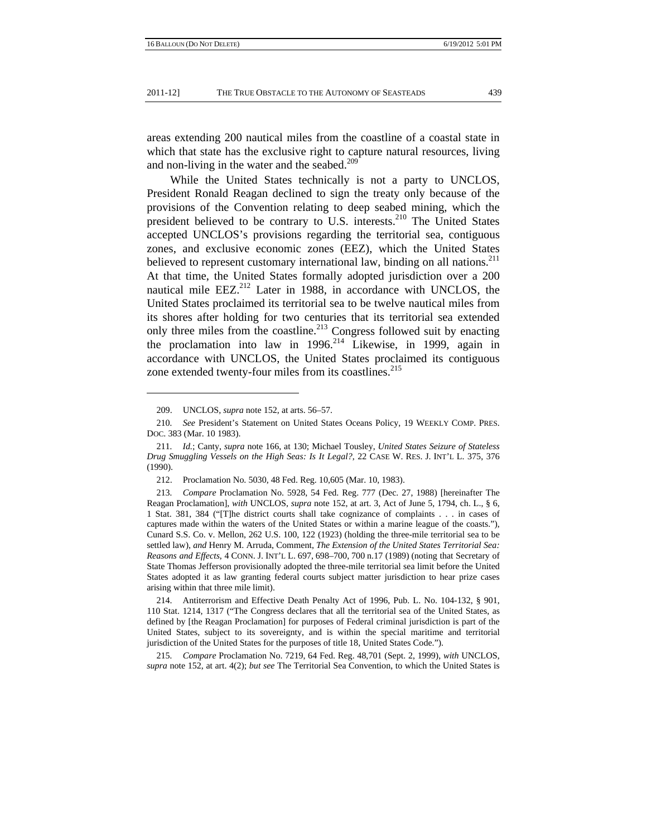areas extending 200 nautical miles from the coastline of a coastal state in which that state has the exclusive right to capture natural resources, living and non-living in the water and the seabed.<sup>209</sup>

While the United States technically is not a party to UNCLOS, President Ronald Reagan declined to sign the treaty only because of the provisions of the Convention relating to deep seabed mining, which the president believed to be contrary to U.S. interests. $210$  The United States accepted UNCLOS's provisions regarding the territorial sea, contiguous zones, and exclusive economic zones (EEZ), which the United States believed to represent customary international law, binding on all nations.<sup>211</sup> At that time, the United States formally adopted jurisdiction over a 200 nautical mile  $EEZ^{212}$  Later in 1988, in accordance with UNCLOS, the United States proclaimed its territorial sea to be twelve nautical miles from its shores after holding for two centuries that its territorial sea extended only three miles from the coastline.<sup>213</sup> Congress followed suit by enacting the proclamation into law in  $1996$ <sup>214</sup> Likewise, in 1999, again in accordance with UNCLOS, the United States proclaimed its contiguous zone extended twenty-four miles from its coastlines.<sup>215</sup>

215*. Compare* Proclamation No. 7219, 64 Fed. Reg. 48,701 (Sept. 2, 1999), *with* UNCLOS, *supra* note 152, at art. 4(2); *but see* The Territorial Sea Convention, to which the United States is

 <sup>209.</sup> UNCLOS, *supra* note 152, at arts. 56–57.

<sup>210</sup>*. See* President's Statement on United States Oceans Policy, 19 WEEKLY COMP. PRES. DOC. 383 (Mar. 10 1983).

<sup>211</sup>*. Id.*; Canty, *supra* note 166, at 130; Michael Tousley, *United States Seizure of Stateless Drug Smuggling Vessels on the High Seas: Is It Legal?*, 22 CASE W. RES. J. INT'L L. 375, 376 (1990).

 <sup>212.</sup> Proclamation No. 5030, 48 Fed. Reg. 10,605 (Mar. 10, 1983).

<sup>213</sup>*. Compare* Proclamation No. 5928, 54 Fed. Reg. 777 (Dec. 27, 1988) [hereinafter The Reagan Proclamation], *with* UNCLOS, *supra* note 152, at art. 3, Act of June 5, 1794, ch. L., § 6, 1 Stat. 381, 384 ("[T]he district courts shall take cognizance of complaints . . . in cases of captures made within the waters of the United States or within a marine league of the coasts."), Cunard S.S. Co. v. Mellon, 262 U.S. 100, 122 (1923) (holding the three-mile territorial sea to be settled law), *and* Henry M. Arruda, Comment, *The Extension of the United States Territorial Sea: Reasons and Effects*, 4 CONN. J. INT'L L. 697, 698–700, 700 n.17 (1989) (noting that Secretary of State Thomas Jefferson provisionally adopted the three-mile territorial sea limit before the United States adopted it as law granting federal courts subject matter jurisdiction to hear prize cases arising within that three mile limit).

 <sup>214.</sup> Antiterrorism and Effective Death Penalty Act of 1996, Pub. L. No. 104-132, § 901, 110 Stat. 1214, 1317 ("The Congress declares that all the territorial sea of the United States, as defined by [the Reagan Proclamation] for purposes of Federal criminal jurisdiction is part of the United States, subject to its sovereignty, and is within the special maritime and territorial jurisdiction of the United States for the purposes of title 18, United States Code.").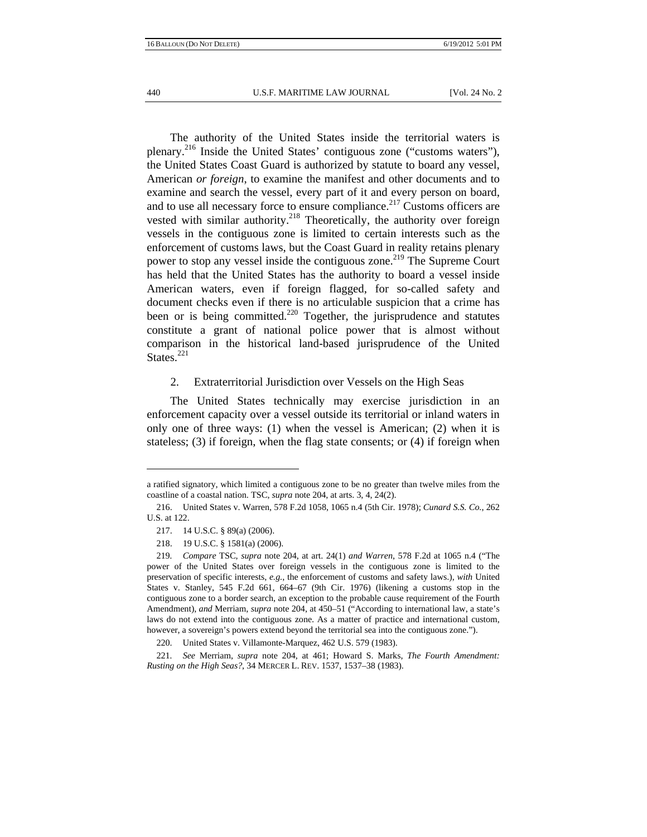The authority of the United States inside the territorial waters is plenary.<sup>216</sup> Inside the United States' contiguous zone ("customs waters"), the United States Coast Guard is authorized by statute to board any vessel, American *or foreign*, to examine the manifest and other documents and to examine and search the vessel, every part of it and every person on board, and to use all necessary force to ensure compliance.<sup>217</sup> Customs officers are vested with similar authority.<sup>218</sup> Theoretically, the authority over foreign vessels in the contiguous zone is limited to certain interests such as the enforcement of customs laws, but the Coast Guard in reality retains plenary power to stop any vessel inside the contiguous zone.<sup>219</sup> The Supreme Court has held that the United States has the authority to board a vessel inside American waters, even if foreign flagged, for so-called safety and document checks even if there is no articulable suspicion that a crime has been or is being committed.<sup>220</sup> Together, the jurisprudence and statutes constitute a grant of national police power that is almost without comparison in the historical land-based jurisprudence of the United States. $^{221}$ 

#### 2. Extraterritorial Jurisdiction over Vessels on the High Seas

The United States technically may exercise jurisdiction in an enforcement capacity over a vessel outside its territorial or inland waters in only one of three ways: (1) when the vessel is American; (2) when it is stateless; (3) if foreign, when the flag state consents; or (4) if foreign when

a ratified signatory, which limited a contiguous zone to be no greater than twelve miles from the coastline of a coastal nation. TSC, *supra* note 204, at arts. 3, 4, 24(2).

 <sup>216.</sup> United States v. Warren, 578 F.2d 1058, 1065 n.4 (5th Cir. 1978); *Cunard S.S. Co.*, 262 U.S. at 122.

 <sup>217. 14</sup> U.S.C. § 89(a) (2006).

 <sup>218. 19</sup> U.S.C. § 1581(a) (2006).

<sup>219</sup>*. Compare* TSC, *supra* note 204, at art. 24(1) *and Warren*, 578 F.2d at 1065 n.4 ("The power of the United States over foreign vessels in the contiguous zone is limited to the preservation of specific interests, *e.g.*, the enforcement of customs and safety laws.), *with* United States v. Stanley, 545 F.2d 661, 664–67 (9th Cir. 1976) (likening a customs stop in the contiguous zone to a border search, an exception to the probable cause requirement of the Fourth Amendment), *and* Merriam, *supra* note 204, at 450–51 ("According to international law, a state's laws do not extend into the contiguous zone. As a matter of practice and international custom, however, a sovereign's powers extend beyond the territorial sea into the contiguous zone.").

 <sup>220.</sup> United States v. Villamonte-Marquez, 462 U.S. 579 (1983).

<sup>221</sup>*. See* Merriam, *supra* note 204, at 461; Howard S. Marks, *The Fourth Amendment: Rusting on the High Seas?*, 34 MERCER L. REV. 1537, 1537–38 (1983).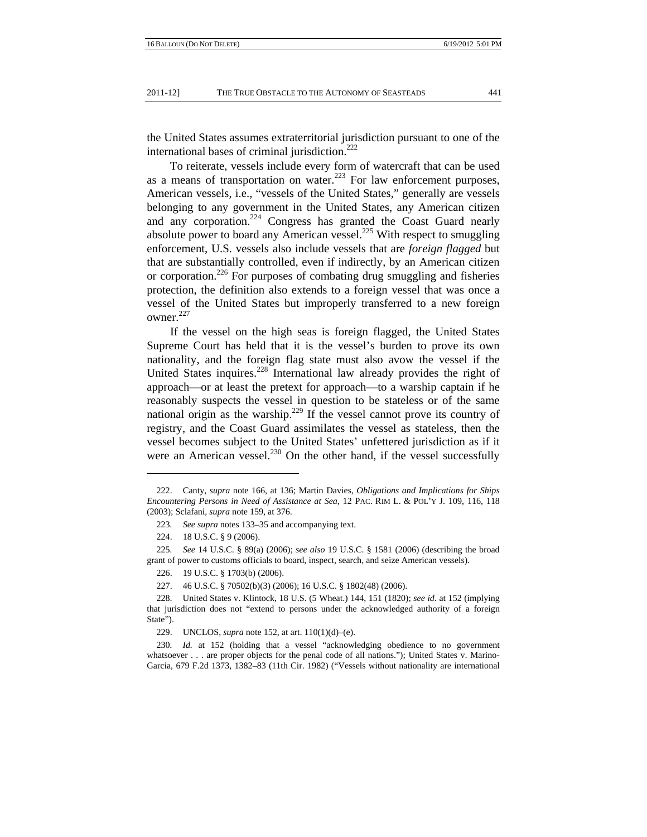the United States assumes extraterritorial jurisdiction pursuant to one of the international bases of criminal jurisdiction.<sup>222</sup>

To reiterate, vessels include every form of watercraft that can be used as a means of transportation on water.<sup>223</sup> For law enforcement purposes, American vessels, i.e., "vessels of the United States," generally are vessels belonging to any government in the United States, any American citizen and any corporation.<sup>224</sup> Congress has granted the Coast Guard nearly absolute power to board any American vessel.<sup>225</sup> With respect to smuggling enforcement, U.S. vessels also include vessels that are *foreign flagged* but that are substantially controlled, even if indirectly, by an American citizen or corporation.<sup>226</sup> For purposes of combating drug smuggling and fisheries protection, the definition also extends to a foreign vessel that was once a vessel of the United States but improperly transferred to a new foreign owner. $227$ 

If the vessel on the high seas is foreign flagged, the United States Supreme Court has held that it is the vessel's burden to prove its own nationality, and the foreign flag state must also avow the vessel if the United States inquires.<sup>228</sup> International law already provides the right of approach—or at least the pretext for approach—to a warship captain if he reasonably suspects the vessel in question to be stateless or of the same national origin as the warship.<sup>229</sup> If the vessel cannot prove its country of registry, and the Coast Guard assimilates the vessel as stateless, then the vessel becomes subject to the United States' unfettered jurisdiction as if it were an American vessel.<sup>230</sup> On the other hand, if the vessel successfully

225*. See* 14 U.S.C. § 89(a) (2006); *see also* 19 U.S.C. § 1581 (2006) (describing the broad grant of power to customs officials to board, inspect, search, and seize American vessels).

226. 19 U.S.C. § 1703(b) (2006).

227. 46 U.S.C. § 70502(b)(3) (2006); 16 U.S.C. § 1802(48) (2006).

229. UNCLOS, *supra* note 152, at art. 110(1)(d)–(e).

230*. Id.* at 152 (holding that a vessel "acknowledging obedience to no government whatsoever . . . are proper objects for the penal code of all nations."); United States v. Marino-Garcia, 679 F.2d 1373, 1382–83 (11th Cir. 1982) ("Vessels without nationality are international

 <sup>222.</sup> Canty, *supra* note 166, at 136; Martin Davies, *Obligations and Implications for Ships Encountering Persons in Need of Assistance at Sea*, 12 PAC. RIM L. & POL'Y J. 109, 116, 118 (2003); Sclafani, *supra* note 159, at 376.

<sup>223</sup>*. See supra* notes 133–35 and accompanying text.

 <sup>224. 18</sup> U.S.C. § 9 (2006).

 <sup>228.</sup> United States v. Klintock, 18 U.S. (5 Wheat.) 144, 151 (1820); *see id*. at 152 (implying that jurisdiction does not "extend to persons under the acknowledged authority of a foreign State").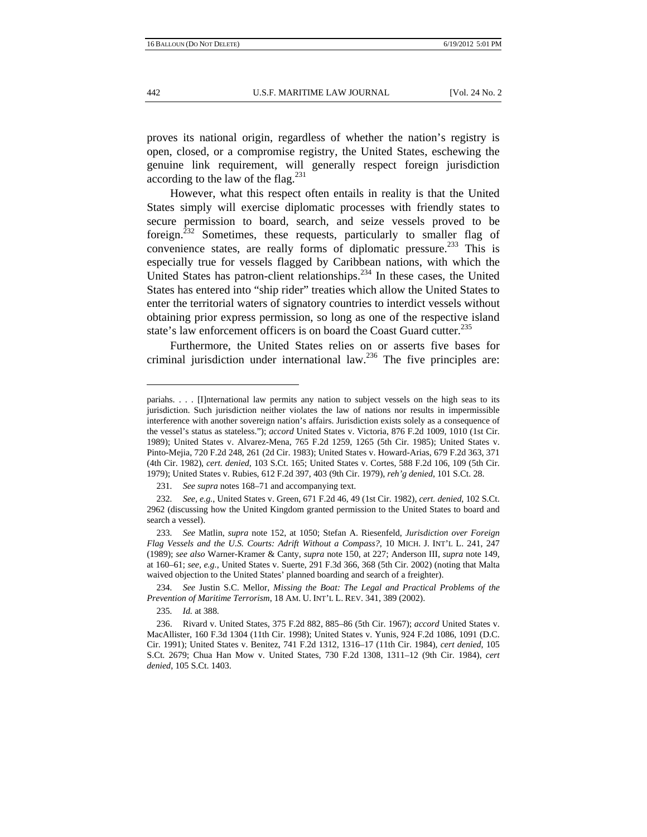proves its national origin, regardless of whether the nation's registry is open, closed, or a compromise registry, the United States, eschewing the genuine link requirement, will generally respect foreign jurisdiction according to the law of the flag. $231$ 

However, what this respect often entails in reality is that the United States simply will exercise diplomatic processes with friendly states to secure permission to board, search, and seize vessels proved to be foreign.<sup> $232$ </sup> Sometimes, these requests, particularly to smaller flag of convenience states, are really forms of diplomatic pressure.<sup>233</sup> This is especially true for vessels flagged by Caribbean nations, with which the United States has patron-client relationships. $^{234}$  In these cases, the United States has entered into "ship rider" treaties which allow the United States to enter the territorial waters of signatory countries to interdict vessels without obtaining prior express permission, so long as one of the respective island state's law enforcement officers is on board the Coast Guard cutter.<sup>235</sup>

Furthermore, the United States relies on or asserts five bases for criminal jurisdiction under international law.<sup>236</sup> The five principles are:

234*. See* Justin S.C. Mellor, *Missing the Boat: The Legal and Practical Problems of the Prevention of Maritime Terrorism*, 18 AM. U. INT'L L. REV. 341, 389 (2002).

235*. Id.* at 388.

pariahs. . . . [I]nternational law permits any nation to subject vessels on the high seas to its jurisdiction. Such jurisdiction neither violates the law of nations nor results in impermissible interference with another sovereign nation's affairs. Jurisdiction exists solely as a consequence of the vessel's status as stateless."); *accord* United States v. Victoria, 876 F.2d 1009, 1010 (1st Cir. 1989); United States v. Alvarez-Mena, 765 F.2d 1259, 1265 (5th Cir. 1985); United States v. Pinto-Mejia, 720 F.2d 248, 261 (2d Cir. 1983); United States v. Howard-Arias, 679 F.2d 363, 371 (4th Cir. 1982), *cert. denied*, 103 S.Ct. 165; United States v. Cortes, 588 F.2d 106, 109 (5th Cir. 1979); United States v. Rubies, 612 F.2d 397, 403 (9th Cir. 1979), *reh'g denied*, 101 S.Ct. 28.

<sup>231</sup>*. See supra* notes 168–71 and accompanying text.

<sup>232</sup>*. See, e.g.*, United States v. Green, 671 F.2d 46, 49 (1st Cir. 1982), *cert. denied*, 102 S.Ct. 2962 (discussing how the United Kingdom granted permission to the United States to board and search a vessel).

<sup>233</sup>*. See* Matlin, *supra* note 152, at 1050; Stefan A. Riesenfeld, *Jurisdiction over Foreign Flag Vessels and the U.S. Courts: Adrift Without a Compass?*, 10 MICH. J. INT'L L. 241, 247 (1989); *see also* Warner-Kramer & Canty, *supra* note 150, at 227; Anderson III, *supra* note 149, at 160–61; *see, e.g.*, United States v. Suerte, 291 F.3d 366, 368 (5th Cir. 2002) (noting that Malta waived objection to the United States' planned boarding and search of a freighter).

 <sup>236.</sup> Rivard v. United States, 375 F.2d 882, 885–86 (5th Cir. 1967); *accord* United States v. MacAllister, 160 F.3d 1304 (11th Cir. 1998); United States v. Yunis, 924 F.2d 1086, 1091 (D.C. Cir. 1991); United States v. Benitez, 741 F.2d 1312, 1316–17 (11th Cir. 1984), *cert denied*, 105 S.Ct. 2679; Chua Han Mow v. United States, 730 F.2d 1308, 1311–12 (9th Cir. 1984), *cert denied*, 105 S.Ct. 1403.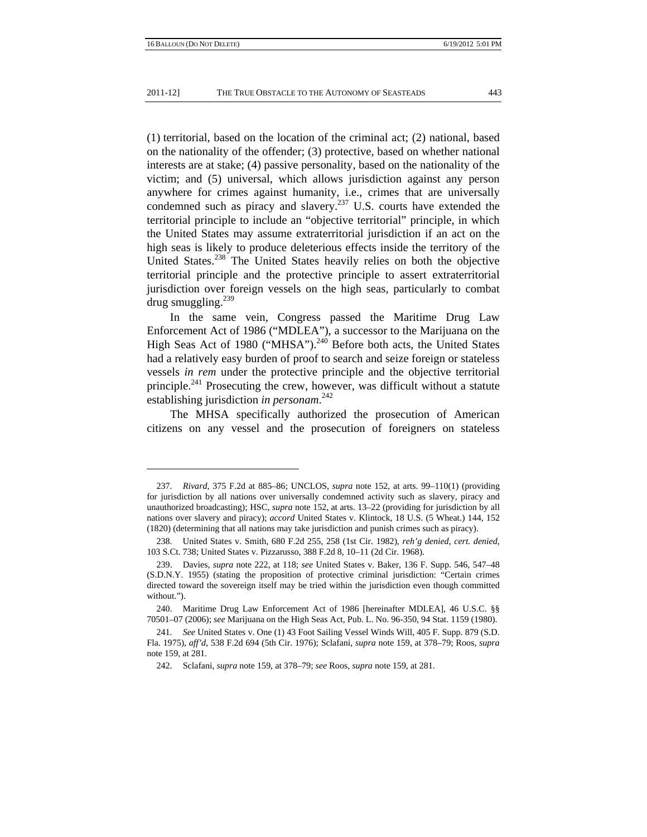(1) territorial, based on the location of the criminal act; (2) national, based on the nationality of the offender; (3) protective, based on whether national interests are at stake; (4) passive personality, based on the nationality of the victim; and (5) universal, which allows jurisdiction against any person anywhere for crimes against humanity, i.e., crimes that are universally condemned such as piracy and slavery.<sup>237</sup> U.S. courts have extended the territorial principle to include an "objective territorial" principle, in which the United States may assume extraterritorial jurisdiction if an act on the high seas is likely to produce deleterious effects inside the territory of the United States.<sup>238</sup> The United States heavily relies on both the objective territorial principle and the protective principle to assert extraterritorial jurisdiction over foreign vessels on the high seas, particularly to combat drug smuggling. $239$ 

In the same vein, Congress passed the Maritime Drug Law Enforcement Act of 1986 ("MDLEA"), a successor to the Marijuana on the High Seas Act of 1980 ("MHSA").<sup>240</sup> Before both acts, the United States had a relatively easy burden of proof to search and seize foreign or stateless vessels *in rem* under the protective principle and the objective territorial principle.<sup>241</sup> Prosecuting the crew, however, was difficult without a statute establishing jurisdiction *in personam*. 242

The MHSA specifically authorized the prosecution of American citizens on any vessel and the prosecution of foreigners on stateless

<sup>237</sup>*. Rivard*, 375 F.2d at 885–86; UNCLOS, *supra* note 152, at arts. 99–110(1) (providing for jurisdiction by all nations over universally condemned activity such as slavery, piracy and unauthorized broadcasting); HSC, *supra* note 152, at arts. 13–22 (providing for jurisdiction by all nations over slavery and piracy); *accord* United States v. Klintock, 18 U.S. (5 Wheat.) 144, 152 (1820) (determining that all nations may take jurisdiction and punish crimes such as piracy).

 <sup>238.</sup> United States v. Smith, 680 F.2d 255, 258 (1st Cir. 1982), *reh'g denied*, *cert. denied*, 103 S.Ct. 738; United States v. Pizzarusso, 388 F.2d 8, 10–11 (2d Cir. 1968).

 <sup>239.</sup> Davies, *supra* note 222, at 118; *see* United States v. Baker, 136 F. Supp. 546, 547–48 (S.D.N.Y. 1955) (stating the proposition of protective criminal jurisdiction: "Certain crimes directed toward the sovereign itself may be tried within the jurisdiction even though committed without.").

 <sup>240.</sup> Maritime Drug Law Enforcement Act of 1986 [hereinafter MDLEA], 46 U.S.C. §§ 70501–07 (2006); *see* Marijuana on the High Seas Act, Pub. L. No. 96-350, 94 Stat. 1159 (1980).

<sup>241</sup>*. See* United States v. One (1) 43 Foot Sailing Vessel Winds Will, 405 F. Supp. 879 (S.D. Fla. 1975), *aff'd*, 538 F.2d 694 (5th Cir. 1976); Sclafani, *supra* note 159, at 378–79; Roos, *supra* note 159, at 281.

 <sup>242.</sup> Sclafani, *supra* note 159, at 378–79; *see* Roos, *supra* note 159, at 281.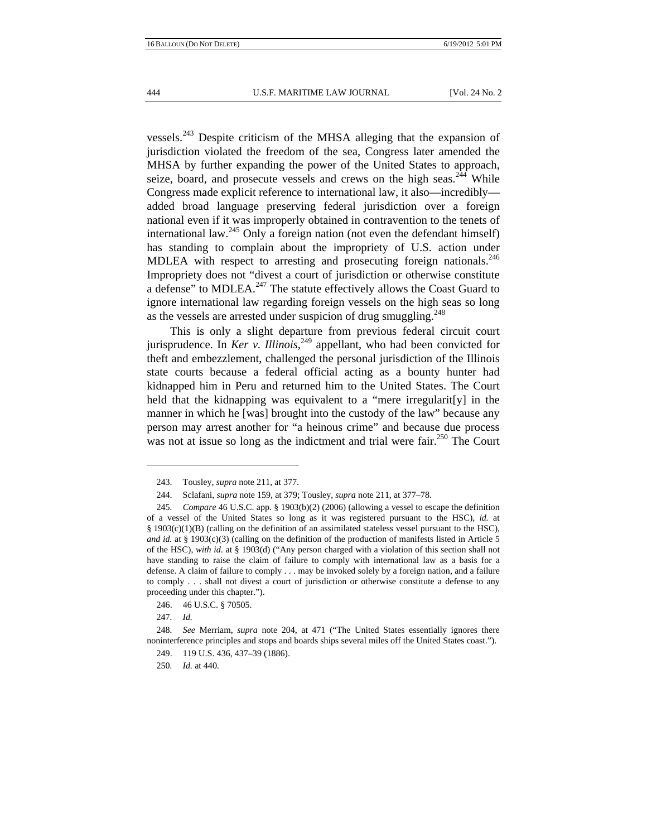vessels.<sup>243</sup> Despite criticism of the MHSA alleging that the expansion of jurisdiction violated the freedom of the sea, Congress later amended the MHSA by further expanding the power of the United States to approach, seize, board, and prosecute vessels and crews on the high seas.<sup>244</sup> While Congress made explicit reference to international law, it also—incredibly added broad language preserving federal jurisdiction over a foreign national even if it was improperly obtained in contravention to the tenets of international law.<sup>245</sup> Only a foreign nation (not even the defendant himself) has standing to complain about the impropriety of U.S. action under MDLEA with respect to arresting and prosecuting foreign nationals.<sup>246</sup> Impropriety does not "divest a court of jurisdiction or otherwise constitute a defense" to MDLEA.<sup>247</sup> The statute effectively allows the Coast Guard to ignore international law regarding foreign vessels on the high seas so long as the vessels are arrested under suspicion of drug smuggling.<sup>248</sup>

This is only a slight departure from previous federal circuit court jurisprudence. In *Ker v. Illinois*, 249 appellant, who had been convicted for theft and embezzlement, challenged the personal jurisdiction of the Illinois state courts because a federal official acting as a bounty hunter had kidnapped him in Peru and returned him to the United States. The Court held that the kidnapping was equivalent to a "mere irregularit[y] in the manner in which he [was] brought into the custody of the law" because any person may arrest another for "a heinous crime" and because due process was not at issue so long as the indictment and trial were fair.<sup>250</sup> The Court

246. 46 U.S.C. § 70505.

247*. Id.*

250*. Id.* at 440.

 <sup>243.</sup> Tousley, *supra* note 211, at 377.

 <sup>244.</sup> Sclafani, *supra* note 159, at 379; Tousley, *supra* note 211, at 377–78.

<sup>245</sup>*. Compare* 46 U.S.C. app. § 1903(b)(2) (2006) (allowing a vessel to escape the definition of a vessel of the United States so long as it was registered pursuant to the HSC), *id.* at § 1903(c)(1)(B) (calling on the definition of an assimilated stateless vessel pursuant to the HSC), *and id.* at § 1903(c)(3) (calling on the definition of the production of manifests listed in Article 5 of the HSC), *with id*. at § 1903(d) ("Any person charged with a violation of this section shall not have standing to raise the claim of failure to comply with international law as a basis for a defense. A claim of failure to comply . . . may be invoked solely by a foreign nation, and a failure to comply . . . shall not divest a court of jurisdiction or otherwise constitute a defense to any proceeding under this chapter.").

<sup>248</sup>*. See* Merriam, *supra* note 204, at 471 ("The United States essentially ignores there noninterference principles and stops and boards ships several miles off the United States coast.").

 <sup>249. 119</sup> U.S. 436, 437–39 (1886).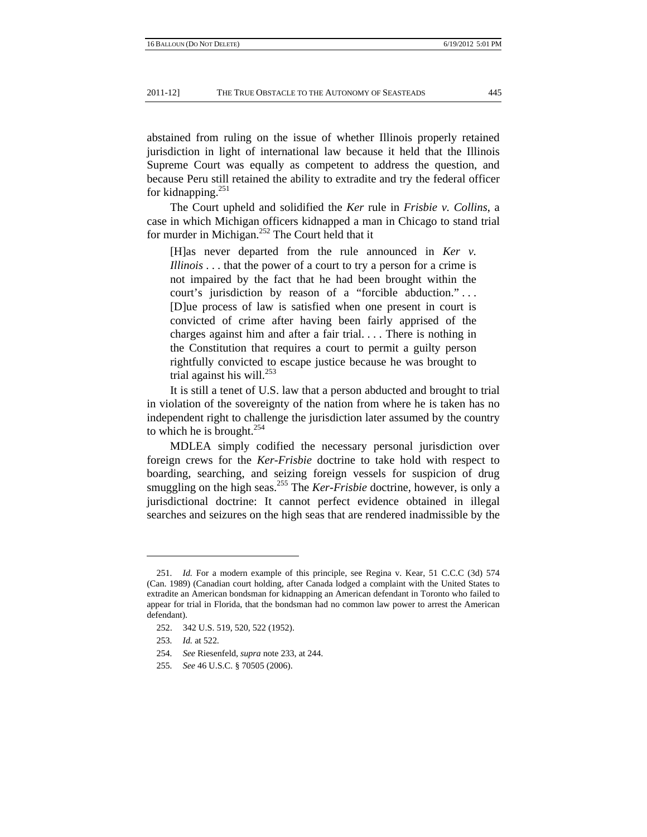abstained from ruling on the issue of whether Illinois properly retained jurisdiction in light of international law because it held that the Illinois Supreme Court was equally as competent to address the question, and because Peru still retained the ability to extradite and try the federal officer for kidnapping.<sup>251</sup>

The Court upheld and solidified the *Ker* rule in *Frisbie v. Collins*, a case in which Michigan officers kidnapped a man in Chicago to stand trial for murder in Michigan.<sup>252</sup> The Court held that it

[H]as never departed from the rule announced in *Ker v. Illinois* . . . that the power of a court to try a person for a crime is not impaired by the fact that he had been brought within the court's jurisdiction by reason of a "forcible abduction." . . . [D]ue process of law is satisfied when one present in court is convicted of crime after having been fairly apprised of the charges against him and after a fair trial. . . . There is nothing in the Constitution that requires a court to permit a guilty person rightfully convicted to escape justice because he was brought to trial against his will.<sup>253</sup>

It is still a tenet of U.S. law that a person abducted and brought to trial in violation of the sovereignty of the nation from where he is taken has no independent right to challenge the jurisdiction later assumed by the country to which he is brought. $^{254}$ 

MDLEA simply codified the necessary personal jurisdiction over foreign crews for the *Ker-Frisbie* doctrine to take hold with respect to boarding, searching, and seizing foreign vessels for suspicion of drug smuggling on the high seas.<sup>255</sup> The *Ker-Frisbie* doctrine, however, is only a jurisdictional doctrine: It cannot perfect evidence obtained in illegal searches and seizures on the high seas that are rendered inadmissible by the

<sup>251</sup>*. Id.* For a modern example of this principle, see Regina v. Kear, 51 C.C.C (3d) 574 (Can. 1989) (Canadian court holding, after Canada lodged a complaint with the United States to extradite an American bondsman for kidnapping an American defendant in Toronto who failed to appear for trial in Florida, that the bondsman had no common law power to arrest the American defendant).

 <sup>252. 342</sup> U.S. 519, 520, 522 (1952).

<sup>253</sup>*. Id.* at 522.

<sup>254</sup>*. See* Riesenfeld, *supra* note 233, at 244.

<sup>255</sup>*. See* 46 U.S.C. § 70505 (2006).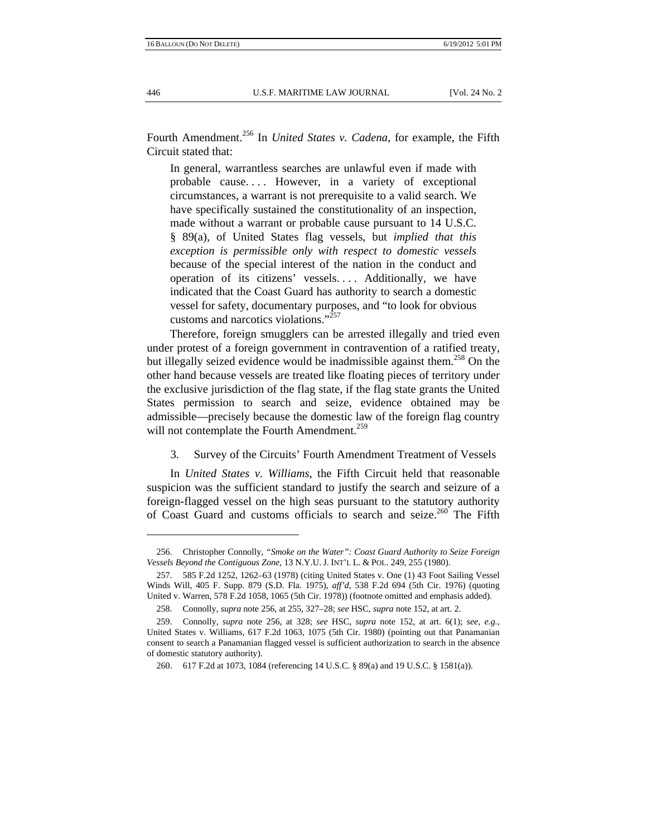Fourth Amendment.<sup>256</sup> In *United States v. Cadena*, for example, the Fifth Circuit stated that:

In general, warrantless searches are unlawful even if made with probable cause. . . . However, in a variety of exceptional circumstances, a warrant is not prerequisite to a valid search. We have specifically sustained the constitutionality of an inspection, made without a warrant or probable cause pursuant to 14 U.S.C. § 89(a), of United States flag vessels, but *implied that this exception is permissible only with respect to domestic vessels*  because of the special interest of the nation in the conduct and operation of its citizens' vessels. . . . Additionally, we have indicated that the Coast Guard has authority to search a domestic vessel for safety, documentary purposes, and "to look for obvious customs and narcotics violations."<sup>257</sup>

Therefore, foreign smugglers can be arrested illegally and tried even under protest of a foreign government in contravention of a ratified treaty, but illegally seized evidence would be inadmissible against them.<sup>258</sup> On the other hand because vessels are treated like floating pieces of territory under the exclusive jurisdiction of the flag state, if the flag state grants the United States permission to search and seize, evidence obtained may be admissible—precisely because the domestic law of the foreign flag country will not contemplate the Fourth Amendment.<sup>259</sup>

3. Survey of the Circuits' Fourth Amendment Treatment of Vessels

In *United States v. Williams*, the Fifth Circuit held that reasonable suspicion was the sufficient standard to justify the search and seizure of a foreign-flagged vessel on the high seas pursuant to the statutory authority of Coast Guard and customs officials to search and seize.<sup>260</sup> The Fifth

 <sup>256.</sup> Christopher Connolly, *"Smoke on the Water": Coast Guard Authority to Seize Foreign Vessels Beyond the Contiguous Zone*, 13 N.Y.U. J. INT'L L. & POL. 249, 255 (1980).

 <sup>257. 585</sup> F.2d 1252, 1262–63 (1978) (citing United States v. One (1) 43 Foot Sailing Vessel Winds Will, 405 F. Supp. 879 (S.D. Fla. 1975), *aff'd*, 538 F.2d 694 (5th Cir. 1976) (quoting United v. Warren, 578 F.2d 1058, 1065 (5th Cir. 1978)) (footnote omitted and emphasis added).

 <sup>258.</sup> Connolly, *supra* note 256, at 255, 327–28; *see* HSC, *supra* note 152, at art. 2.

 <sup>259.</sup> Connolly, *supra* note 256, at 328; *see* HSC, *supra* note 152, at art. 6(1); *see, e.g.*, United States v. Williams, 617 F.2d 1063, 1075 (5th Cir. 1980) (pointing out that Panamanian consent to search a Panamanian flagged vessel is sufficient authorization to search in the absence of domestic statutory authority).

 <sup>260. 617</sup> F.2d at 1073, 1084 (referencing 14 U.S.C. § 89(a) and 19 U.S.C. § 1581(a)).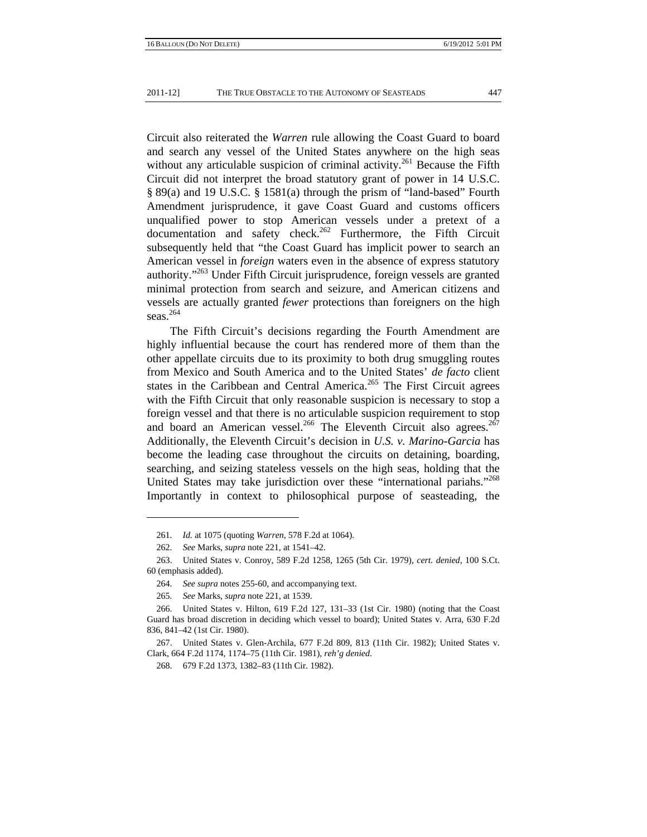Circuit also reiterated the *Warren* rule allowing the Coast Guard to board and search any vessel of the United States anywhere on the high seas without any articulable suspicion of criminal activity.<sup>261</sup> Because the Fifth Circuit did not interpret the broad statutory grant of power in 14 U.S.C. § 89(a) and 19 U.S.C. § 1581(a) through the prism of "land-based" Fourth Amendment jurisprudence, it gave Coast Guard and customs officers unqualified power to stop American vessels under a pretext of a documentation and safety check.<sup>262</sup> Furthermore, the Fifth Circuit subsequently held that "the Coast Guard has implicit power to search an American vessel in *foreign* waters even in the absence of express statutory authority."<sup>263</sup> Under Fifth Circuit jurisprudence, foreign vessels are granted minimal protection from search and seizure, and American citizens and vessels are actually granted *fewer* protections than foreigners on the high seas. $264$ 

The Fifth Circuit's decisions regarding the Fourth Amendment are highly influential because the court has rendered more of them than the other appellate circuits due to its proximity to both drug smuggling routes from Mexico and South America and to the United States' *de facto* client states in the Caribbean and Central America.<sup>265</sup> The First Circuit agrees with the Fifth Circuit that only reasonable suspicion is necessary to stop a foreign vessel and that there is no articulable suspicion requirement to stop and board an American vessel.<sup>266</sup> The Eleventh Circuit also agrees.<sup>267</sup> Additionally, the Eleventh Circuit's decision in *U.S. v. Marino-Garcia* has become the leading case throughout the circuits on detaining, boarding, searching, and seizing stateless vessels on the high seas, holding that the United States may take jurisdiction over these "international pariahs."<sup>268</sup> Importantly in context to philosophical purpose of seasteading, the

<sup>261</sup>*. Id.* at 1075 (quoting *Warren*, 578 F.2d at 1064).

<sup>262</sup>*. See* Marks, *supra* note 221, at 1541–42.

 <sup>263.</sup> United States v. Conroy, 589 F.2d 1258, 1265 (5th Cir. 1979), *cert. denied*, 100 S.Ct. 60 (emphasis added).

<sup>264</sup>*. See supra* notes 255-60, and accompanying text.

<sup>265</sup>*. See* Marks, *supra* note 221, at 1539.

 <sup>266.</sup> United States v. Hilton, 619 F.2d 127, 131–33 (1st Cir. 1980) (noting that the Coast Guard has broad discretion in deciding which vessel to board); United States v. Arra, 630 F.2d 836, 841–42 (1st Cir. 1980).

 <sup>267.</sup> United States v. Glen-Archila, 677 F.2d 809, 813 (11th Cir. 1982); United States v. Clark, 664 F.2d 1174, 1174–75 (11th Cir. 1981), *reh'g denied*.

 <sup>268. 679</sup> F.2d 1373, 1382–83 (11th Cir. 1982).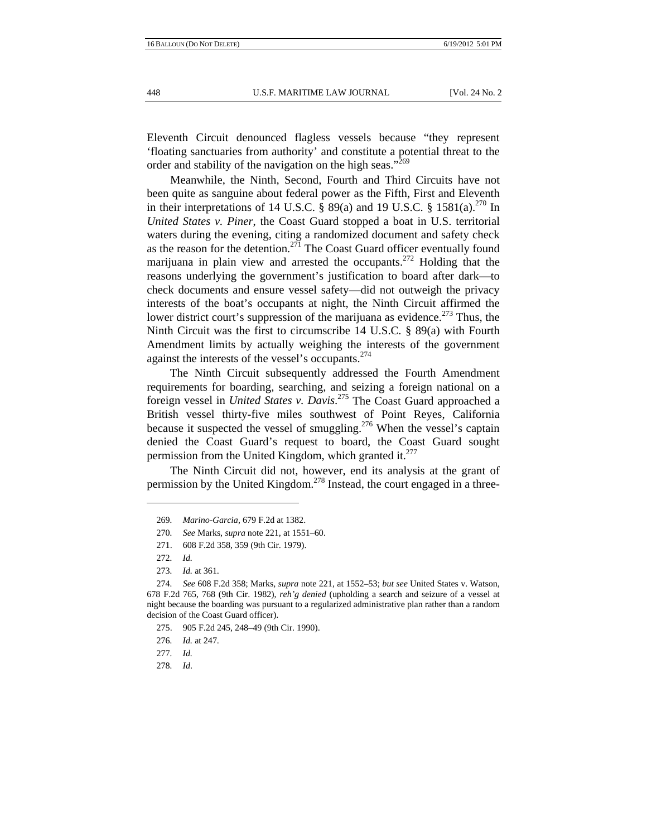Eleventh Circuit denounced flagless vessels because "they represent 'floating sanctuaries from authority' and constitute a potential threat to the order and stability of the navigation on the high seas."<sup>269</sup>

Meanwhile, the Ninth, Second, Fourth and Third Circuits have not been quite as sanguine about federal power as the Fifth, First and Eleventh in their interpretations of 14 U.S.C. § 89(a) and 19 U.S.C. § 1581(a).<sup>270</sup> In *United States v. Piner*, the Coast Guard stopped a boat in U.S. territorial waters during the evening, citing a randomized document and safety check as the reason for the detention.<sup>271</sup> The Coast Guard officer eventually found marijuana in plain view and arrested the occupants.<sup>272</sup> Holding that the reasons underlying the government's justification to board after dark—to check documents and ensure vessel safety—did not outweigh the privacy interests of the boat's occupants at night, the Ninth Circuit affirmed the lower district court's suppression of the marijuana as evidence.<sup>273</sup> Thus, the Ninth Circuit was the first to circumscribe 14 U.S.C. § 89(a) with Fourth Amendment limits by actually weighing the interests of the government against the interests of the vessel's occupants.<sup>274</sup>

The Ninth Circuit subsequently addressed the Fourth Amendment requirements for boarding, searching, and seizing a foreign national on a foreign vessel in *United States v. Davis*. 275 The Coast Guard approached a British vessel thirty-five miles southwest of Point Reyes, California because it suspected the vessel of smuggling.<sup>276</sup> When the vessel's captain denied the Coast Guard's request to board, the Coast Guard sought permission from the United Kingdom, which granted it. $277$ 

The Ninth Circuit did not, however, end its analysis at the grant of permission by the United Kingdom.<sup>278</sup> Instead, the court engaged in a three-

278*. Id*.

<sup>269</sup>*. Marino-Garcia*, 679 F.2d at 1382.

<sup>270</sup>*. See* Marks, *supra* note 221, at 1551–60.

 <sup>271. 608</sup> F.2d 358, 359 (9th Cir. 1979).

<sup>272</sup>*. Id.*

<sup>273</sup>*. Id.* at 361.

<sup>274</sup>*. See* 608 F.2d 358; Marks, *supra* note 221, at 1552–53; *but see* United States v. Watson, 678 F.2d 765, 768 (9th Cir. 1982), *reh'g denied* (upholding a search and seizure of a vessel at night because the boarding was pursuant to a regularized administrative plan rather than a random decision of the Coast Guard officer).

 <sup>275. 905</sup> F.2d 245, 248–49 (9th Cir. 1990).

<sup>276</sup>*. Id.* at 247.

<sup>277</sup>*. Id.*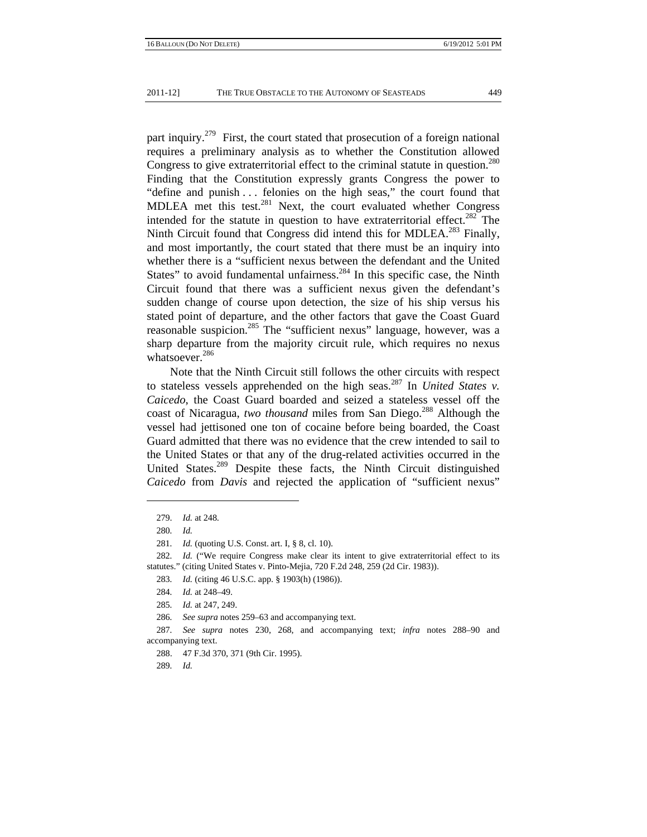part inquiry.<sup>279</sup> First, the court stated that prosecution of a foreign national requires a preliminary analysis as to whether the Constitution allowed Congress to give extraterritorial effect to the criminal statute in question.<sup>280</sup> Finding that the Constitution expressly grants Congress the power to "define and punish . . . felonies on the high seas," the court found that MDLEA met this test.<sup>281</sup> Next, the court evaluated whether Congress intended for the statute in question to have extraterritorial effect.<sup>282</sup> The Ninth Circuit found that Congress did intend this for MDLEA.<sup>283</sup> Finally, and most importantly, the court stated that there must be an inquiry into whether there is a "sufficient nexus between the defendant and the United States" to avoid fundamental unfairness. $^{284}$  In this specific case, the Ninth Circuit found that there was a sufficient nexus given the defendant's sudden change of course upon detection, the size of his ship versus his stated point of departure, and the other factors that gave the Coast Guard reasonable suspicion.285 The "sufficient nexus" language, however, was a sharp departure from the majority circuit rule, which requires no nexus whatsoever.<sup>286</sup>

Note that the Ninth Circuit still follows the other circuits with respect to stateless vessels apprehended on the high seas.287 In *United States v. Caicedo*, the Coast Guard boarded and seized a stateless vessel off the coast of Nicaragua, *two thousand* miles from San Diego.<sup>288</sup> Although the vessel had jettisoned one ton of cocaine before being boarded, the Coast Guard admitted that there was no evidence that the crew intended to sail to the United States or that any of the drug-related activities occurred in the United States.<sup>289</sup> Despite these facts, the Ninth Circuit distinguished *Caicedo* from *Davis* and rejected the application of "sufficient nexus"

289*. Id.*

 <sup>279.</sup> *Id.* at 248.

<sup>280</sup>*. Id.*

<sup>281</sup>*. Id.* (quoting U.S. Const. art. I, § 8, cl. 10).

<sup>282</sup>*. Id.* ("We require Congress make clear its intent to give extraterritorial effect to its statutes." (citing United States v. Pinto-Mejia, 720 F.2d 248, 259 (2d Cir. 1983)).

<sup>283</sup>*. Id.* (citing 46 U.S.C. app. § 1903(h) (1986)).

<sup>284</sup>*. Id.* at 248–49.

<sup>285</sup>*. Id.* at 247, 249.

<sup>286</sup>*. See supra* notes 259–63 and accompanying text.

<sup>287</sup>*. See supra* notes 230, 268, and accompanying text; *infra* notes 288–90 and accompanying text.

 <sup>288. 47</sup> F.3d 370, 371 (9th Cir. 1995).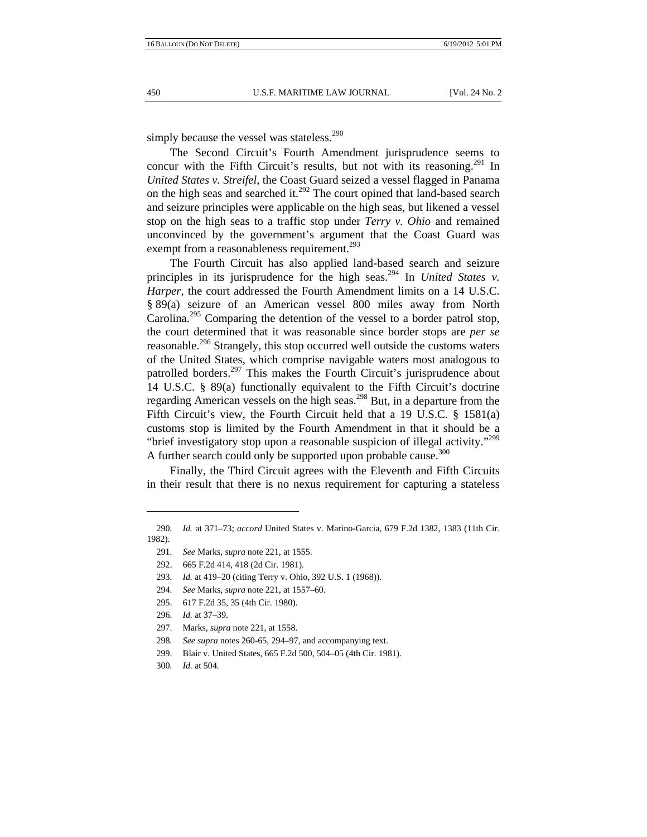simply because the vessel was stateless. $290$ 

The Second Circuit's Fourth Amendment jurisprudence seems to concur with the Fifth Circuit's results, but not with its reasoning.<sup>291</sup> In *United States v. Streifel*, the Coast Guard seized a vessel flagged in Panama on the high seas and searched it.<sup>292</sup> The court opined that land-based search and seizure principles were applicable on the high seas, but likened a vessel stop on the high seas to a traffic stop under *Terry v. Ohio* and remained unconvinced by the government's argument that the Coast Guard was exempt from a reasonableness requirement.<sup>293</sup>

The Fourth Circuit has also applied land-based search and seizure principles in its jurisprudence for the high seas.<sup>294</sup> In *United States v. Harper*, the court addressed the Fourth Amendment limits on a 14 U.S.C. § 89(a) seizure of an American vessel 800 miles away from North Carolina.<sup>295</sup> Comparing the detention of the vessel to a border patrol stop, the court determined that it was reasonable since border stops are *per se*  reasonable.<sup>296</sup> Strangely, this stop occurred well outside the customs waters of the United States, which comprise navigable waters most analogous to patrolled borders.<sup>297</sup> This makes the Fourth Circuit's jurisprudence about 14 U.S.C. § 89(a) functionally equivalent to the Fifth Circuit's doctrine regarding American vessels on the high seas.<sup>298</sup> But, in a departure from the Fifth Circuit's view, the Fourth Circuit held that a 19 U.S.C. § 1581(a) customs stop is limited by the Fourth Amendment in that it should be a "brief investigatory stop upon a reasonable suspicion of illegal activity."<sup>299</sup> A further search could only be supported upon probable cause.<sup>300</sup>

Finally, the Third Circuit agrees with the Eleventh and Fifth Circuits in their result that there is no nexus requirement for capturing a stateless

<sup>290</sup>*. Id.* at 371–73; *accord* United States v. Marino-Garcia, 679 F.2d 1382, 1383 (11th Cir. 1982).

<sup>291</sup>*. See* Marks, *supra* note 221, at 1555.

 <sup>292. 665</sup> F.2d 414, 418 (2d Cir. 1981).

<sup>293</sup>*. Id.* at 419–20 (citing Terry v. Ohio, 392 U.S. 1 (1968)).

<sup>294</sup>*. See* Marks, *supra* note 221, at 1557–60.

 <sup>295. 617</sup> F.2d 35, 35 (4th Cir. 1980).

<sup>296</sup>*. Id.* at 37–39.

 <sup>297.</sup> Marks, *supra* note 221, at 1558.

<sup>298</sup>*. See supra* notes 260-65, 294–97, and accompanying text.

 <sup>299.</sup> Blair v. United States, 665 F.2d 500, 504–05 (4th Cir. 1981).

<sup>300</sup>*. Id.* at 504.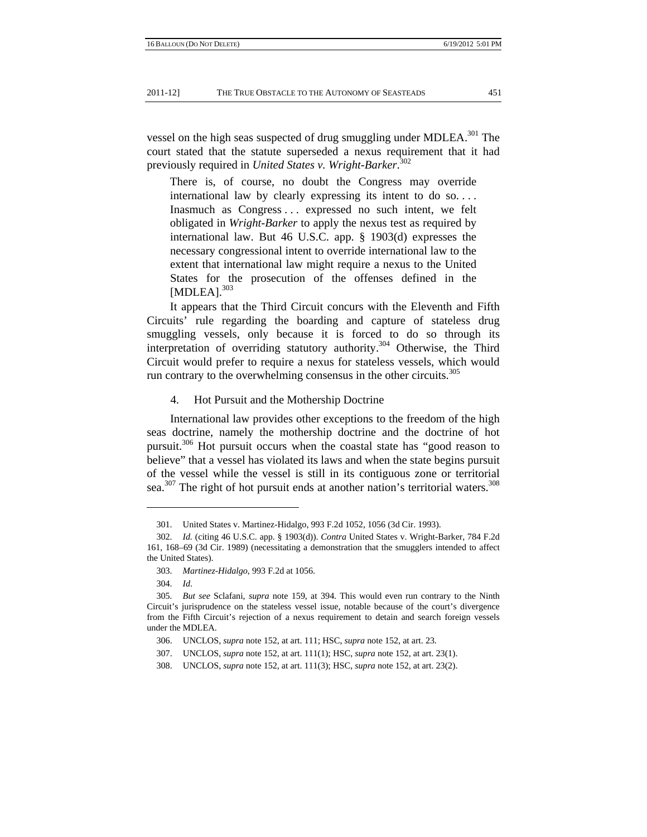vessel on the high seas suspected of drug smuggling under MDLEA.<sup>301</sup> The court stated that the statute superseded a nexus requirement that it had previously required in *United States v. Wright-Barker*. 302

There is, of course, no doubt the Congress may override international law by clearly expressing its intent to do so. . . . Inasmuch as Congress . . . expressed no such intent, we felt obligated in *Wright-Barker* to apply the nexus test as required by international law. But 46 U.S.C. app. § 1903(d) expresses the necessary congressional intent to override international law to the extent that international law might require a nexus to the United States for the prosecution of the offenses defined in the [MDLEA].<sup>303</sup>

It appears that the Third Circuit concurs with the Eleventh and Fifth Circuits' rule regarding the boarding and capture of stateless drug smuggling vessels, only because it is forced to do so through its interpretation of overriding statutory authority.<sup>304</sup> Otherwise, the Third Circuit would prefer to require a nexus for stateless vessels, which would run contrary to the overwhelming consensus in the other circuits.<sup>305</sup>

## 4. Hot Pursuit and the Mothership Doctrine

International law provides other exceptions to the freedom of the high seas doctrine, namely the mothership doctrine and the doctrine of hot pursuit.<sup>306</sup> Hot pursuit occurs when the coastal state has "good reason to believe" that a vessel has violated its laws and when the state begins pursuit of the vessel while the vessel is still in its contiguous zone or territorial sea. $307$  The right of hot pursuit ends at another nation's territorial waters.  $308$ 

 <sup>301.</sup> United States v. Martinez-Hidalgo, 993 F.2d 1052, 1056 (3d Cir. 1993).

<sup>302</sup>*. Id.* (citing 46 U.S.C. app. § 1903(d)). *Contra* United States v. Wright-Barker, 784 F.2d 161, 168–69 (3d Cir. 1989) (necessitating a demonstration that the smugglers intended to affect the United States).

 <sup>303.</sup> *Martinez-Hidalgo*, 993 F.2d at 1056.

 <sup>304.</sup> *Id*.

<sup>305</sup>*. But see* Sclafani, *supra* note 159, at 394. This would even run contrary to the Ninth Circuit's jurisprudence on the stateless vessel issue, notable because of the court's divergence from the Fifth Circuit's rejection of a nexus requirement to detain and search foreign vessels under the MDLEA.

 <sup>306.</sup> UNCLOS, *supra* note 152, at art. 111; HSC, *supra* note 152, at art. 23.

 <sup>307.</sup> UNCLOS, *supra* note 152, at art. 111(1); HSC, *supra* note 152, at art. 23(1).

 <sup>308.</sup> UNCLOS, *supra* note 152, at art. 111(3); HSC, *supra* note 152, at art. 23(2).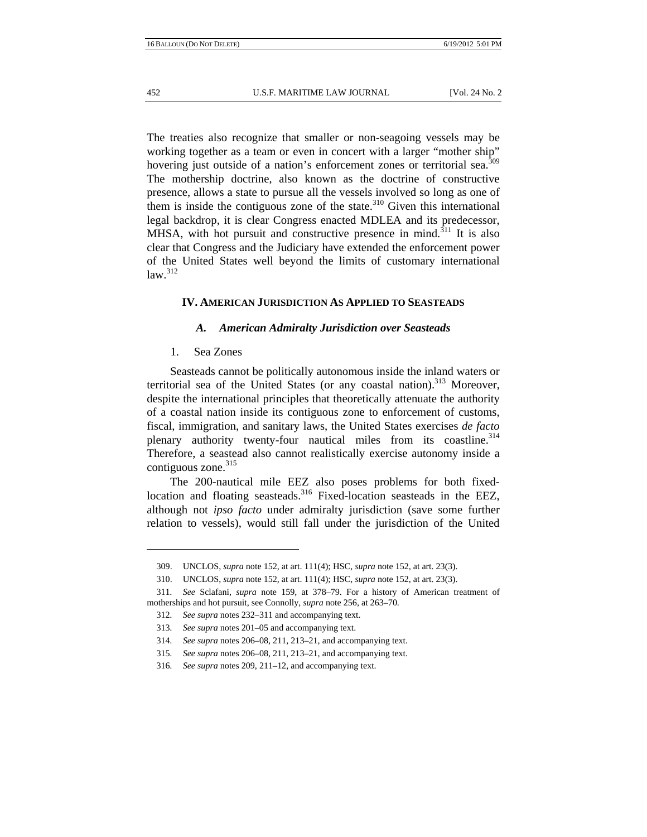The treaties also recognize that smaller or non-seagoing vessels may be working together as a team or even in concert with a larger "mother ship" hovering just outside of a nation's enforcement zones or territorial sea.<sup>309</sup> The mothership doctrine, also known as the doctrine of constructive presence, allows a state to pursue all the vessels involved so long as one of them is inside the contiguous zone of the state.<sup>310</sup> Given this international legal backdrop, it is clear Congress enacted MDLEA and its predecessor, MHSA, with hot pursuit and constructive presence in mind.<sup>311</sup> It is also clear that Congress and the Judiciary have extended the enforcement power of the United States well beyond the limits of customary international  $law.<sup>312</sup>$ 

## **IV. AMERICAN JURISDICTION AS APPLIED TO SEASTEADS**

## *A. American Admiralty Jurisdiction over Seasteads*

1. Sea Zones

Seasteads cannot be politically autonomous inside the inland waters or territorial sea of the United States (or any coastal nation).<sup>313</sup> Moreover, despite the international principles that theoretically attenuate the authority of a coastal nation inside its contiguous zone to enforcement of customs, fiscal, immigration, and sanitary laws, the United States exercises *de facto* plenary authority twenty-four nautical miles from its coastline.<sup>314</sup> Therefore, a seastead also cannot realistically exercise autonomy inside a contiguous zone.<sup>315</sup>

The 200-nautical mile EEZ also poses problems for both fixedlocation and floating seasteads.<sup>316</sup> Fixed-location seasteads in the EEZ, although not *ipso facto* under admiralty jurisdiction (save some further relation to vessels), would still fall under the jurisdiction of the United

 <sup>309.</sup> UNCLOS, *supra* note 152, at art. 111(4); HSC, *supra* note 152, at art. 23(3).

 <sup>310.</sup> UNCLOS, *supra* note 152, at art. 111(4); HSC, *supra* note 152, at art. 23(3).

<sup>311</sup>*. See* Sclafani, *supra* note 159, at 378–79. For a history of American treatment of motherships and hot pursuit, see Connolly, *supra* note 256, at 263–70.

<sup>312</sup>*. See supra* notes 232–311 and accompanying text.

<sup>313</sup>*. See supra* notes 201–05 and accompanying text.

<sup>314</sup>*. See supra* notes 206–08, 211, 213–21, and accompanying text.

<sup>315</sup>*. See supra* notes 206–08, 211, 213–21, and accompanying text.

<sup>316</sup>*. See supra* notes 209, 211–12, and accompanying text.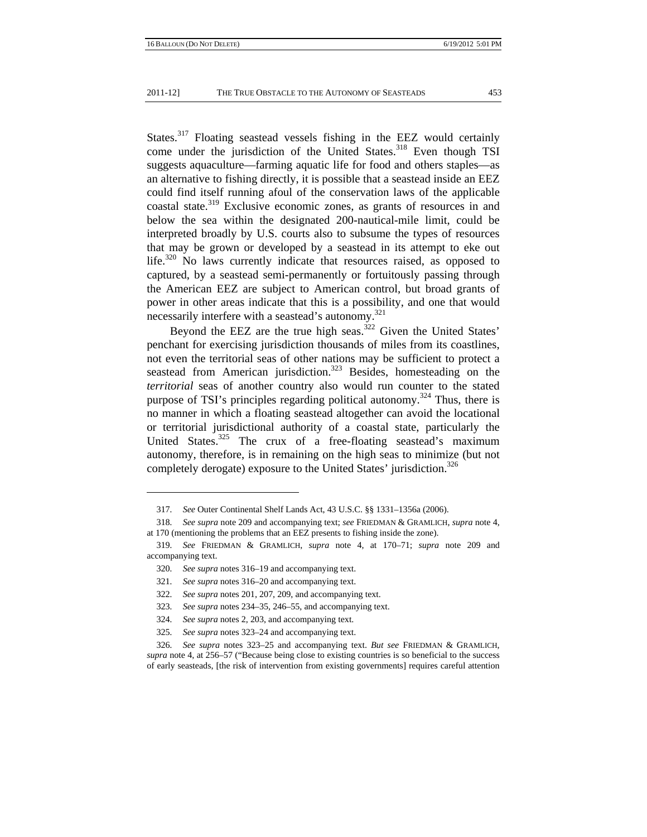States.<sup>317</sup> Floating seastead vessels fishing in the EEZ would certainly come under the jurisdiction of the United States.<sup>318</sup> Even though TSI suggests aquaculture—farming aquatic life for food and others staples—as an alternative to fishing directly, it is possible that a seastead inside an EEZ could find itself running afoul of the conservation laws of the applicable coastal state.<sup>319</sup> Exclusive economic zones, as grants of resources in and below the sea within the designated 200-nautical-mile limit, could be interpreted broadly by U.S. courts also to subsume the types of resources that may be grown or developed by a seastead in its attempt to eke out life.<sup>320</sup> No laws currently indicate that resources raised, as opposed to captured, by a seastead semi-permanently or fortuitously passing through the American EEZ are subject to American control, but broad grants of power in other areas indicate that this is a possibility, and one that would necessarily interfere with a seastead's autonomy.<sup>321</sup>

Beyond the EEZ are the true high seas.<sup>322</sup> Given the United States' penchant for exercising jurisdiction thousands of miles from its coastlines, not even the territorial seas of other nations may be sufficient to protect a seastead from American jurisdiction.<sup>323</sup> Besides, homesteading on the *territorial* seas of another country also would run counter to the stated purpose of TSI's principles regarding political autonomy.<sup>324</sup> Thus, there is no manner in which a floating seastead altogether can avoid the locational or territorial jurisdictional authority of a coastal state, particularly the United States.<sup>325</sup> The crux of a free-floating seastead's maximum autonomy, therefore, is in remaining on the high seas to minimize (but not completely derogate) exposure to the United States' jurisdiction.<sup>326</sup>

<sup>317</sup>*. See* Outer Continental Shelf Lands Act, 43 U.S.C. §§ 1331–1356a (2006).

<sup>318</sup>*. See supra* note 209 and accompanying text; *see* FRIEDMAN & GRAMLICH, *supra* note 4, at 170 (mentioning the problems that an EEZ presents to fishing inside the zone).

<sup>319</sup>*. See* FRIEDMAN & GRAMLICH, *supra* note 4, at 170–71; *supra* note 209 and accompanying text.

<sup>320</sup>*. See supra* notes 316–19 and accompanying text.

<sup>321</sup>*. See supra* notes 316–20 and accompanying text.

<sup>322</sup>*. See supra* notes 201, 207, 209, and accompanying text.

<sup>323</sup>*. See supra* notes 234–35, 246–55, and accompanying text.

<sup>324</sup>*. See supra* notes 2, 203, and accompanying text.

<sup>325</sup>*. See supra* notes 323–24 and accompanying text.

<sup>326</sup>*. See supra* notes 323–25 and accompanying text. *But see* FRIEDMAN & GRAMLICH, *supra* note 4, at 256–57 ("Because being close to existing countries is so beneficial to the success of early seasteads, [the risk of intervention from existing governments] requires careful attention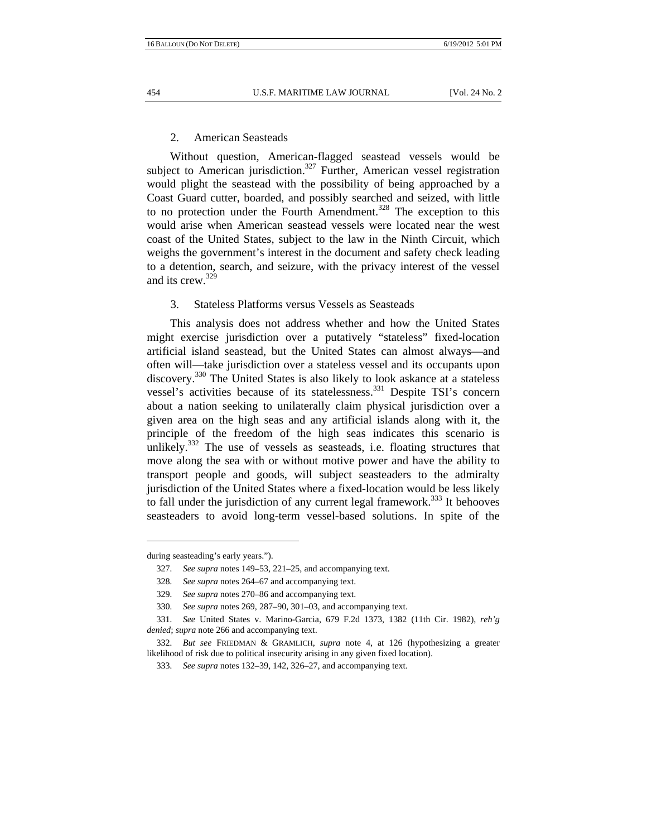#### 2. American Seasteads

Without question, American-flagged seastead vessels would be subject to American jurisdiction.<sup>327</sup> Further, American vessel registration would plight the seastead with the possibility of being approached by a Coast Guard cutter, boarded, and possibly searched and seized, with little to no protection under the Fourth Amendment.<sup>328</sup> The exception to this would arise when American seastead vessels were located near the west coast of the United States, subject to the law in the Ninth Circuit, which weighs the government's interest in the document and safety check leading to a detention, search, and seizure, with the privacy interest of the vessel and its crew.<sup>329</sup>

## 3. Stateless Platforms versus Vessels as Seasteads

This analysis does not address whether and how the United States might exercise jurisdiction over a putatively "stateless" fixed-location artificial island seastead, but the United States can almost always—and often will—take jurisdiction over a stateless vessel and its occupants upon discovery.<sup>330</sup> The United States is also likely to look askance at a stateless vessel's activities because of its statelessness.<sup>331</sup> Despite TSI's concern about a nation seeking to unilaterally claim physical jurisdiction over a given area on the high seas and any artificial islands along with it, the principle of the freedom of the high seas indicates this scenario is unlikely. $332$  The use of vessels as seasteads, i.e. floating structures that move along the sea with or without motive power and have the ability to transport people and goods, will subject seasteaders to the admiralty jurisdiction of the United States where a fixed-location would be less likely to fall under the jurisdiction of any current legal framework.<sup>333</sup> It behooves seasteaders to avoid long-term vessel-based solutions. In spite of the

during seasteading's early years.").

<sup>327</sup>*. See supra* notes 149–53, 221–25, and accompanying text.

<sup>328</sup>*. See supra* notes 264–67 and accompanying text.

<sup>329</sup>*. See supra* notes 270–86 and accompanying text.

<sup>330</sup>*. See supra* notes 269, 287–90, 301–03, and accompanying text.

<sup>331</sup>*. See* United States v. Marino-Garcia, 679 F.2d 1373, 1382 (11th Cir. 1982), *reh'g denied*; *supra* note 266 and accompanying text.

<sup>332</sup>*. But see* FRIEDMAN & GRAMLICH, *supra* note 4, at 126 (hypothesizing a greater likelihood of risk due to political insecurity arising in any given fixed location).

<sup>333</sup>*. See supra* notes 132–39, 142, 326–27, and accompanying text.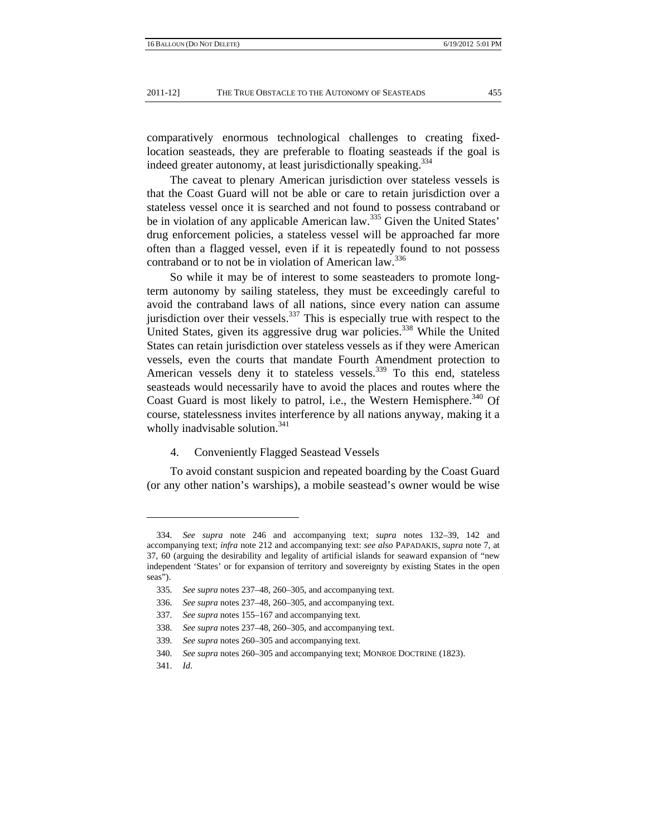comparatively enormous technological challenges to creating fixedlocation seasteads, they are preferable to floating seasteads if the goal is indeed greater autonomy, at least jurisdictionally speaking.<sup>334</sup>

The caveat to plenary American jurisdiction over stateless vessels is that the Coast Guard will not be able or care to retain jurisdiction over a stateless vessel once it is searched and not found to possess contraband or be in violation of any applicable American law.<sup>335</sup> Given the United States' drug enforcement policies, a stateless vessel will be approached far more often than a flagged vessel, even if it is repeatedly found to not possess contraband or to not be in violation of American law.<sup>336</sup>

So while it may be of interest to some seasteaders to promote longterm autonomy by sailing stateless, they must be exceedingly careful to avoid the contraband laws of all nations, since every nation can assume jurisdiction over their vessels. $337$  This is especially true with respect to the United States, given its aggressive drug war policies.<sup>338</sup> While the United States can retain jurisdiction over stateless vessels as if they were American vessels, even the courts that mandate Fourth Amendment protection to American vessels deny it to stateless vessels.<sup>339</sup> To this end, stateless seasteads would necessarily have to avoid the places and routes where the Coast Guard is most likely to patrol, i.e., the Western Hemisphere.<sup>340</sup> Of course, statelessness invites interference by all nations anyway, making it a wholly inadvisable solution.<sup>341</sup>

## 4. Conveniently Flagged Seastead Vessels

To avoid constant suspicion and repeated boarding by the Coast Guard (or any other nation's warships), a mobile seastead's owner would be wise

<sup>334</sup>*. See supra* note 246 and accompanying text; *supra* notes 132–39, 142 and accompanying text; *infra* note 212 and accompanying text: *see also* PAPADAKIS*, supra* note 7, at 37, 60 (arguing the desirability and legality of artificial islands for seaward expansion of "new independent 'States' or for expansion of territory and sovereignty by existing States in the open seas").

<sup>335</sup>*. See supra* notes 237–48, 260–305, and accompanying text.

<sup>336</sup>*. See supra* notes 237–48, 260–305, and accompanying text.

<sup>337</sup>*. See supra* notes 155–167 and accompanying text.

<sup>338</sup>*. See supra* notes 237–48, 260–305, and accompanying text.

<sup>339</sup>*. See supra* notes 260–305 and accompanying text.

<sup>340</sup>*. See supra* notes 260–305 and accompanying text; MONROE DOCTRINE (1823).

 <sup>341.</sup> *Id*.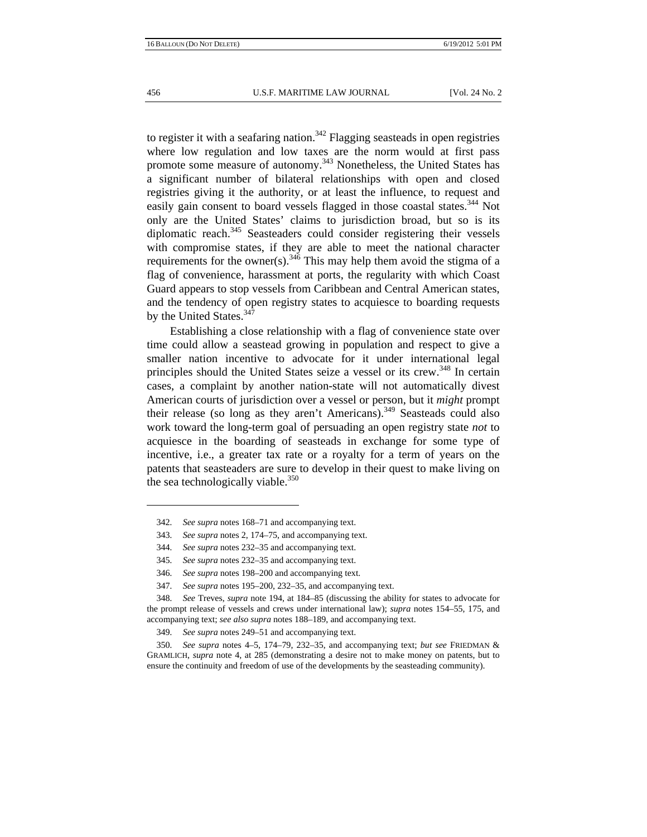to register it with a seafaring nation.<sup>342</sup> Flagging seasteads in open registries where low regulation and low taxes are the norm would at first pass promote some measure of autonomy.343 Nonetheless, the United States has a significant number of bilateral relationships with open and closed registries giving it the authority, or at least the influence, to request and easily gain consent to board vessels flagged in those coastal states.<sup>344</sup> Not only are the United States' claims to jurisdiction broad, but so is its diplomatic reach. $345$  Seasteaders could consider registering their vessels with compromise states, if they are able to meet the national character requirements for the owner(s).<sup>346</sup> This may help them avoid the stigma of a flag of convenience, harassment at ports, the regularity with which Coast Guard appears to stop vessels from Caribbean and Central American states, and the tendency of open registry states to acquiesce to boarding requests by the United States.<sup>347</sup>

Establishing a close relationship with a flag of convenience state over time could allow a seastead growing in population and respect to give a smaller nation incentive to advocate for it under international legal principles should the United States seize a vessel or its crew.<sup>348</sup> In certain cases, a complaint by another nation-state will not automatically divest American courts of jurisdiction over a vessel or person, but it *might* prompt their release (so long as they aren't Americans).<sup>349</sup> Seasteads could also work toward the long-term goal of persuading an open registry state *not* to acquiesce in the boarding of seasteads in exchange for some type of incentive, i.e., a greater tax rate or a royalty for a term of years on the patents that seasteaders are sure to develop in their quest to make living on the sea technologically viable. $350$ 

<sup>342</sup>*. See supra* notes 168–71 and accompanying text.

<sup>343</sup>*. See supra* notes 2, 174–75, and accompanying text.

<sup>344</sup>*. See supra* notes 232–35 and accompanying text.

<sup>345</sup>*. See supra* notes 232–35 and accompanying text.

<sup>346</sup>*. See supra* notes 198–200 and accompanying text.

<sup>347</sup>*. See supra* notes 195–200, 232–35, and accompanying text.

<sup>348</sup>*. See* Treves, *supra* note 194, at 184–85 (discussing the ability for states to advocate for the prompt release of vessels and crews under international law); *supra* notes 154–55, 175, and accompanying text; *see also supra* notes 188–189, and accompanying text.

<sup>349</sup>*. See supra* notes 249–51 and accompanying text.

<sup>350</sup>*. See supra* notes 4–5, 174–79, 232–35, and accompanying text; *but see* FRIEDMAN & GRAMLICH, *supra* note 4, at 285 (demonstrating a desire not to make money on patents, but to ensure the continuity and freedom of use of the developments by the seasteading community).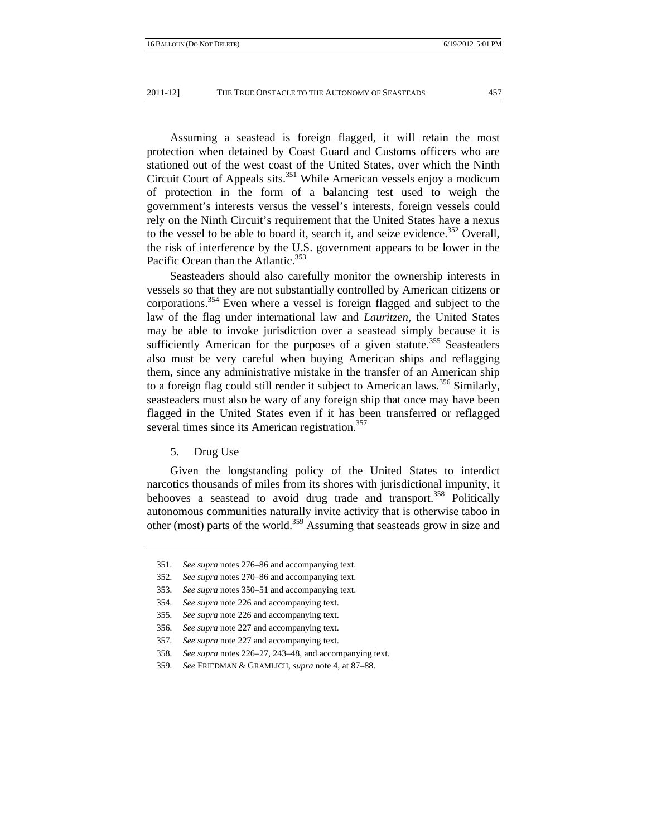Assuming a seastead is foreign flagged, it will retain the most protection when detained by Coast Guard and Customs officers who are stationed out of the west coast of the United States, over which the Ninth Circuit Court of Appeals sits.<sup>351</sup> While American vessels enjoy a modicum of protection in the form of a balancing test used to weigh the government's interests versus the vessel's interests, foreign vessels could rely on the Ninth Circuit's requirement that the United States have a nexus to the vessel to be able to board it, search it, and seize evidence.<sup>352</sup> Overall, the risk of interference by the U.S. government appears to be lower in the Pacific Ocean than the Atlantic.<sup>353</sup>

Seasteaders should also carefully monitor the ownership interests in vessels so that they are not substantially controlled by American citizens or corporations.<sup>354</sup> Even where a vessel is foreign flagged and subject to the law of the flag under international law and *Lauritzen*, the United States may be able to invoke jurisdiction over a seastead simply because it is sufficiently American for the purposes of a given statute.<sup>355</sup> Seasteaders also must be very careful when buying American ships and reflagging them, since any administrative mistake in the transfer of an American ship to a foreign flag could still render it subject to American laws.<sup>356</sup> Similarly, seasteaders must also be wary of any foreign ship that once may have been flagged in the United States even if it has been transferred or reflagged several times since its American registration.<sup>357</sup>

5. Drug Use

Given the longstanding policy of the United States to interdict narcotics thousands of miles from its shores with jurisdictional impunity, it behooves a seastead to avoid drug trade and transport.<sup>358</sup> Politically autonomous communities naturally invite activity that is otherwise taboo in other (most) parts of the world.359 Assuming that seasteads grow in size and

<sup>351</sup>*. See supra* notes 276–86 and accompanying text.

<sup>352</sup>*. See supra* notes 270–86 and accompanying text.

<sup>353</sup>*. See supra* notes 350–51 and accompanying text.

<sup>354</sup>*. See supra* note 226 and accompanying text.

<sup>355</sup>*. See supra* note 226 and accompanying text.

<sup>356</sup>*. See supra* note 227 and accompanying text.

<sup>357</sup>*. See supra* note 227 and accompanying text.

<sup>358</sup>*. See supra* notes 226–27, 243–48, and accompanying text.

<sup>359</sup>*. See* FRIEDMAN & GRAMLICH, *supra* note 4, at 87–88.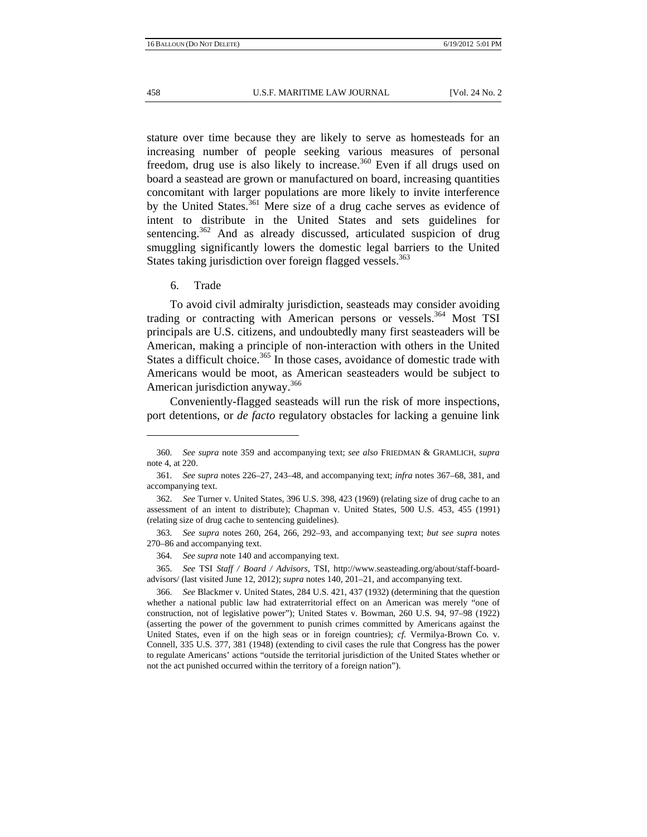stature over time because they are likely to serve as homesteads for an increasing number of people seeking various measures of personal freedom, drug use is also likely to increase.<sup>360</sup> Even if all drugs used on board a seastead are grown or manufactured on board, increasing quantities concomitant with larger populations are more likely to invite interference by the United States.<sup>361</sup> Mere size of a drug cache serves as evidence of intent to distribute in the United States and sets guidelines for sentencing. $362$  And as already discussed, articulated suspicion of drug smuggling significantly lowers the domestic legal barriers to the United States taking jurisdiction over foreign flagged vessels.<sup>363</sup>

## 6. Trade

To avoid civil admiralty jurisdiction, seasteads may consider avoiding trading or contracting with American persons or vessels.<sup>364</sup> Most TSI principals are U.S. citizens, and undoubtedly many first seasteaders will be American, making a principle of non-interaction with others in the United States a difficult choice.<sup>365</sup> In those cases, avoidance of domestic trade with Americans would be moot, as American seasteaders would be subject to American jurisdiction anyway.<sup>366</sup>

Conveniently-flagged seasteads will run the risk of more inspections, port detentions, or *de facto* regulatory obstacles for lacking a genuine link

363*. See supra* notes 260, 264, 266, 292–93, and accompanying text; *but see supra* notes 270–86 and accompanying text.

364*. See supra* note 140 and accompanying text.

365*. See* TSI *Staff / Board / Advisors*, TSI, http://www.seasteading.org/about/staff-boardadvisors/ (last visited June 12, 2012); *supra* notes 140, 201–21, and accompanying text.

<sup>360</sup>*. See supra* note 359 and accompanying text; *see also* FRIEDMAN & GRAMLICH, *supra* note 4, at 220.

<sup>361</sup>*. See supra* notes 226–27, 243–48, and accompanying text; *infra* notes 367–68, 381, and accompanying text.

<sup>362</sup>*. See* Turner v. United States, 396 U.S. 398, 423 (1969) (relating size of drug cache to an assessment of an intent to distribute); Chapman v. United States, 500 U.S. 453, 455 (1991) (relating size of drug cache to sentencing guidelines).

<sup>366</sup>*. See* Blackmer v. United States, 284 U.S. 421, 437 (1932) (determining that the question whether a national public law had extraterritorial effect on an American was merely "one of construction, not of legislative power"); United States v. Bowman, 260 U.S. 94, 97–98 (1922) (asserting the power of the government to punish crimes committed by Americans against the United States, even if on the high seas or in foreign countries); *cf.* Vermilya-Brown Co. v. Connell, 335 U.S. 377, 381 (1948) (extending to civil cases the rule that Congress has the power to regulate Americans' actions "outside the territorial jurisdiction of the United States whether or not the act punished occurred within the territory of a foreign nation").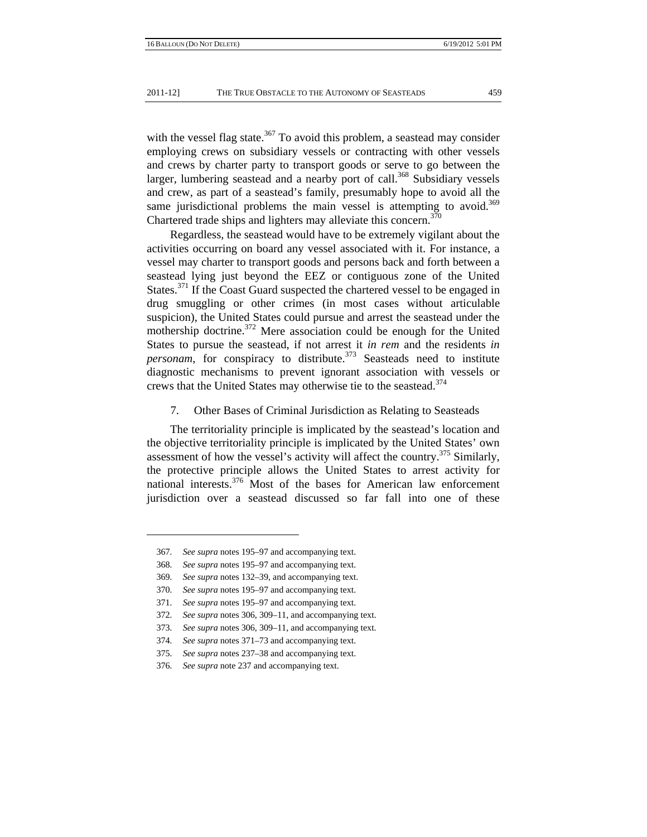with the vessel flag state.<sup>367</sup> To avoid this problem, a seastead may consider employing crews on subsidiary vessels or contracting with other vessels and crews by charter party to transport goods or serve to go between the larger, lumbering seastead and a nearby port of call.<sup>368</sup> Subsidiary vessels and crew, as part of a seastead's family, presumably hope to avoid all the same jurisdictional problems the main vessel is attempting to avoid.<sup>369</sup> Chartered trade ships and lighters may alleviate this concern.<sup>370</sup>

Regardless, the seastead would have to be extremely vigilant about the activities occurring on board any vessel associated with it. For instance, a vessel may charter to transport goods and persons back and forth between a seastead lying just beyond the EEZ or contiguous zone of the United States.<sup>371</sup> If the Coast Guard suspected the chartered vessel to be engaged in drug smuggling or other crimes (in most cases without articulable suspicion), the United States could pursue and arrest the seastead under the mothership doctrine.<sup>372</sup> Mere association could be enough for the United States to pursue the seastead, if not arrest it *in rem* and the residents *in personam*, for conspiracy to distribute.<sup>373</sup> Seasteads need to institute diagnostic mechanisms to prevent ignorant association with vessels or crews that the United States may otherwise tie to the seastead.<sup>374</sup>

7. Other Bases of Criminal Jurisdiction as Relating to Seasteads

The territoriality principle is implicated by the seastead's location and the objective territoriality principle is implicated by the United States' own assessment of how the vessel's activity will affect the country.<sup>375</sup> Similarly, the protective principle allows the United States to arrest activity for national interests.<sup>376</sup> Most of the bases for American law enforcement jurisdiction over a seastead discussed so far fall into one of these

369*. See supra* notes 132–39, and accompanying text.

<sup>367</sup>*. See supra* notes 195–97 and accompanying text.

<sup>368</sup>*. See supra* notes 195–97 and accompanying text.

<sup>370</sup>*. See supra* notes 195–97 and accompanying text.

<sup>371</sup>*. See supra* notes 195–97 and accompanying text.

<sup>372</sup>*. See supra* notes 306, 309–11, and accompanying text.

<sup>373</sup>*. See supra* notes 306, 309–11, and accompanying text.

<sup>374</sup>*. See supra* notes 371–73 and accompanying text.

<sup>375</sup>*. See supra* notes 237–38 and accompanying text.

<sup>376</sup>*. See supra* note 237 and accompanying text.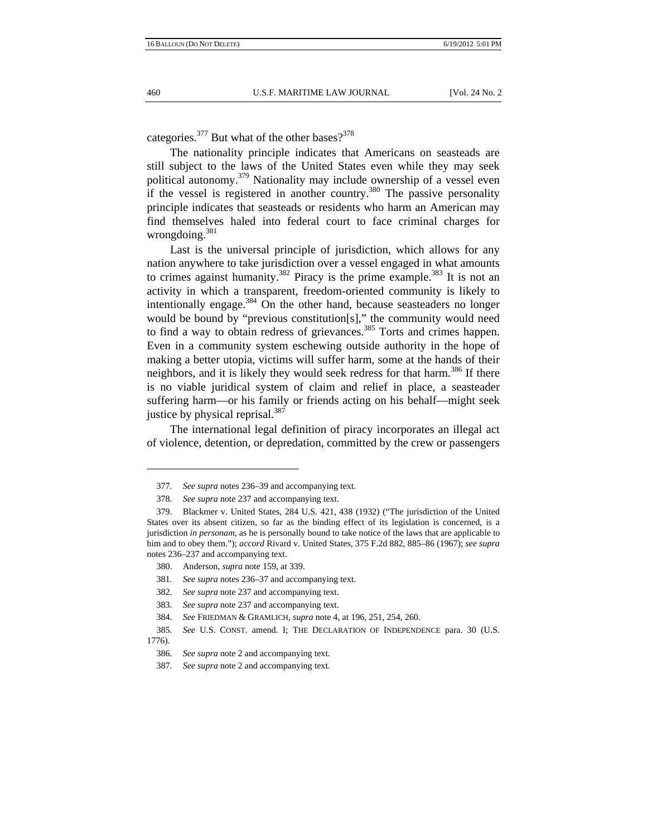categories.<sup>377</sup> But what of the other bases?<sup>378</sup>

The nationality principle indicates that Americans on seasteads are still subject to the laws of the United States even while they may seek political autonomy.<sup>379</sup> Nationality may include ownership of a vessel even if the vessel is registered in another country.<sup>380</sup> The passive personality principle indicates that seasteads or residents who harm an American may find themselves haled into federal court to face criminal charges for wrongdoing.381

Last is the universal principle of jurisdiction, which allows for any nation anywhere to take jurisdiction over a vessel engaged in what amounts to crimes against humanity.<sup>382</sup> Piracy is the prime example.<sup>383</sup> It is not an activity in which a transparent, freedom-oriented community is likely to intentionally engage. $384$  On the other hand, because seasteaders no longer would be bound by "previous constitution[s]," the community would need to find a way to obtain redress of grievances.<sup>385</sup> Torts and crimes happen. Even in a community system eschewing outside authority in the hope of making a better utopia, victims will suffer harm, some at the hands of their neighbors, and it is likely they would seek redress for that harm.<sup>386</sup> If there is no viable juridical system of claim and relief in place, a seasteader suffering harm—or his family or friends acting on his behalf—might seek justice by physical reprisal.<sup>387</sup>

The international legal definition of piracy incorporates an illegal act of violence, detention, or depredation, committed by the crew or passengers

<sup>377</sup>*. See supra* notes 236–39 and accompanying text.

<sup>378</sup>*. See supra* note 237 and accompanying text.

 <sup>379.</sup> Blackmer v. United States, 284 U.S. 421, 438 (1932) ("The jurisdiction of the United States over its absent citizen, so far as the binding effect of its legislation is concerned, is a jurisdiction *in personam*, as he is personally bound to take notice of the laws that are applicable to him and to obey them."); *accord* Rivard v. United States, 375 F.2d 882, 885–86 (1967); *see supra* notes 236–237 and accompanying text.

 <sup>380.</sup> Anderson, *supra* note 159, at 339.

<sup>381</sup>*. See supra* notes 236–37 and accompanying text.

<sup>382</sup>*. See supra* note 237 and accompanying text.

<sup>383</sup>*. See supra* note 237 and accompanying text.

<sup>384</sup>*. See* FRIEDMAN & GRAMLICH, *supra* note 4, at 196, 251, 254, 260.

<sup>385</sup>*. See* U.S. CONST. amend. I; THE DECLARATION OF INDEPENDENCE para. 30 (U.S. 1776).

<sup>386</sup>*. See supra* note 2 and accompanying text.

<sup>387</sup>*. See supra* note 2 and accompanying text.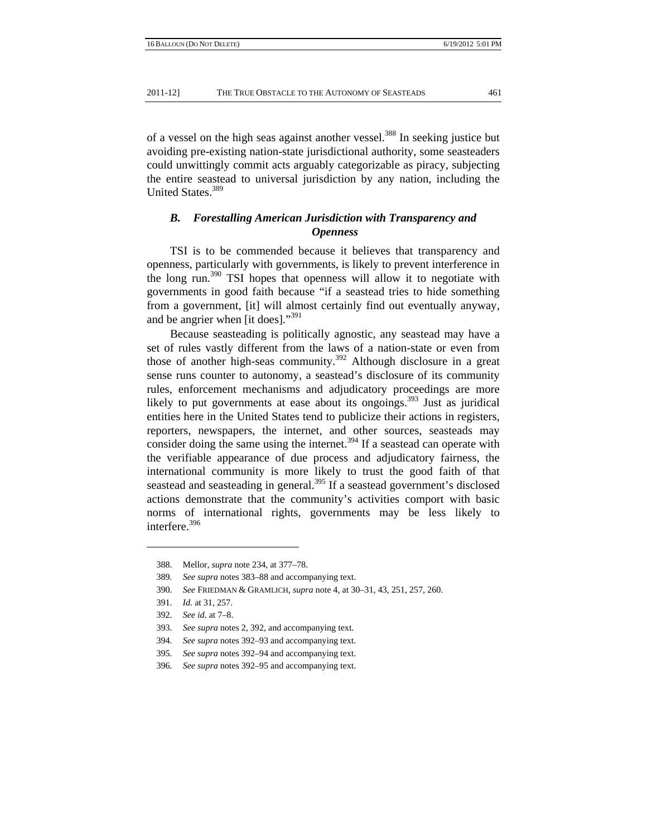of a vessel on the high seas against another vessel.<sup>388</sup> In seeking justice but avoiding pre-existing nation-state jurisdictional authority, some seasteaders could unwittingly commit acts arguably categorizable as piracy, subjecting the entire seastead to universal jurisdiction by any nation, including the United States.389

## *B. Forestalling American Jurisdiction with Transparency and Openness*

TSI is to be commended because it believes that transparency and openness, particularly with governments, is likely to prevent interference in the long run.<sup>390</sup> TSI hopes that openness will allow it to negotiate with governments in good faith because "if a seastead tries to hide something from a government, [it] will almost certainly find out eventually anyway, and be angrier when [it does]."<sup>391</sup>

Because seasteading is politically agnostic, any seastead may have a set of rules vastly different from the laws of a nation-state or even from those of another high-seas community.<sup>392</sup> Although disclosure in a great sense runs counter to autonomy, a seastead's disclosure of its community rules, enforcement mechanisms and adjudicatory proceedings are more likely to put governments at ease about its ongoings.<sup>393</sup> Just as juridical entities here in the United States tend to publicize their actions in registers, reporters, newspapers, the internet, and other sources, seasteads may consider doing the same using the internet.<sup>394</sup> If a seastead can operate with the verifiable appearance of due process and adjudicatory fairness, the international community is more likely to trust the good faith of that seastead and seasteading in general.<sup>395</sup> If a seastead government's disclosed actions demonstrate that the community's activities comport with basic norms of international rights, governments may be less likely to interfere.<sup>396</sup>

 <sup>388.</sup> Mellor, *supra* note 234, at 377–78.

<sup>389</sup>*. See supra* notes 383–88 and accompanying text.

<sup>390</sup>*. See* FRIEDMAN & GRAMLICH, *supra* note 4, at 30–31, 43, 251, 257, 260.

<sup>391</sup>*. Id.* at 31, 257.

<sup>392</sup>*. See id.* at 7–8.

<sup>393</sup>*. See supra* notes 2, 392, and accompanying text.

<sup>394</sup>*. See supra* notes 392–93 and accompanying text.

<sup>395</sup>*. See supra* notes 392–94 and accompanying text.

<sup>396</sup>*. See supra* notes 392–95 and accompanying text.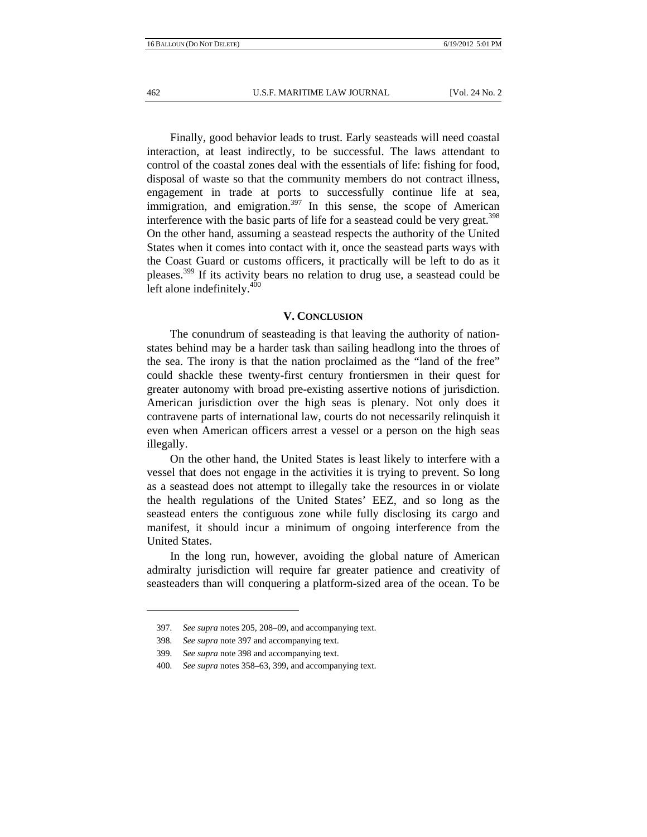Finally, good behavior leads to trust. Early seasteads will need coastal interaction, at least indirectly, to be successful. The laws attendant to control of the coastal zones deal with the essentials of life: fishing for food, disposal of waste so that the community members do not contract illness, engagement in trade at ports to successfully continue life at sea, immigration, and emigration.<sup>397</sup> In this sense, the scope of American interference with the basic parts of life for a seastead could be very great.<sup>398</sup> On the other hand, assuming a seastead respects the authority of the United States when it comes into contact with it, once the seastead parts ways with the Coast Guard or customs officers, it practically will be left to do as it pleases.<sup>399</sup> If its activity bears no relation to drug use, a seastead could be left alone indefinitely.<sup>400</sup>

#### **V. CONCLUSION**

The conundrum of seasteading is that leaving the authority of nationstates behind may be a harder task than sailing headlong into the throes of the sea. The irony is that the nation proclaimed as the "land of the free" could shackle these twenty-first century frontiersmen in their quest for greater autonomy with broad pre-existing assertive notions of jurisdiction. American jurisdiction over the high seas is plenary. Not only does it contravene parts of international law, courts do not necessarily relinquish it even when American officers arrest a vessel or a person on the high seas illegally.

On the other hand, the United States is least likely to interfere with a vessel that does not engage in the activities it is trying to prevent. So long as a seastead does not attempt to illegally take the resources in or violate the health regulations of the United States' EEZ, and so long as the seastead enters the contiguous zone while fully disclosing its cargo and manifest, it should incur a minimum of ongoing interference from the United States.

In the long run, however, avoiding the global nature of American admiralty jurisdiction will require far greater patience and creativity of seasteaders than will conquering a platform-sized area of the ocean. To be

<sup>397</sup>*. See supra* notes 205, 208–09, and accompanying text.

<sup>398</sup>*. See supra* note 397 and accompanying text.

<sup>399</sup>*. See supra* note 398 and accompanying text.

<sup>400</sup>*. See supra* notes 358–63, 399, and accompanying text.